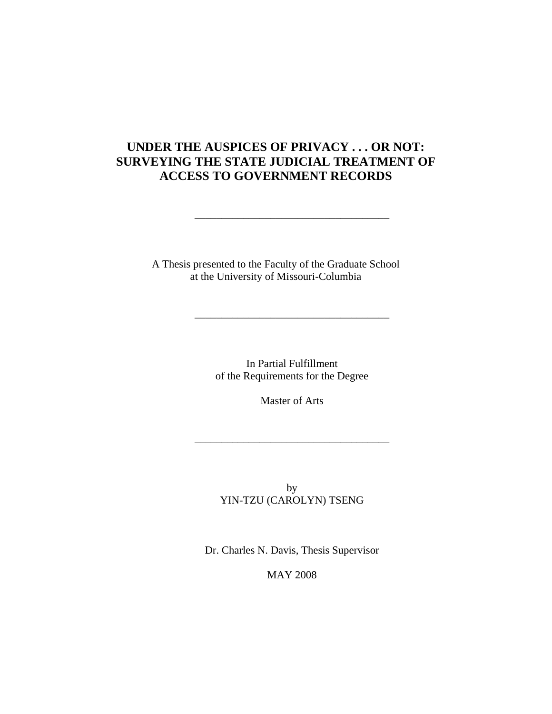## **UNDER THE AUSPICES OF PRIVACY . . . OR NOT: SURVEYING THE STATE JUDICIAL TREATMENT OF ACCESS TO GOVERNMENT RECORDS**

\_\_\_\_\_\_\_\_\_\_\_\_\_\_\_\_\_\_\_\_\_\_\_\_\_\_\_\_\_\_\_\_\_\_\_\_

A Thesis presented to the Faculty of the Graduate School at the University of Missouri-Columbia

> In Partial Fulfillment of the Requirements for the Degree

\_\_\_\_\_\_\_\_\_\_\_\_\_\_\_\_\_\_\_\_\_\_\_\_\_\_\_\_\_\_\_\_\_\_\_\_

Master of Arts

\_\_\_\_\_\_\_\_\_\_\_\_\_\_\_\_\_\_\_\_\_\_\_\_\_\_\_\_\_\_\_\_\_\_\_\_

by YIN-TZU (CAROLYN) TSENG

Dr. Charles N. Davis, Thesis Supervisor

MAY 2008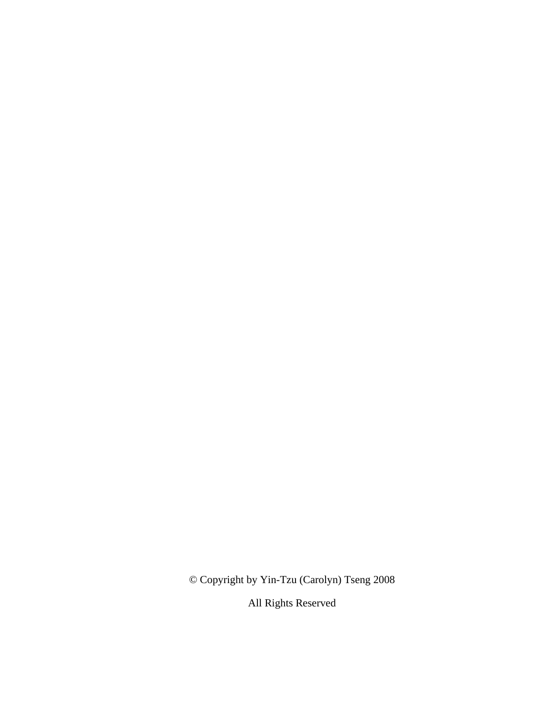© Copyright by Yin-Tzu (Carolyn) Tseng 2008

All Rights Reserved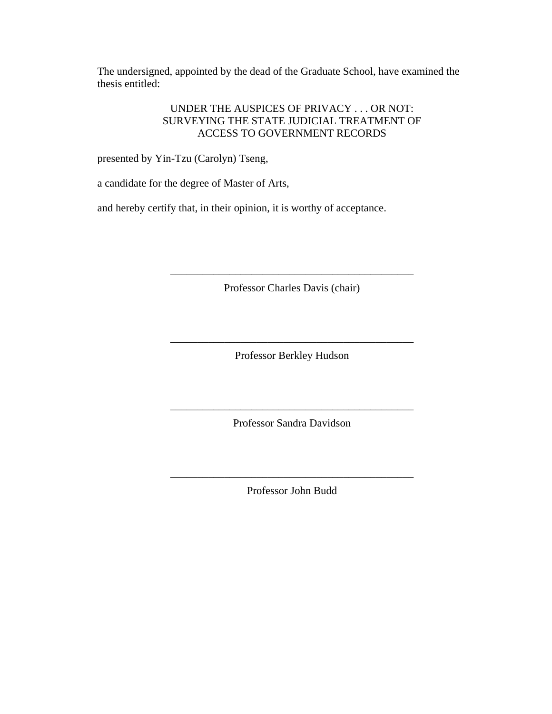The undersigned, appointed by the dead of the Graduate School, have examined the thesis entitled:

### UNDER THE AUSPICES OF PRIVACY . . . OR NOT: SURVEYING THE STATE JUDICIAL TREATMENT OF ACCESS TO GOVERNMENT RECORDS

presented by Yin-Tzu (Carolyn) Tseng,

a candidate for the degree of Master of Arts,

and hereby certify that, in their opinion, it is worthy of acceptance.

Professor Charles Davis (chair)

\_\_\_\_\_\_\_\_\_\_\_\_\_\_\_\_\_\_\_\_\_\_\_\_\_\_\_\_\_\_\_\_\_\_\_\_\_\_\_\_\_\_\_\_\_

Professor Berkley Hudson

\_\_\_\_\_\_\_\_\_\_\_\_\_\_\_\_\_\_\_\_\_\_\_\_\_\_\_\_\_\_\_\_\_\_\_\_\_\_\_\_\_\_\_\_\_

\_\_\_\_\_\_\_\_\_\_\_\_\_\_\_\_\_\_\_\_\_\_\_\_\_\_\_\_\_\_\_\_\_\_\_\_\_\_\_\_\_\_\_\_\_ Professor Sandra Davidson

\_\_\_\_\_\_\_\_\_\_\_\_\_\_\_\_\_\_\_\_\_\_\_\_\_\_\_\_\_\_\_\_\_\_\_\_\_\_\_\_\_\_\_\_\_ Professor John Budd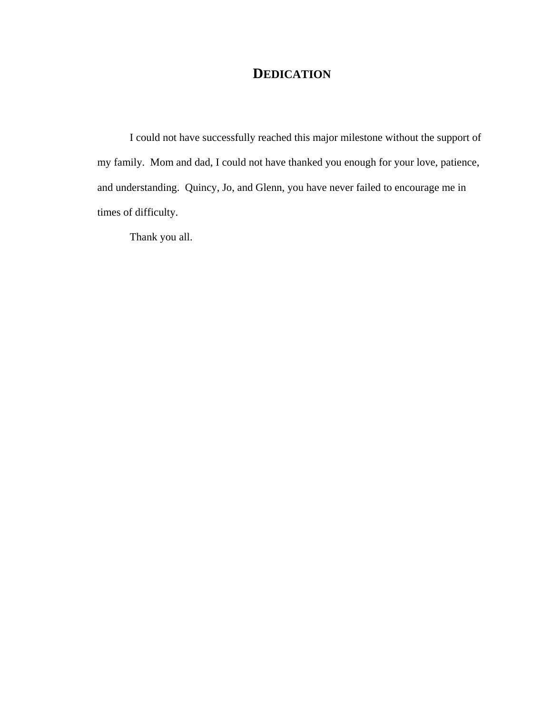## **DEDICATION**

I could not have successfully reached this major milestone without the support of my family. Mom and dad, I could not have thanked you enough for your love, patience, and understanding. Quincy, Jo, and Glenn, you have never failed to encourage me in times of difficulty.

Thank you all.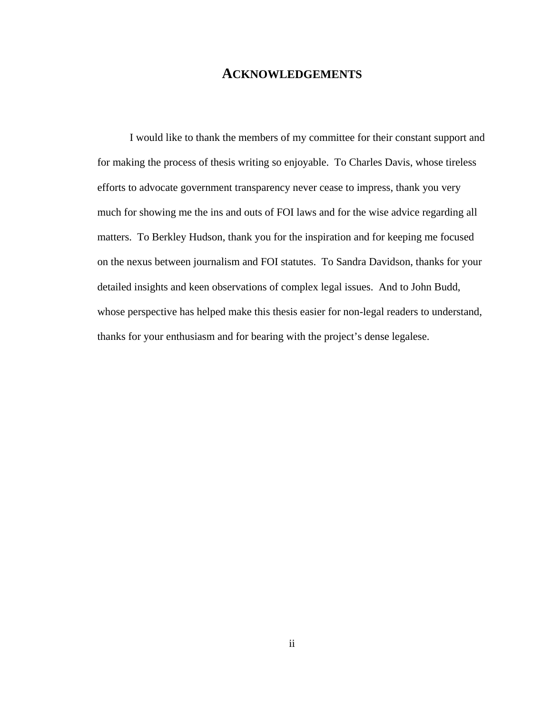## **ACKNOWLEDGEMENTS**

 I would like to thank the members of my committee for their constant support and for making the process of thesis writing so enjoyable. To Charles Davis, whose tireless efforts to advocate government transparency never cease to impress, thank you very much for showing me the ins and outs of FOI laws and for the wise advice regarding all matters. To Berkley Hudson, thank you for the inspiration and for keeping me focused on the nexus between journalism and FOI statutes. To Sandra Davidson, thanks for your detailed insights and keen observations of complex legal issues. And to John Budd, whose perspective has helped make this thesis easier for non-legal readers to understand, thanks for your enthusiasm and for bearing with the project's dense legalese.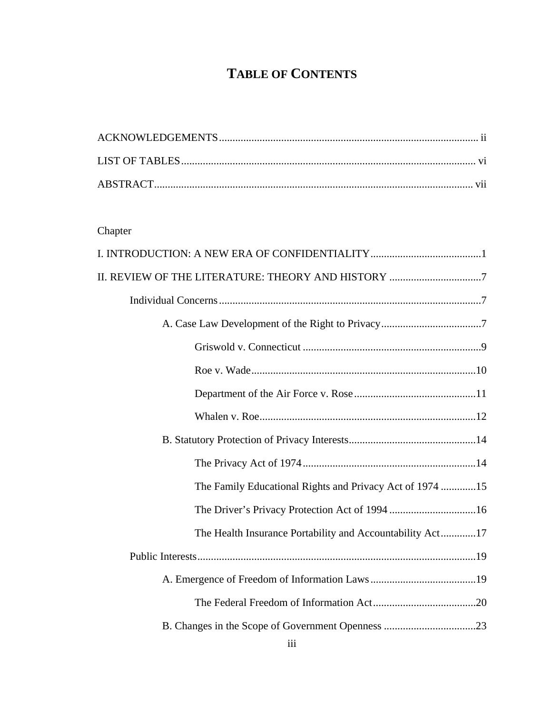# **TABLE OF CONTENTS**

## Chapter

| II. REVIEW OF THE LITERATURE: THEORY AND HISTORY 7        |
|-----------------------------------------------------------|
|                                                           |
|                                                           |
|                                                           |
|                                                           |
|                                                           |
|                                                           |
|                                                           |
|                                                           |
| The Family Educational Rights and Privacy Act of 1974 15  |
|                                                           |
| The Health Insurance Portability and Accountability Act17 |
|                                                           |
|                                                           |
|                                                           |
|                                                           |
|                                                           |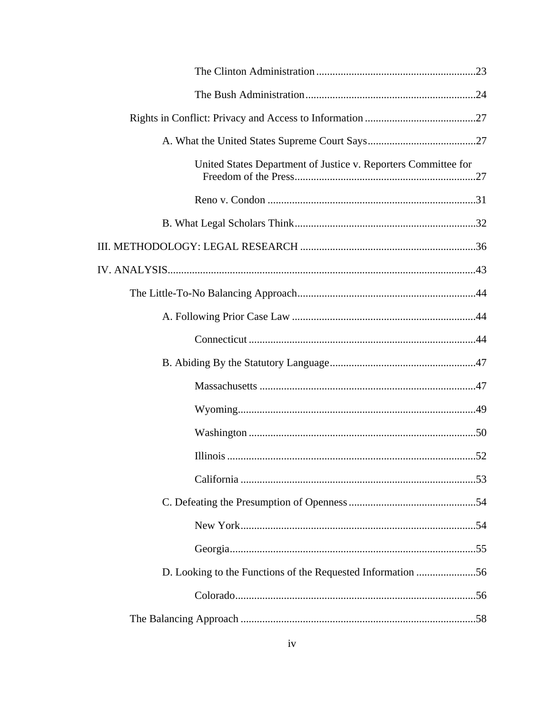| United States Department of Justice v. Reporters Committee for |
|----------------------------------------------------------------|
|                                                                |
|                                                                |
|                                                                |
|                                                                |
|                                                                |
|                                                                |
|                                                                |
|                                                                |
|                                                                |
|                                                                |
|                                                                |
|                                                                |
|                                                                |
|                                                                |
|                                                                |
|                                                                |
| D. Looking to the Functions of the Requested Information 56    |
|                                                                |
|                                                                |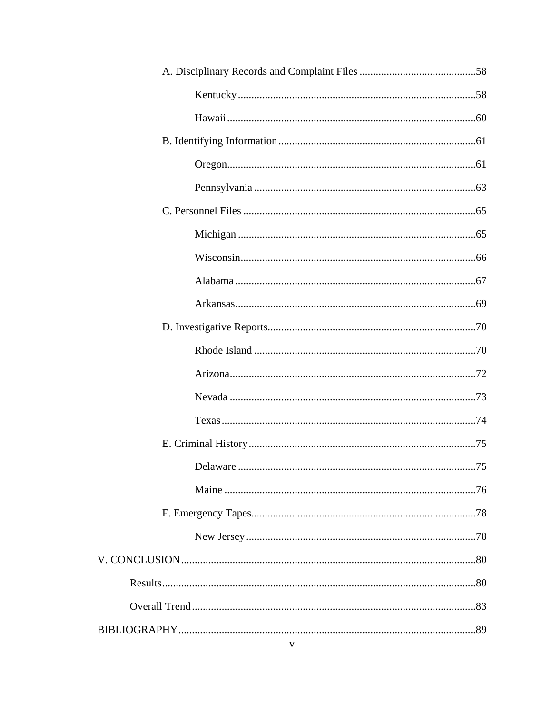| Delaware<br>75. |  |
|-----------------|--|
|                 |  |
|                 |  |
|                 |  |
|                 |  |
|                 |  |
|                 |  |
|                 |  |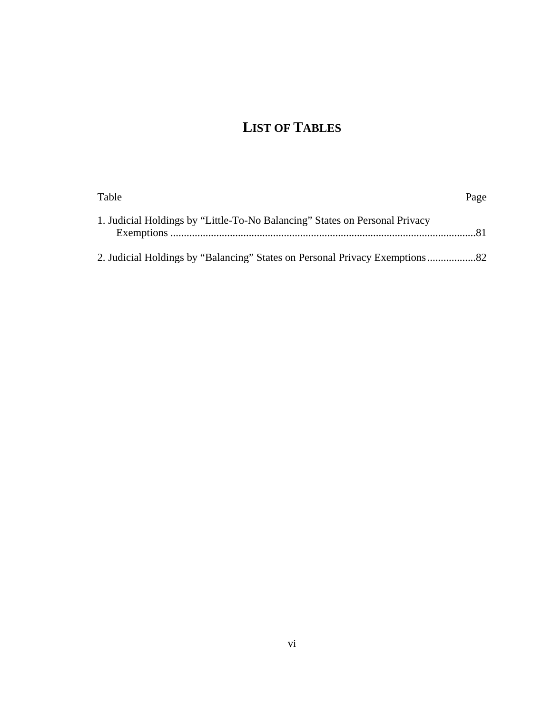# **LIST OF TABLES**

| Table                                                                       | Page |
|-----------------------------------------------------------------------------|------|
| 1. Judicial Holdings by "Little-To-No Balancing" States on Personal Privacy |      |
|                                                                             |      |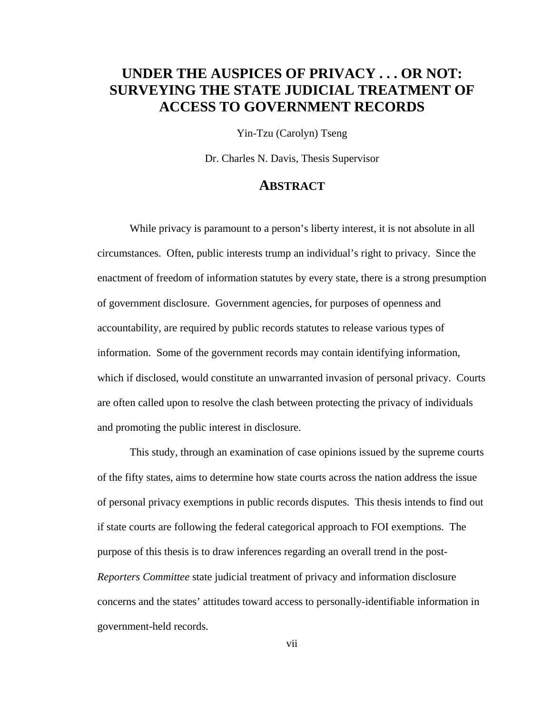## **UNDER THE AUSPICES OF PRIVACY . . . OR NOT: SURVEYING THE STATE JUDICIAL TREATMENT OF ACCESS TO GOVERNMENT RECORDS**

Yin-Tzu (Carolyn) Tseng

Dr. Charles N. Davis, Thesis Supervisor

## **ABSTRACT**

 While privacy is paramount to a person's liberty interest, it is not absolute in all circumstances. Often, public interests trump an individual's right to privacy. Since the enactment of freedom of information statutes by every state, there is a strong presumption of government disclosure. Government agencies, for purposes of openness and accountability, are required by public records statutes to release various types of information. Some of the government records may contain identifying information, which if disclosed, would constitute an unwarranted invasion of personal privacy. Courts are often called upon to resolve the clash between protecting the privacy of individuals and promoting the public interest in disclosure.

This study, through an examination of case opinions issued by the supreme courts of the fifty states, aims to determine how state courts across the nation address the issue of personal privacy exemptions in public records disputes. This thesis intends to find out if state courts are following the federal categorical approach to FOI exemptions. The purpose of this thesis is to draw inferences regarding an overall trend in the post-*Reporters Committee* state judicial treatment of privacy and information disclosure concerns and the states' attitudes toward access to personally-identifiable information in government-held records.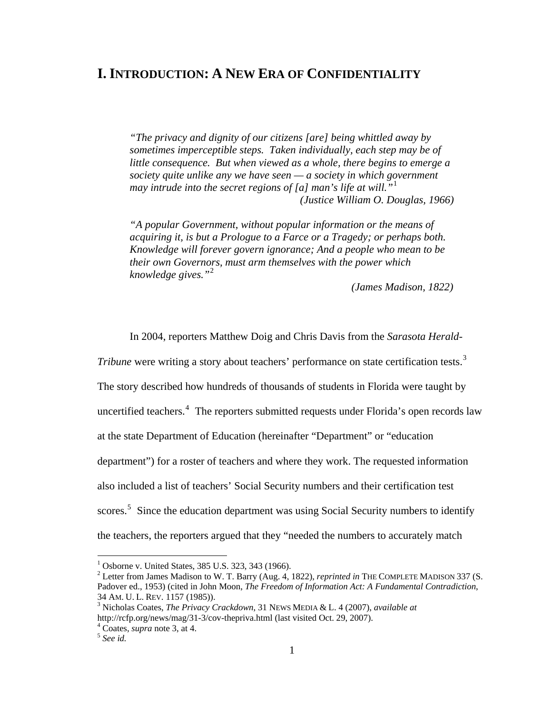## **I. INTRODUCTION: A NEW ERA OF CONFIDENTIALITY**

*"The privacy and dignity of our citizens [are] being whittled away by sometimes imperceptible steps. Taken individually, each step may be of little consequence. But when viewed as a whole, there begins to emerge a society quite unlike any we have seen — a society in which government may intrude into the secret regions of [a] man's life at will."*[1](#page-10-0) *(Justice William O. Douglas, 1966)* 

*"A popular Government, without popular information or the means of acquiring it, is but a Prologue to a Farce or a Tragedy; or perhaps both. Knowledge will forever govern ignorance; And a people who mean to be their own Governors, must arm themselves with the power which knowledge gives."*[2](#page-10-1)

*(James Madison, 1822)* 

In 2004, reporters Matthew Doig and Chris Davis from the *Sarasota Herald-*

*Tribune* were writing a story about teachers' performance on state certification tests.<sup>[3](#page-10-2)</sup>

The story described how hundreds of thousands of students in Florida were taught by

uncertified teachers.<sup>[4](#page-10-3)</sup> The reporters submitted requests under Florida's open records law

at the state Department of Education (hereinafter "Department" or "education

department") for a roster of teachers and where they work. The requested information

also included a list of teachers' Social Security numbers and their certification test

scores.<sup>[5](#page-10-4)</sup> Since the education department was using Social Security numbers to identify

the teachers, the reporters argued that they "needed the numbers to accurately match

<span id="page-10-0"></span><sup>&</sup>lt;sup>1</sup> Osborne v. United States, 385 U.S. 323, 343 (1966).

<span id="page-10-1"></span><sup>2</sup> Letter from James Madison to W. T. Barry (Aug. 4, 1822), *reprinted in* THE COMPLETE MADISON 337 (S. Padover ed., 1953) (cited in John Moon, *The Freedom of Information Act: A Fundamental Contradiction*, 34 AM. U. L. REV. 1157 (1985)). 3

<span id="page-10-2"></span>Nicholas Coates, *The Privacy Crackdown*, 31 NEWS MEDIA & L. 4 (2007), *available at*  http://rcfp.org/news/mag/31-3/cov-thepriva.html (last visited Oct. 29, 2007).

<span id="page-10-4"></span><span id="page-10-3"></span> $^4$  Coates, *supra* note 3, at 4.<br><sup>5</sup> *See id.*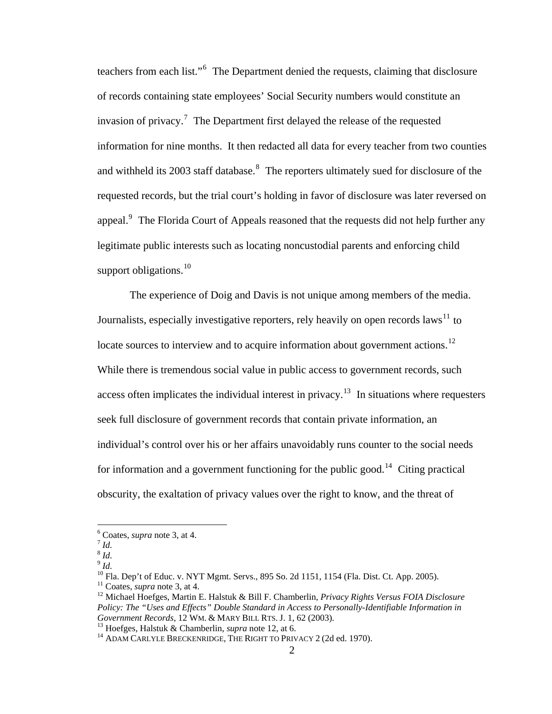teachers from each list."<sup>[6](#page-11-0)</sup> The Department denied the requests, claiming that disclosure of records containing state employees' Social Security numbers would constitute an invasion of privacy.<sup>[7](#page-11-1)</sup> The Department first delayed the release of the requested information for nine months. It then redacted all data for every teacher from two counties and withheld its 2003 staff database.<sup>[8](#page-11-2)</sup> The reporters ultimately sued for disclosure of the requested records, but the trial court's holding in favor of disclosure was later reversed on appeal.<sup>[9](#page-11-3)</sup> The Florida Court of Appeals reasoned that the requests did not help further any legitimate public interests such as locating noncustodial parents and enforcing child support obligations.<sup>[10](#page-11-4)</sup>

The experience of Doig and Davis is not unique among members of the media. Journalists, especially investigative reporters, rely heavily on open records laws<sup>[11](#page-11-5)</sup> to locate sources to interview and to acquire information about government actions.<sup>[12](#page-11-6)</sup> While there is tremendous social value in public access to government records, such access often implicates the individual interest in privacy.<sup>[13](#page-11-7)</sup> In situations where requesters seek full disclosure of government records that contain private information, an individual's control over his or her affairs unavoidably runs counter to the social needs for information and a government functioning for the public good.<sup>[14](#page-11-8)</sup> Citing practical obscurity, the exaltation of privacy values over the right to know, and the threat of

<span id="page-11-0"></span> $\int_7^6$  Coates, *supra* note 3, at 4.<br>*<sup>7</sup> Id.* 

<span id="page-11-2"></span><span id="page-11-1"></span><sup>8</sup> *Id.*

<span id="page-11-4"></span><span id="page-11-3"></span> $9$  *Id.* 

<sup>&</sup>lt;sup>10</sup> Fla. Dep't of Educ. v. NYT Mgmt. Servs., 895 So. 2d 1151, 1154 (Fla. Dist. Ct. App. 2005).<br><sup>11</sup> Coates, *supra* note 3, at 4.

<span id="page-11-5"></span>

<span id="page-11-6"></span><sup>&</sup>lt;sup>12</sup> Michael Hoefges, Martin E. Halstuk & Bill F. Chamberlin, *Privacy Rights Versus FOIA Disclosure Policy: The "Uses and Effects" Double Standard in Access to Personally-Identifiable Information in* 

<span id="page-11-8"></span>

<span id="page-11-7"></span><sup>&</sup>lt;sup>13</sup> Hoefges, Halstuk & Chamberlin, *supra* note 12, at 6.<br><sup>14</sup> ADAM CARLYLE BRECKENRIDGE, THE RIGHT TO PRIVACY 2 (2d ed. 1970).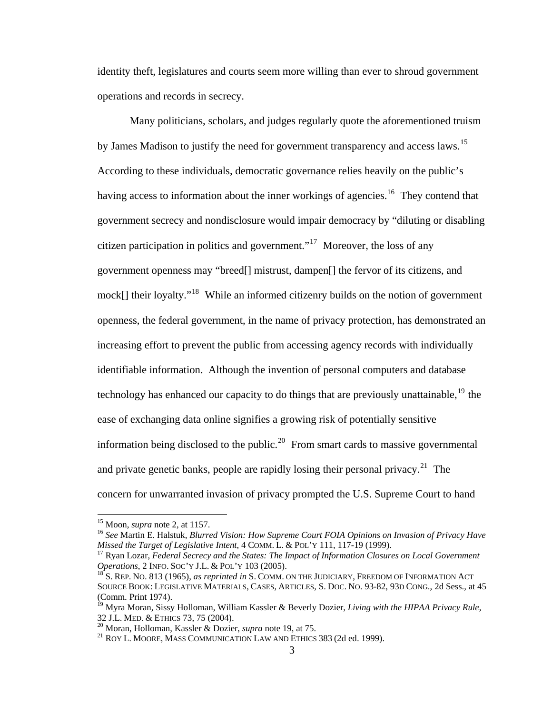identity theft, legislatures and courts seem more willing than ever to shroud government operations and records in secrecy.

Many politicians, scholars, and judges regularly quote the aforementioned truism by James Madison to justify the need for government transparency and access laws.<sup>[15](#page-12-0)</sup> According to these individuals, democratic governance relies heavily on the public's having access to information about the inner workings of agencies.<sup>[16](#page-12-1)</sup> They contend that government secrecy and nondisclosure would impair democracy by "diluting or disabling citizen participation in politics and government."<sup>[17](#page-12-2)</sup> Moreover, the loss of any government openness may "breed[] mistrust, dampen[] the fervor of its citizens, and mock[] their loyalty."<sup>[18](#page-12-3)</sup> While an informed citizenry builds on the notion of government openness, the federal government, in the name of privacy protection, has demonstrated an increasing effort to prevent the public from accessing agency records with individually identifiable information. Although the invention of personal computers and database technology has enhanced our capacity to do things that are previously unattainable, $19$  the ease of exchanging data online signifies a growing risk of potentially sensitive information being disclosed to the public.<sup>[20](#page-12-5)</sup> From smart cards to massive governmental and private genetic banks, people are rapidly losing their personal privacy.<sup>[21](#page-12-6)</sup> The concern for unwarranted invasion of privacy prompted the U.S. Supreme Court to hand

<span id="page-12-1"></span><span id="page-12-0"></span><sup>&</sup>lt;sup>15</sup> Moon, *supra* note 2, at 1157.<br><sup>16</sup> *See* Martin E. Halstuk, *Blurred Vision: How Supreme Court FOIA Opinions on Invasion of Privacy Have Missed the Target of Legislative Intent, 4 COMM. L. & POL'Y 111, 117-19 (1999).* 

<span id="page-12-2"></span><sup>&</sup>lt;sup>17</sup> Ryan Lozar, *Federal Secrecy and the States: The Impact of Information Closures on Local Government Operations, 2 INFO. SOC'Y J.L. & POL'Y 103 (2005).* 

<span id="page-12-3"></span><sup>&</sup>lt;sup>18</sup>S. Rep. No. 813 (1965), *as reprinted in* S. COMM. ON THE JUDICIARY, FREEDOM OF INFORMATION ACT SOURCE BOOK: LEGISLATIVE MATERIALS, CASES, ARTICLES, S. DOC. NO. 93-82, 93D CONG., 2d Sess., at 45 (Comm. Print 1974).

<span id="page-12-4"></span><sup>&</sup>lt;sup>19</sup> Myra Moran, Sissy Holloman, William Kassler & Beverly Dozier, *Living with the HIPAA Privacy Rule*, 32 J.L. MED. & ETHICS 73, 75 (2004).

<span id="page-12-6"></span>

<span id="page-12-5"></span><sup>&</sup>lt;sup>20</sup> Moran, Holloman, Kassler & Dozier, *supra* note 19, at 75.<br><sup>21</sup> ROY L. MOORE, MASS COMMUNICATION LAW AND ETHICS 383 (2d ed. 1999).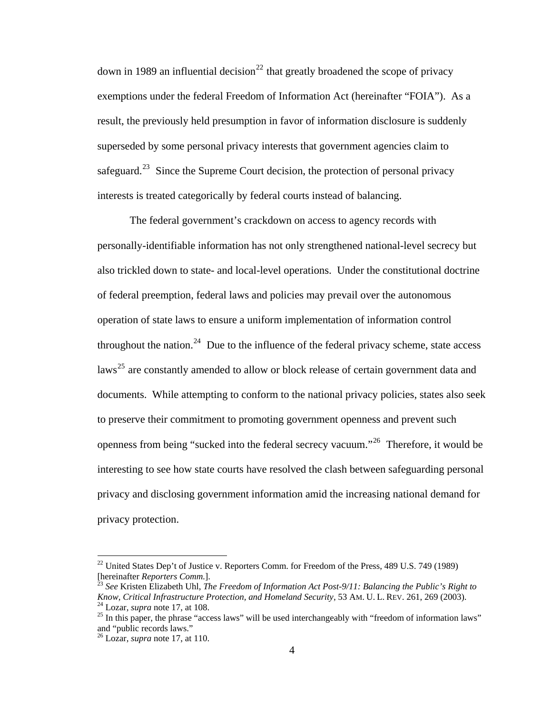safeguard.<sup>[23](#page-13-1)</sup> Since the Supreme Court decision, the protection of personal privacy interests is treated categorically by federal courts instead of balancing. down in 1989 an influential decision<sup>[22](#page-13-0)</sup> that greatly broadened the scope of privacy exemptions under the federal Freedom of Information Act (hereinafter "FOIA"). As a result, the previously held presumption in favor of information disclosure is suddenly superseded by some personal privacy interests that government agencies claim to

The federal government's crackdown on access to agency records with personally-identifiable information has not only strengthened national-level secrecy but also trickled down to state- and local-level operations. Under the constitutional doctrine of federal preemption, federal laws and policies may prevail over the autonomous operation of state laws to ensure a uniform implementation of information control throughout the nation.<sup>[24](#page-13-2)</sup> Due to the influence of the federal privacy scheme, state access laws<sup>[25](#page-13-3)</sup> are constantly amended to allow or block release of certain government data and documents. While attempting to conform to the national privacy policies, states also seek to preserve their commitment to promoting government openness and prevent such openness from being "sucked into the federal secrecy vacuum."[26](#page-13-4) Therefore, it would be interesting to see how state courts have resolved the clash between safeguarding personal privacy and disclosing government information amid the increasing national demand for privacy protection.

<span id="page-13-0"></span> $^{22}$  United States Dep't of Justice v. Reporters Comm. for Freedom of the Press, 489 U.S. 749 (1989) [hereinafter *Reporters Comm.*]. 23 *See* Kristen Elizabeth Uhl, *The Freedom of Information Act Post-9/11: Balancing the Public's Right to* 

<span id="page-13-1"></span>Know, Critical Infrastructure Protection, and Homeland Security, 53 AM. U. L. REV. 261, 269 (2003).<br><sup>24</sup> Lozar, *supra* note 17, at 108.<br><sup>25</sup> In this paper, the phrase "access laws" will be used interchangeably with "free

<span id="page-13-3"></span><span id="page-13-2"></span>and "public records laws."

<span id="page-13-4"></span><sup>26</sup> Lozar, *supra* note 17, at 110.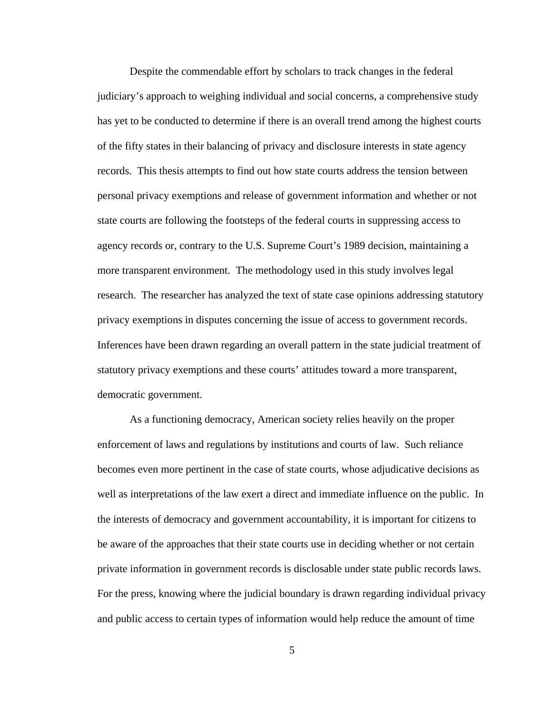Despite the commendable effort by scholars to track changes in the federal judiciary's approach to weighing individual and social concerns, a comprehensive study has yet to be conducted to determine if there is an overall trend among the highest courts of the fifty states in their balancing of privacy and disclosure interests in state agency records. This thesis attempts to find out how state courts address the tension between personal privacy exemptions and release of government information and whether or not state courts are following the footsteps of the federal courts in suppressing access to agency records or, contrary to the U.S. Supreme Court's 1989 decision, maintaining a more transparent environment. The methodology used in this study involves legal research. The researcher has analyzed the text of state case opinions addressing statutory privacy exemptions in disputes concerning the issue of access to government records. Inferences have been drawn regarding an overall pattern in the state judicial treatment of statutory privacy exemptions and these courts' attitudes toward a more transparent, democratic government.

As a functioning democracy, American society relies heavily on the proper enforcement of laws and regulations by institutions and courts of law. Such reliance becomes even more pertinent in the case of state courts, whose adjudicative decisions as well as interpretations of the law exert a direct and immediate influence on the public. In the interests of democracy and government accountability, it is important for citizens to be aware of the approaches that their state courts use in deciding whether or not certain private information in government records is disclosable under state public records laws. For the press, knowing where the judicial boundary is drawn regarding individual privacy and public access to certain types of information would help reduce the amount of time

5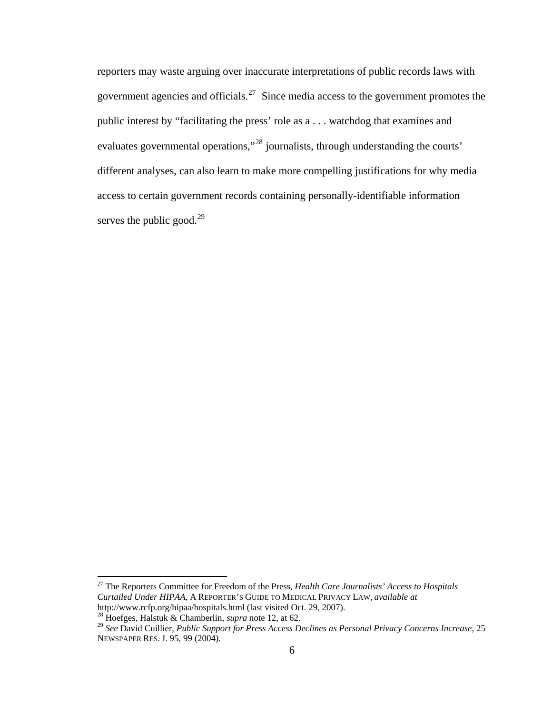reporters may waste arguing over inaccurate interpretations of public records laws with government agencies and officials.<sup>[27](#page-15-0)</sup> Since media access to the government promotes the public interest by "facilitating the press' role as a . . . watchdog that examines and evaluates governmental operations,"[28](#page-15-1) journalists, through understanding the courts' different analyses, can also learn to make more compelling justifications for why media access to certain government records containing personally-identifiable information serves the public good.<sup>[29](#page-15-2)</sup>

<span id="page-15-0"></span><sup>27</sup> The Reporters Committee for Freedom of the Press, *Health Care Journalists' Access to Hospitals Curtailed Under HIPAA*, A REPORTER'S GUIDE TO MEDICAL PRIVACY LAW, *available at*  http://www.rcfp.org/hipaa/hospitals.html (last visited Oct. 29, 2007). 28 Hoefges, Halstuk & Chamberlin, *supra* note 12, at 62.

<span id="page-15-2"></span><span id="page-15-1"></span><sup>29</sup> *See* David Cuillier, *Public Support for Press Access Declines as Personal Privacy Concerns Increase*, 25 NEWSPAPER RES. J. 95, 99 (2004).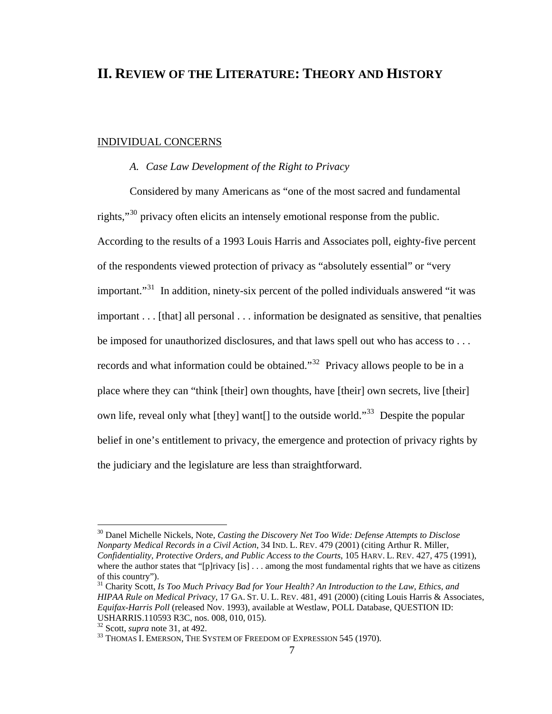## **[II.](#page-15-2) [REVIEW OF THE LITERATURE:](#page-15-2) [THEORY AND HISTORY](#page-15-2)**

#### INDIVIDUAL CONCERNS

#### *A. Case Law Development of the Right to Privacy*

Considered by many Americans as "one of the most sacred and fundamental rights,"<sup>[30](#page-16-0)</sup> privacy often elicits an intensely emotional response from the public. According to the results of a 1993 Louis Harris and Associates poll, eighty-five percent of the respondents viewed protection of privacy as "absolutely essential" or "very important."<sup>[31](#page-16-1)</sup> In addition, ninety-six percent of the polled individuals answered "it was important . . . [that] all personal . . . information be designated as sensitive, that penalties be imposed for unauthorized disclosures, and that laws spell out who has access to . . . records and what information could be obtained."<sup>[32](#page-16-2)</sup> Privacy allows people to be in a place where they can "think [their] own thoughts, have [their] own secrets, live [their] own life, reveal only what [they] want[] to the outside world."<sup>[33](#page-16-3)</sup> Despite the popular belief in one's entitlement to privacy, the emergence and protection of privacy rights by the judiciary and the legislature are less than straightforward.

<span id="page-16-0"></span><sup>30</sup> Danel Michelle Nickels, Note, *Casting the Discovery Net Too Wide: Defense Attempts to Disclose Nonparty Medical Records in a Civil Action*, 34 IND. L. REV. 479 (2001) (citing Arthur R. Miller, *Confidentiality, Protective Orders, and Public Access to the Courts*, 105 HARV. L. REV. 427, 475 (1991), where the author states that "[p]rivacy [is] ... among the most fundamental rights that we have as citizens of this country").

<span id="page-16-1"></span><sup>31</sup> Charity Scott, *Is Too Much Privacy Bad for Your Health? An Introduction to the Law, Ethics, and HIPAA Rule on Medical Privacy*, 17 GA. ST. U. L. REV. 481, 491 (2000) (citing Louis Harris & Associates, *Equifax-Harris Poll* (released Nov. 1993), available at Westlaw, POLL Database, QUESTION ID: USHARRIS.110593 R3C, nos. 008, 010, 015).

<span id="page-16-3"></span><span id="page-16-2"></span><sup>&</sup>lt;sup>32</sup> Scott, *supra* note 31, at 492.<br><sup>33</sup> Thomas I. Emerson, The System of Freedom of Expression 545 (1970).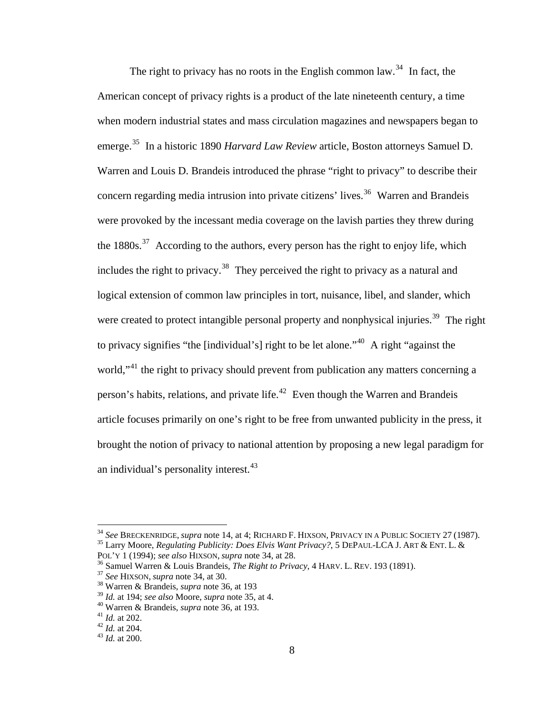article focuses primarily on one's right to be free from unwanted publicity in the press, it The right to privacy has no roots in the English common law.<sup>[34](#page-17-0)</sup> In fact, the American concept of privacy rights is a product of the late nineteenth century, a time when modern industrial states and mass circulation magazines and newspapers began to emerge.[35](#page-17-1) In a historic 1890 *Harvard Law Review* article, Boston attorneys Samuel D. Warren and Louis D. Brandeis introduced the phrase "right to privacy" to describe their concern regarding media intrusion into private citizens' lives.<sup>[36](#page-17-2)</sup> Warren and Brandeis were provoked by the incessant media coverage on the lavish parties they threw during the  $1880s$ .<sup>[37](#page-17-3)</sup> According to the authors, every person has the right to enjoy life, which includes the right to privacy.<sup>[38](#page-17-4)</sup> They perceived the right to privacy as a natural and logical extension of common law principles in tort, nuisance, libel, and slander, which were created to protect intangible personal property and nonphysical injuries.<sup>[39](#page-17-5)</sup> The right to privacy signifies "the [individual's] right to be let alone."<sup>[40](#page-17-6)</sup> A right "against the world,<sup>"[41](#page-17-7)</sup> the right to privacy should prevent from publication any matters concerning a person's habits, relations, and private life.<sup>[42](#page-17-8)</sup> Even though the Warren and Brandeis brought the notion of privacy to national attention by proposing a new legal paradigm for an individual's personality interest. $43$ 

<span id="page-17-0"></span><sup>&</sup>lt;sup>34</sup> *See* Breckenridge, *supra* note 14, at 4; Richard F. Hixson, Privacy in a Public Society 27 (1987).<br><sup>35</sup> Larry Moore, *Regulating Publicity: Does Elvis Want Privacy?*, 5 DePaul-LCA J. Art & Ent. L. &

<span id="page-17-2"></span><span id="page-17-1"></span>POL'Y 1 (1994); see also HIXSON, supra note 34, at 28.<br><sup>36</sup> Samuel Warren & Louis Brandeis, *The Right to Privacy*, 4 HARV. L. REV. 193 (1891).<br><sup>37</sup> See HIXSON, supra note 34, at 30.<br><sup>38</sup> Warren & Brandeis, supra note 36,

<span id="page-17-3"></span>

<span id="page-17-4"></span>

<span id="page-17-5"></span><sup>39</sup> *Id.* at 194; *see also* Moore, *supra* note 35, at 4. 40 Warren & Brandeis, *supra* note 36, at 193. 41 *Id.* at 202. 42 *Id.* at 204. 43 *Id.* at 200.

<span id="page-17-7"></span><span id="page-17-6"></span>

<span id="page-17-8"></span>

<span id="page-17-9"></span>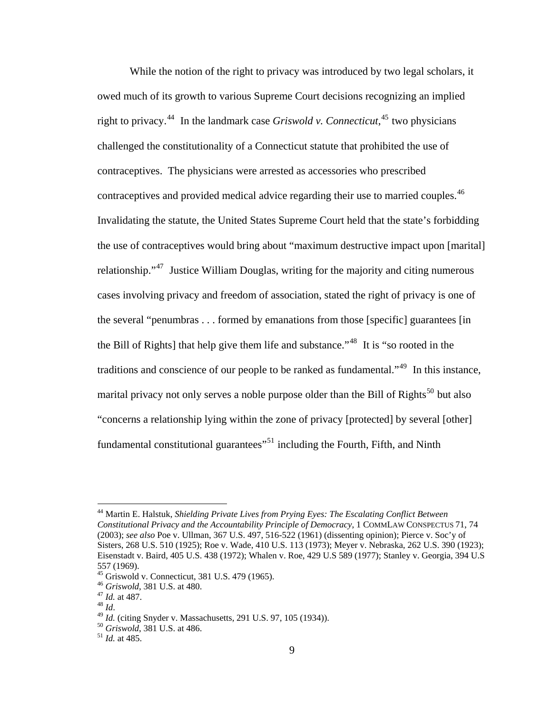While the notion of the right to privacy was introduced by two legal scholars, it owed much of its growth to various Supreme Court decisions recognizing an implied right to privacy.[44](#page-18-0) In the landmark case *Griswold v. Connecticut*, [45](#page-18-1) two physicians challenged the constitutionality of a Connecticut statute that prohibited the use of contraceptives. The physicians were arrested as accessories who prescribed contraceptives and provided medical advice regarding their use to married couples.<sup>[46](#page-18-2)</sup> Invalidating the statute, the United States Supreme Court held that the state's forbidding the use of contraceptives would bring about "maximum destructive impact upon [marital] relationship."<sup>[47](#page-18-3)</sup> Justice William Douglas, writing for the majority and citing numerous cases involving privacy and freedom of association, stated the right of privacy is one of the several "penumbras . . . formed by emanations from those [specific] guarantees [in the Bill of Rights] that help give them life and substance.<sup>1[48](#page-18-4)</sup> It is "so rooted in the traditions and conscience of our people to be ranked as fundamental."<sup>[49](#page-18-5)</sup> In this instance, marital privacy not only serves a noble purpose older than the Bill of Rights<sup>[50](#page-18-6)</sup> but also "concerns a relationship lying within the zone of privacy [protected] by several [other] fundamental constitutional guarantees"<sup>[51](#page-18-7)</sup> including the Fourth, Fifth, and Ninth

<span id="page-18-0"></span><sup>44</sup> Martin E. Halstuk, *Shielding Private Lives from Prying Eyes: The Escalating Conflict Between Constitutional Privacy and the Accountability Principle of Democracy*, 1 COMMLAW CONSPECTUS 71, 74 (2003); *see also* Poe v. Ullman, 367 U.S. 497, 516-522 (1961) (dissenting opinion); Pierce v. Soc'y of Sisters, 268 U.S. 510 (1925); Roe v. Wade, 410 U.S. 113 (1973); Meyer v. Nebraska, 262 U.S. 390 (1923); Eisenstadt v. Baird, 405 U.S. 438 (1972); Whalen v. Roe, 429 U.S 589 (1977); Stanley v. Georgia, 394 U.S 557 (1969).

<span id="page-18-1"></span><sup>&</sup>lt;sup>45</sup> Griswold v. Connecticut, 381 U.S. 479 (1965).<br><sup>46</sup> Griswold, 381 U.S. at 480.

<span id="page-18-5"></span><span id="page-18-4"></span><span id="page-18-3"></span>

<span id="page-18-2"></span><sup>47</sup> *Id.* at 487.<br><sup>48</sup> *Id.*<br><sup>49</sup> *Id.* (citing Snyder v. Massachusetts, 291 U.S. 97, 105 (1934)).<br><sup>50</sup> *Griswold*, 381 U.S. at 486.<br><sup>51</sup> *Id.* at 485.

<span id="page-18-7"></span><span id="page-18-6"></span>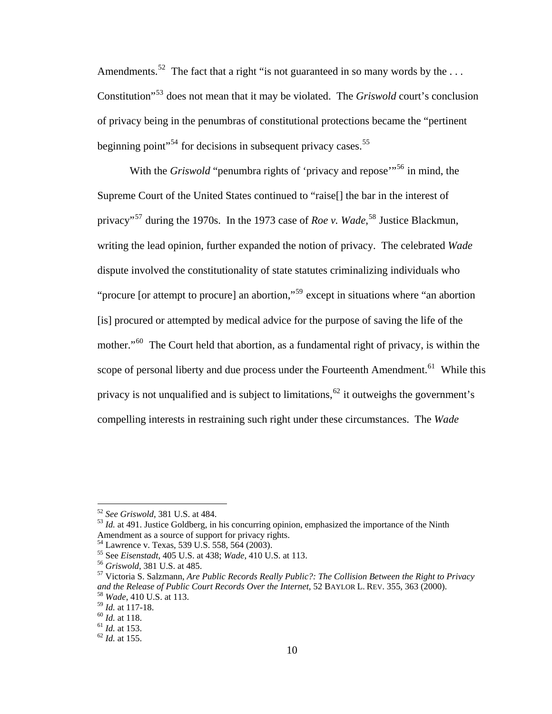Amendments.<sup>[52](#page-19-0)</sup> The fact that a right "is not guaranteed in so many words by the ... Constitution"[53](#page-19-1) does not mean that it may be violated. The *Griswold* court's conclusion of privacy being in the penumbras of constitutional protections became the "pertinent beginning point"<sup>[54](#page-19-2)</sup> for decisions in subsequent privacy cases.<sup>[55](#page-19-3)</sup>

With the *Griswold* "penumbra rights of 'privacy and repose'<sup>"[56](#page-19-4)</sup> in mind, the Supreme Court of the United States continued to "raise[] the bar in the interest of privacy"[57](#page-19-5) during the 1970s. In the 1973 case of *Roe v. Wade*, [58](#page-19-6) Justice Blackmun, writing the lead opinion, further expanded the notion of privacy. The celebrated *Wade*  dispute involved the constitutionality of state statutes criminalizing individuals who "procure [or attempt to procure] an abortion,"<sup>[59](#page-19-7)</sup> except in situations where "an abortion" [is] procured or attempted by medical advice for the purpose of saving the life of the mother."<sup>[60](#page-19-8)</sup> The Court held that abortion, as a fundamental right of privacy, is within the scope of personal liberty and due process under the Fourteenth Amendment.<sup>[61](#page-19-9)</sup> While this privacy is not unqualified and is subject to limitations,<sup>[62](#page-19-10)</sup> it outweighs the government's compelling interests in restraining such right under these circumstances. The *Wade* 

<span id="page-19-1"></span><span id="page-19-0"></span><sup>&</sup>lt;sup>52</sup> *See Griswold*, 381 U.S. at 484. **53** *Id.* at 491. Justice Goldberg, in his concurring opinion, emphasized the importance of the Ninth Amendment as a source of support for privacy rights.

<span id="page-19-2"></span><sup>&</sup>lt;sup>54</sup> Lawrence v. Texas, 539 U.S. 558, 564 (2003).<br><sup>55</sup> See *Eisenstadt*, 405 U.S. at 438; *Wade*, 410 U.S. at 113.

<span id="page-19-5"></span><span id="page-19-4"></span><span id="page-19-3"></span><sup>&</sup>lt;sup>56</sup> Griswold, 381 U.S. at 485.<br><sup>57</sup> Victoria S. Salzmann, *Are Public Records Really Public?: The Collision Between the Right to Privacy and the Release of Public Court Records Over the Internet*, 52 BAYLOR L. REV. 355, 363 (2000). 58 *Wade*, 410 U.S. at 113.

<span id="page-19-10"></span><span id="page-19-9"></span><span id="page-19-8"></span>

<span id="page-19-7"></span><span id="page-19-6"></span><sup>59</sup> *Id.* at 117-18. 60 *Id.* at 118. 61 *Id.* at 153. 62 *Id.* at 155.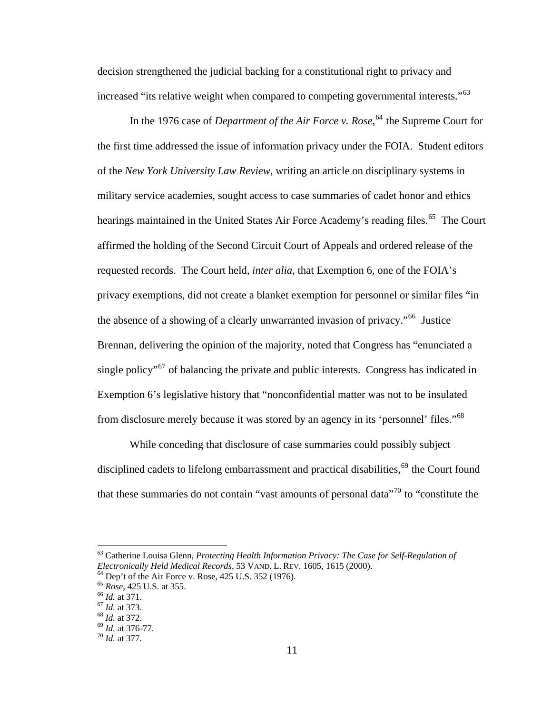decision strengthened the judicial backing for a constitutional right to privacy and increased "its relative weight when compared to competing governmental interests."<sup>[63](#page-20-0)</sup>

In the 1976 case of *Department of the Air Force v. Rose*,<sup>[64](#page-20-1)</sup> the Supreme Court for the first time addressed the issue of information privacy under the FOIA. Student editors of the *New York University Law Review*, writing an article on disciplinary systems in military service academies, sought access to case summaries of cadet honor and ethics hearings maintained in the United States Air Force Academy's reading files.<sup>[65](#page-20-2)</sup> The Court affirmed the holding of the Second Circuit Court of Appeals and ordered release of the requested records. The Court held, *inter alia*, that Exemption 6, one of the FOIA's privacy exemptions, did not create a blanket exemption for personnel or similar files "in the absence of a showing of a clearly unwarranted invasion of privacy."[66](#page-20-3) Justice Brennan, delivering the opinion of the majority, noted that Congress has "enunciated a single policy<sup>"[67](#page-20-4)</sup> of balancing the private and public interests. Congress has indicated in Exemption 6's legislative history that "nonconfidential matter was not to be insulated from disclosure merely because it was stored by an agency in its 'personnel' files."[68](#page-20-5)

While conceding that disclosure of case summaries could possibly subject disciplined cadets to lifelong embarrassment and practical disabilities,  $69$  the Court found that these summaries do not contain "vast amounts of personal data"<sup>[70](#page-20-7)</sup> to "constitute the

<span id="page-20-0"></span><sup>63</sup> Catherine Louisa Glenn, *Protecting Health Information Privacy: The Case for Self-Regulation of Electronically Held Medical Records*, 53 VAND. L. REV. 1605, 1615 (2000). <sup>64</sup> Dep't of the Air Force v. Rose, 425 U.S. 352 (1976).

<span id="page-20-2"></span><span id="page-20-1"></span>

<sup>65</sup> *Rose*, 425 U.S. at 355. 66 *Id.* at 371. 67 *Id.* at 373. 68 *Id.* at 372. 69 *Id.* at 376-77. 70 *Id.* at 377.

<span id="page-20-3"></span>

<span id="page-20-4"></span>

<span id="page-20-5"></span>

<span id="page-20-7"></span><span id="page-20-6"></span>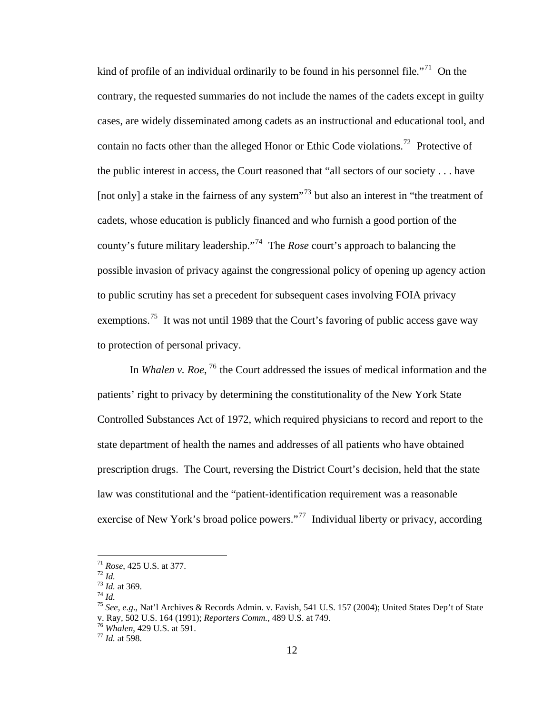kind of profile of an individual ordinarily to be found in his personnel file.<sup>"[71](#page-21-0)</sup> On the contrary, the requested summaries do not include the names of the cadets except in guilty cases, are widely disseminated among cadets as an instructional and educational tool, and contain no facts other than the alleged Honor or Ethic Code violations.<sup>[72](#page-21-1)</sup> Protective of the public interest in access, the Court reasoned that "all sectors of our society . . . have [not only] a stake in the fairness of any system<sup>"[73](#page-21-2)</sup> but also an interest in "the treatment of cadets, whose education is publicly financed and who furnish a good portion of the county's future military leadership."[74](#page-21-3) The *Rose* court's approach to balancing the possible invasion of privacy against the congressional policy of opening up agency action to public scrutiny has set a precedent for subsequent cases involving FOIA privacy exemptions.<sup>[75](#page-21-4)</sup> It was not until 1989 that the Court's favoring of public access gave way to protection of personal privacy.

In *Whalen v. Roe*, <sup>[76](#page-21-5)</sup> the Court addressed the issues of medical information and the patients' right to privacy by determining the constitutionality of the New York State Controlled Substances Act of 1972, which required physicians to record and report to the state department of health the names and addresses of all patients who have obtained prescription drugs. The Court, reversing the District Court's decision, held that the state law was constitutional and the "patient-identification requirement was a reasonable exercise of New York's broad police powers."<sup>[77](#page-21-6)</sup> Individual liberty or privacy, according

 $71$  Rose, 425 U.S. at 377.

<span id="page-21-2"></span>

<span id="page-21-4"></span><span id="page-21-3"></span>

<span id="page-21-1"></span><span id="page-21-0"></span>*Rose*, 425 U.S. at 377.<br>
<sup>72</sup> *Id.*<br>
<sup>73</sup> *Id.* at 369.<br>
<sup>74</sup> *Id.*<br>
<sup>75</sup> *See, e.g.*, Nat'l Archives & Records Admin. v. Favish, 541 U.S. 157 (2004); United States Dep't of State v. Ray, 502 U.S. 164 (1991); *Reporters Comm.*, 489 U.S. at 749. 76 *Whalen*, 429 U.S. at 591. 77 *Id.* at 598.

<span id="page-21-5"></span>

<span id="page-21-6"></span>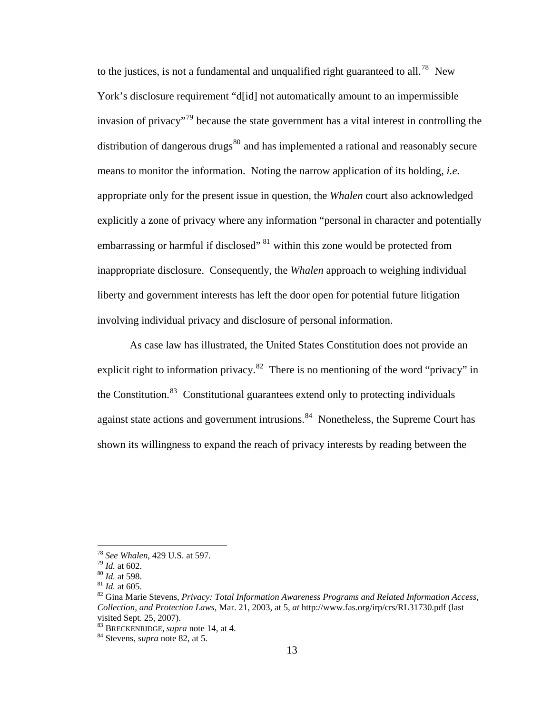to the justices, is not a fundamental and unqualified right guaranteed to all.<sup>[78](#page-22-0)</sup> New York's disclosure requirement "d[id] not automatically amount to an impermissible invasion of privacy<sup> $\frac{79}{9}$  $\frac{79}{9}$  $\frac{79}{9}$ </sup> because the state government has a vital interest in controlling the distribution of dangerous drugs $^{80}$  $^{80}$  $^{80}$  and has implemented a rational and reasonably secure means to monitor the information. Noting the narrow application of its holding, *i.e.*  appropriate only for the present issue in question, the *Whalen* court also acknowledged explicitly a zone of privacy where any information "personal in character and potentially embarrassing or harmful if disclosed"  $81$  within this zone would be protected from inappropriate disclosure. Consequently, the *Whalen* approach to weighing individual liberty and government interests has left the door open for potential future litigation involving individual privacy and disclosure of personal information.

As case law has illustrated, the United States Constitution does not provide an explicit right to information privacy.<sup>[82](#page-22-4)</sup> There is no mentioning of the word "privacy" in the Constitution.<sup>[83](#page-22-5)</sup> Constitutional guarantees extend only to protecting individuals against state actions and government intrusions.<sup>[84](#page-22-6)</sup> Nonetheless, the Supreme Court has shown its willingness to expand the reach of privacy interests by reading between the

<span id="page-22-2"></span>

<span id="page-22-4"></span><span id="page-22-3"></span>

<span id="page-22-1"></span><span id="page-22-0"></span><sup>&</sup>lt;sup>78</sup> *See Whalen*, 429 U.S. at 597.<br><sup>79</sup> *Id.* at 602.<br><sup>80</sup> *Id.* at 598.<br><sup>81</sup> *Id.* at 605.<br><sup>82</sup> Gina Marie Stevens, *Privacy: Total Information Awareness Programs and Related Information Access*, *Collection, and Protection Laws*, Mar. 21, 2003, at 5, *at* http://www.fas.org/irp/crs/RL31730.pdf (last visited Sept. 25, 2007).

<span id="page-22-5"></span><sup>83</sup> BRECKENRIDGE, *supra* note 14, at 4. 84 Stevens, *supra* note 82, at 5.

<span id="page-22-6"></span>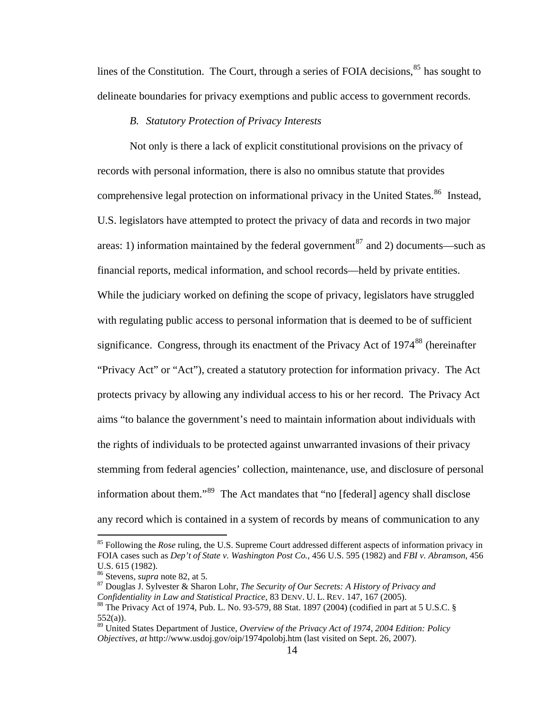lines of the Constitution. The Court, through a series of FOIA decisions,  $85$  has sought to delineate boundaries for privacy exemptions and public access to government records.

#### *B. Statutory Protection of Privacy Interests*

Not only is there a lack of explicit constitutional provisions on the privacy of records with personal information, there is also no omnibus statute that provides comprehensive legal protection on informational privacy in the United States.<sup>[86](#page-23-1)</sup> Instead, U.S. legislators have attempted to protect the privacy of data and records in two major areas: 1) information maintained by the federal government<sup>[87](#page-23-2)</sup> and 2) documents—such as financial reports, medical information, and school records—held by private entities. While the judiciary worked on defining the scope of privacy, legislators have struggled with regulating public access to personal information that is deemed to be of sufficient significance. Congress, through its enactment of the Privacy Act of  $1974^{88}$  $1974^{88}$  $1974^{88}$  (hereinafter "Privacy Act" or "Act"), created a statutory protection for information privacy. The Act protects privacy by allowing any individual access to his or her record. The Privacy Act aims "to balance the government's need to maintain information about individuals with the rights of individuals to be protected against unwarranted invasions of their privacy stemming from federal agencies' collection, maintenance, use, and disclosure of personal information about them."[89](#page-23-4) The Act mandates that "no [federal] agency shall disclose any record which is contained in a system of records by means of communication to any

<span id="page-23-0"></span><sup>85</sup> Following the *Rose* ruling, the U.S. Supreme Court addressed different aspects of information privacy in FOIA cases such as *Dep't of State v. Washington Post Co.*, 456 U.S. 595 (1982) and *FBI v. Abramson*, 456 U.S. 615 (1982).<br><sup>86</sup> Stevens, *supra* note 82, at 5.

<span id="page-23-2"></span><span id="page-23-1"></span>

<sup>&</sup>lt;sup>87</sup> Douglas J. Sylvester & Sharon Lohr, *The Security of Our Secrets: A History of Privacy and Confidentiality in Law and Statistical Practice*, 83 DENV. U. L. REV. 147, 167 (2005).<br><sup>88</sup> The Privacy Act of 1974, Pub. L. No. 93-579, 88 Stat. 1897 (2004) (codified in part at 5 U.S.C. §  $552(a)$ ).

<span id="page-23-4"></span><span id="page-23-3"></span><sup>89</sup> United States Department of Justice, *Overview of the Privacy Act of 1974, 2004 Edition: Policy Objectives*, *at* http://www.usdoj.gov/oip/1974polobj.htm (last visited on Sept. 26, 2007).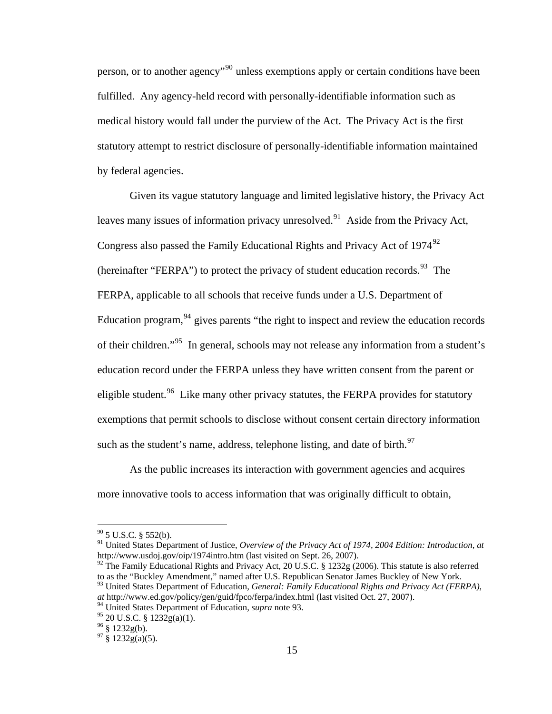person, or to another agency<sup>"[90](#page-24-0)</sup> unless exemptions apply or certain conditions have been fulfilled. Any agency-held record with personally-identifiable information such as medical history would fall under the purview of the Act. The Privacy Act is the first statutory attempt to restrict disclosure of personally-identifiable information maintained by federal agencies.

Given its vague statutory language and limited legislative history, the Privacy Act leaves many issues of information privacy unresolved.<sup>[91](#page-24-1)</sup> Aside from the Privacy Act, Congress also passed the Family Educational Rights and Privacy Act of  $1974^{92}$  $1974^{92}$  $1974^{92}$ (hereinafter "FERPA") to protect the privacy of student education records.<sup>[93](#page-24-3)</sup> The FERPA, applicable to all schools that receive funds under a U.S. Department of Education program,  $94$  gives parents "the right to inspect and review the education records of their children."[95](#page-24-5) In general, schools may not release any information from a student's education record under the FERPA unless they have written consent from the parent or eligible student.<sup>[96](#page-24-6)</sup> Like many other privacy statutes, the FERPA provides for statutory exemptions that permit schools to disclose without consent certain directory information such as the student's name, address, telephone listing, and date of birth.<sup>[97](#page-24-7)</sup>

As the public increases its interaction with government agencies and acquires more innovative tools to access information that was originally difficult to obtain,

 $90$  5 U.S.C. § 552(b).

<span id="page-24-1"></span><span id="page-24-0"></span><sup>91</sup> United States Department of Justice, *Overview of the Privacy Act of 1974, 2004 Edition: Introduction*, *at*  http://www.usdoj.gov/oip/1974intro.htm (last visited on Sept. 26, 2007).

<span id="page-24-2"></span> $92$  The Family Educational Rights and Privacy Act, 20 U.S.C. § 1232g (2006). This statute is also referred to as the "Buckley Amendment," named after U.S. Republican Senator James Buckley of New York.

<span id="page-24-3"></span><sup>93</sup> United States Department of Education, *General: Family Educational Rights and Privacy Act (FERPA)*, *at* http://www.ed.gov/policy/gen/guid/fpco/ferpa/index.html (last visited Oct. 27, 2007).

<sup>94</sup> United States Department of Education, *supra* note 93.

<span id="page-24-5"></span><span id="page-24-4"></span> $95$  20 U.S.C. § 1232g(a)(1).

<span id="page-24-6"></span> $96 \text{ }$ § 1232g(b).

<span id="page-24-7"></span> $97 \times 1232g(a)(5)$ .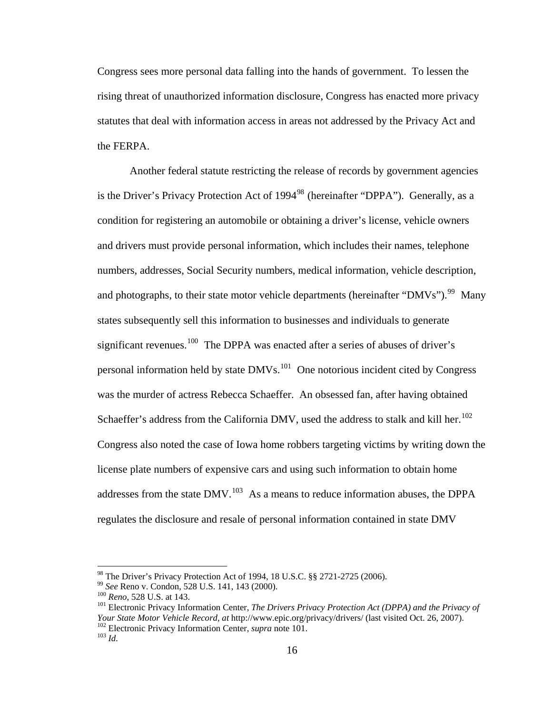Congress sees more personal data falling into the hands of government. To lessen the rising threat of unauthorized information disclosure, Congress has enacted more privacy statutes that deal with information access in areas not addressed by the Privacy Act and the FERPA.

Another federal statute restricting the release of records by government agencies is the Driver's Privacy Protection Act of  $1994<sup>98</sup>$  $1994<sup>98</sup>$  $1994<sup>98</sup>$  (hereinafter "DPPA"). Generally, as a condition for registering an automobile or obtaining a driver's license, vehicle owners and drivers must provide personal information, which includes their names, telephone numbers, addresses, Social Security numbers, medical information, vehicle description, and photographs, to their state motor vehicle departments (hereinafter "DMVs").<sup>[99](#page-25-1)</sup> Many states subsequently sell this information to businesses and individuals to generate significant revenues.<sup>[100](#page-25-2)</sup> The DPPA was enacted after a series of abuses of driver's personal information held by state  $DMVs<sup>101</sup>$  $DMVs<sup>101</sup>$  $DMVs<sup>101</sup>$  One notorious incident cited by Congress was the murder of actress Rebecca Schaeffer. An obsessed fan, after having obtained Schaeffer's address from the California DMV, used the address to stalk and kill her.<sup>[102](#page-25-4)</sup> Congress also noted the case of Iowa home robbers targeting victims by writing down the license plate numbers of expensive cars and using such information to obtain home addresses from the state  $DMV<sup>103</sup>$  $DMV<sup>103</sup>$  $DMV<sup>103</sup>$  As a means to reduce information abuses, the DPPA regulates the disclosure and resale of personal information contained in state DMV

<span id="page-25-0"></span> $98$  The Driver's Privacy Protection Act of 1994, 18 U.S.C.  $\S$ § 2721-2725 (2006).

<span id="page-25-3"></span>

<span id="page-25-2"></span><span id="page-25-1"></span><sup>&</sup>lt;sup>99</sup> *See* Reno v. Condon, 528 U.S. 141, 143 (2000).<br><sup>100</sup> *Reno*, 528 U.S. at 143. 101 Electronic Privacy Information Center, *The Drivers Privacy Protection Act (DPPA) and the Privacy of Your State Motor Vehicle Record*, *at* http://www.epic.org/privacy/drivers/ (last visited Oct. 26, 2007). 102 Electronic Privacy Information Center, *supra* note 101. 103 *Id.* 

<span id="page-25-5"></span><span id="page-25-4"></span>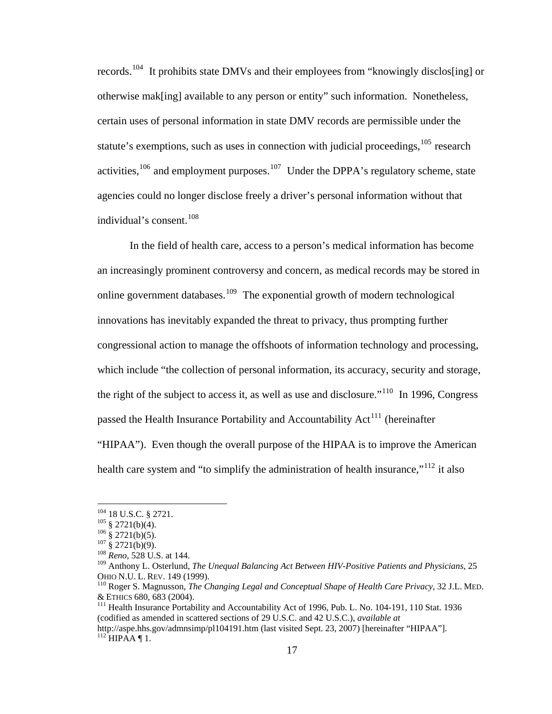records.[104](#page-26-0) It prohibits state DMVs and their employees from "knowingly disclos[ing] or otherwise mak[ing] available to any person or entity" such information. Nonetheless, certain uses of personal information in state DMV records are permissible under the statute's exemptions, such as uses in connection with judicial proceedings, $105$  research activities,  $106$  and employment purposes.  $107$  Under the DPPA's regulatory scheme, state agencies could no longer disclose freely a driver's personal information without that individual's consent.<sup>[108](#page-26-4)</sup>

In the field of health care, access to a person's medical information has become an increasingly prominent controversy and concern, as medical records may be stored in online government databases.<sup>[109](#page-26-5)</sup> The exponential growth of modern technological innovations has inevitably expanded the threat to privacy, thus prompting further congressional action to manage the offshoots of information technology and processing, which include "the collection of personal information, its accuracy, security and storage, the right of the subject to access it, as well as use and disclosure."<sup>[110](#page-26-6)</sup> In 1996, Congress passed the Health Insurance Portability and Accountability  $Act<sup>111</sup>$  $Act<sup>111</sup>$  $Act<sup>111</sup>$  (hereinafter "HIPAA"). Even though the overall purpose of the HIPAA is to improve the American health care system and "to simplify the administration of health insurance,"<sup>[112](#page-26-8)</sup> it also

1

<span id="page-26-3"></span><span id="page-26-2"></span>

<span id="page-26-1"></span><span id="page-26-0"></span><sup>104 18</sup> U.S.C. § 2721.<br>
<sup>105</sup> § 2721(b)(4).<br>
<sup>106</sup> § 2721(b)(5).<br>
<sup>107</sup> § 2721(b)(9).<br>
<sup>108</sup> *Reno*, 528 U.S. at 144.

<span id="page-26-5"></span><span id="page-26-4"></span><sup>&</sup>lt;sup>109</sup> Anthony L. Osterlund, *The Unequal Balancing Act Between HIV-Positive Patients and Physicians*, 25 OHIO N.U. L. REV. 149 (1999).

<span id="page-26-6"></span>OHIO N.U. L. REV. 149 (1999). 110 Roger S. Magnusson, *The Changing Legal and Conceptual Shape of Health Care Privacy*, 32 J.L. MED. & ETHICS 680, 683 (2004). 111 Health Insurance Portability and Accountability Act of 1996, Pub. L. No. 104-191, 110 Stat. 1936

<span id="page-26-7"></span><sup>(</sup>codified as amended in scattered sections of 29 U.S.C. and 42 U.S.C.), *available at* 

<span id="page-26-8"></span>http://aspe.hhs.gov/admnsimp/pl104191.htm (last visited Sept. 23, 2007) [hereinafter "HIPAA"].  $^{112}$  HIPAA ¶ 1.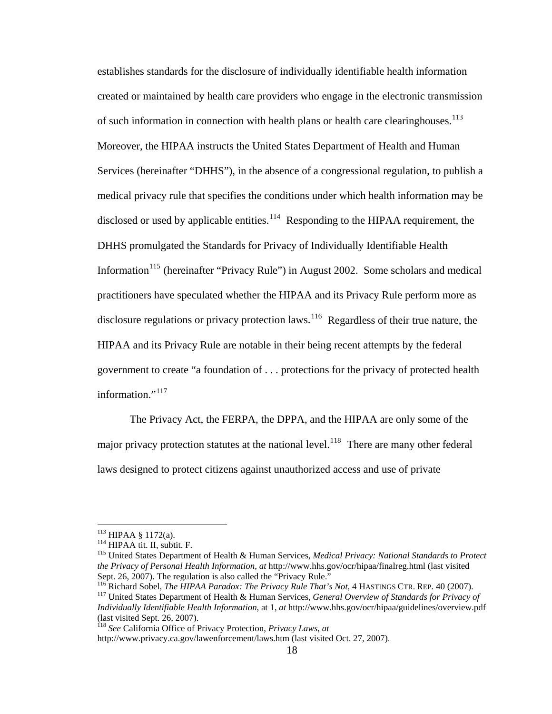created or maintained by health care providers who engage in the electronic transmission medical privacy rule that specifies the conditions under which health information may be establishes standards for the disclosure of individually identifiable health information of such information in connection with health plans or health care clearinghouses.<sup>[113](#page-27-0)</sup> Moreover, the HIPAA instructs the United States Department of Health and Human Services (hereinafter "DHHS"), in the absence of a congressional regulation, to publish a disclosed or used by applicable entities.<sup>[114](#page-27-1)</sup> Responding to the HIPAA requirement, the DHHS promulgated the Standards for Privacy of Individually Identifiable Health Information<sup>[115](#page-27-2)</sup> (hereinafter "Privacy Rule") in August 2002. Some scholars and medical practitioners have speculated whether the HIPAA and its Privacy Rule perform more as disclosure regulations or privacy protection laws.<sup>[116](#page-27-3)</sup> Regardless of their true nature, the HIPAA and its Privacy Rule are notable in their being recent attempts by the federal government to create "a foundation of . . . protections for the privacy of protected health information."<sup>[117](#page-27-4)</sup>

The Privacy Act, the FERPA, the DPPA, and the HIPAA are only some of the major privacy protection statutes at the national level.<sup>[118](#page-27-5)</sup> There are many other federal laws designed to protect citizens against unauthorized access and use of private

<span id="page-27-2"></span>

<span id="page-27-1"></span><span id="page-27-0"></span><sup>&</sup>lt;sup>113</sup> HIPAA § 1172(a).<br><sup>114</sup> HIPAA tit. II, subtit. F.<br><sup>115</sup> United States Department of Health & Human Services, *Medical Privacy: National Standards to Protect the Privacy of Personal Health Information*, *at* http://www.hhs.gov/ocr/hipaa/finalreg.html (last visited Sept. 26, 2007). The regulation is also called the "Privacy Rule."

<span id="page-27-3"></span><sup>116</sup> Richard Sobel, *The HIPAA Paradox: The Privacy Rule That's Not*, 4 HASTINGS CTR. REP. 40 (2007). 117 United States Department of Health & Human Services, *General Overview of Standards for Privacy of* 

<span id="page-27-4"></span>*Individually Identifiable Health Information*, at 1, *at* http://www.hhs.gov/ocr/hipaa/guidelines/overview.pdf (last visited Sept. 26, 2007).

<span id="page-27-5"></span><sup>118</sup> *See* California Office of Privacy Protection, *Privacy Laws*, *at*  http://www.privacy.ca.gov/lawenforcement/laws.htm (last visited Oct. 27, 2007).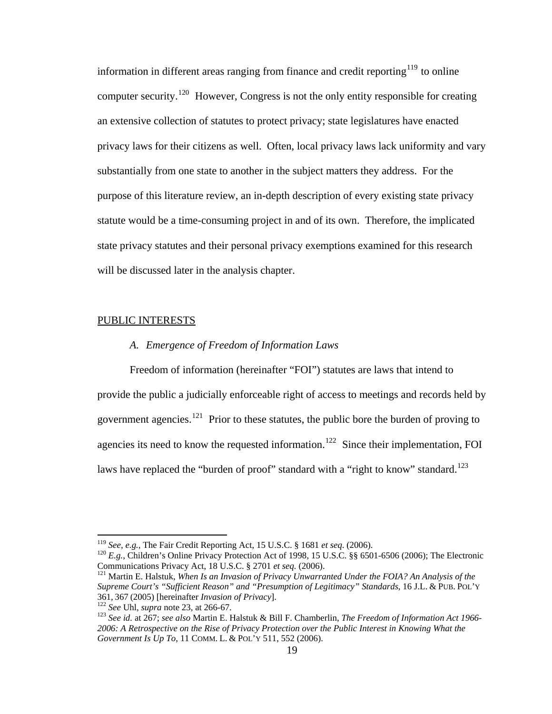information in different areas ranging from finance and credit reporting<sup>[119](#page-28-0)</sup> to online computer security.<sup>[120](#page-28-1)</sup> However, Congress is not the only entity responsible for creating an extensive collection of statutes to protect privacy; state legislatures have enacted privacy laws for their citizens as well. Often, local privacy laws lack uniformity and vary substantially from one state to another in the subject matters they address. For the purpose of this literature review, an in-depth description of every existing state privacy statute would be a time-consuming project in and of its own. Therefore, the implicated state privacy statutes and their personal privacy exemptions examined for this research will be discussed later in the analysis chapter.

### PUBLIC INTERESTS

#### *A. Emergence of Freedom of Information Laws*

Freedom of information (hereinafter "FOI") statutes are laws that intend to

provide the public a judicially enforceable right of access to meetings and records held by

government agencies.<sup>[121](#page-28-2)</sup> Prior to these statutes, the public bore the burden of proving to

agencies its need to know the requested information.<sup>[122](#page-28-3)</sup> Since their implementation, FOI

laws have replaced the "burden of proof" standard with a "right to know" standard.<sup>[123](#page-28-4)</sup>

1

<span id="page-28-1"></span><span id="page-28-0"></span><sup>&</sup>lt;sup>119</sup> *See, e.g.*, The Fair Credit Reporting Act, 15 U.S.C. § 1681 *et seq.* (2006).<br><sup>120</sup> *E.g.*, Children's Online Privacy Protection Act of 1998, 15 U.S.C. §§ 6501-6506 (2006); The Electronic Communications Privacy Act,

<span id="page-28-2"></span><sup>&</sup>lt;sup>121</sup> Martin E. Halstuk, *When Is an Invasion of Privacy Unwarranted Under the FOIA? An Analysis of the Supreme Court's "Sufficient Reason" and "Presumption of Legitimacy" Standards*, 16 J.L. & PUB. POL'Y 361, 367 (2005) [hereinafter *Invasion of Privacy*].<br><sup>122</sup> See Uhl, supra note 23, at 266-67.<br><sup>123</sup> See id. at 267; see also Martin E. Halstuk & Bill F. Chamberlin, *The Freedom of Information Act 1966*-

<span id="page-28-4"></span><span id="page-28-3"></span>*<sup>2006:</sup> A Retrospective on the Rise of Privacy Protection over the Public Interest in Knowing What the Government Is Up To*, 11 COMM. L. & POL'Y 511, 552 (2006).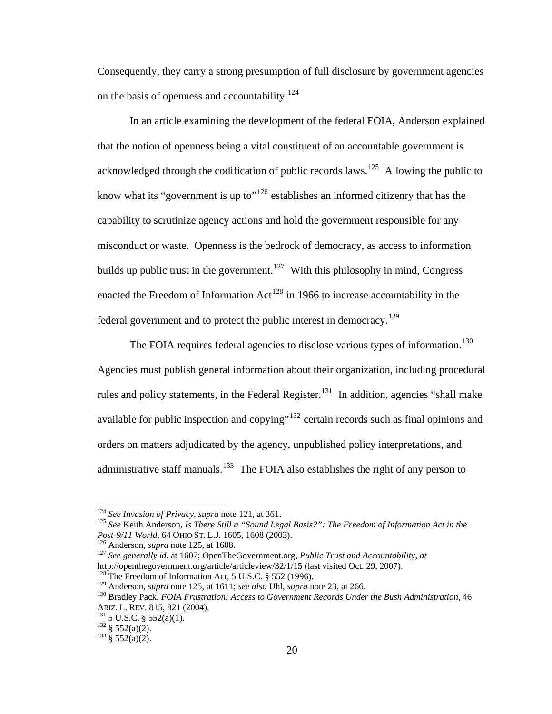Consequently, they carry a strong presumption of full disclosure by government agencies on the basis of openness and accountability.<sup>[124](#page-29-0)</sup>

In an article examining the development of the federal FOIA, Anderson explained that the notion of openness being a vital constituent of an accountable government is acknowledged through the codification of public records laws.<sup>[125](#page-29-1)</sup> Allowing the public to know what its "government is up to"<sup>[126](#page-29-2)</sup> establishes an informed citizenry that has the capability to scrutinize agency actions and hold the government responsible for any misconduct or waste. Openness is the bedrock of democracy, as access to information builds up public trust in the government.<sup>[127](#page-29-3)</sup> With this philosophy in mind, Congress enacted the Freedom of Information  $Act^{128}$  $Act^{128}$  $Act^{128}$  in 1966 to increase accountability in the federal government and to protect the public interest in democracy.<sup>[129](#page-29-5)</sup>

The FOIA requires federal agencies to disclose various types of information.<sup>[130](#page-29-6)</sup> Agencies must publish general information about their organization, including procedural rules and policy statements, in the Federal Register.<sup>[131](#page-29-7)</sup> In addition, agencies "shall make available for public inspection and copying"<sup>[132](#page-29-8)</sup> certain records such as final opinions and orders on matters adjudicated by the agency, unpublished policy interpretations, and administrative staff manuals.<sup>[133](#page-29-9)</sup> The FOIA also establishes the right of any person to

<span id="page-29-1"></span><span id="page-29-0"></span><sup>&</sup>lt;sup>124</sup> See Invasion of Privacy, *supra* note 121, at 361.<br><sup>125</sup> See Keith Anderson, *Is There Still a "Sound Legal Basis?": The Freedom of Information Act in the* 

<span id="page-29-3"></span>

<span id="page-29-2"></span>*Post-9/11 World*, 64 OHIO ST. L.J. 1605, 1608 (2003).<br><sup>126</sup> Anderson, *supra* note 125, at 1608.<br><sup>127</sup> *See generally id.* at 1607; OpenTheGovernment.org, *Public Trust and Accountability*, *at* http://openthegovernment.o

<span id="page-29-4"></span><sup>&</sup>lt;sup>128</sup> The Freedom of Information Act, 5 U.S.C. § 552 (1996). <sup>129</sup> Anderson, *supra* note 125, at 1611; *see also* Uhl, *supra* note 23, at 266.

<span id="page-29-6"></span><span id="page-29-5"></span><sup>&</sup>lt;sup>130</sup> Bradley Pack, *FOIA Frustration: Access to Government Records Under the Bush Administration*, 46 ARIZ. L. REV. 815, 821 (2004).<br><sup>131</sup> 5 U.S.C. § 552(a)(1).<br><sup>132</sup> § 552(a)(2).<br><sup>133</sup> § 552(a)(2).

<span id="page-29-7"></span>

<span id="page-29-8"></span>

<span id="page-29-9"></span>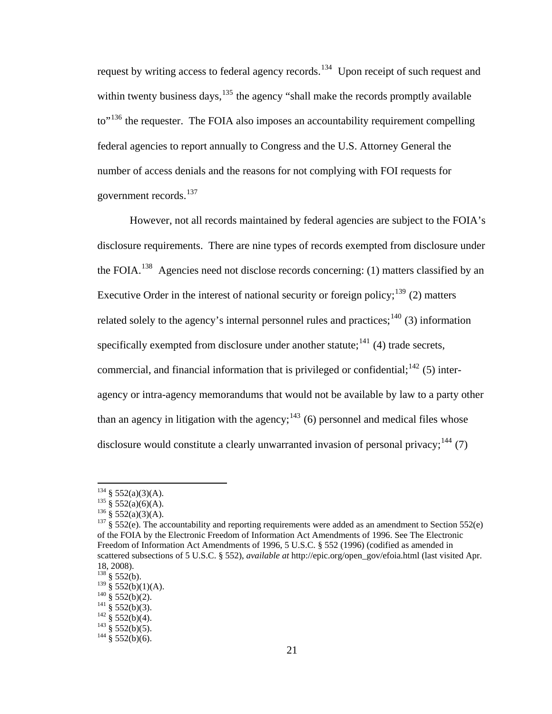request by writing access to federal agency records.<sup>[134](#page-30-0)</sup> Upon receipt of such request and within twenty business days,  $135$  the agency "shall make the records promptly available to<sup>"[136](#page-30-2)</sup> the requester. The FOIA also imposes an accountability requirement compelling federal agencies to report annually to Congress and the U.S. Attorney General the number of access denials and the reasons for not complying with FOI requests for government records.<sup>[137](#page-30-3)</sup>

However, not all records maintained by federal agencies are subject to the FOIA's disclosure requirements. There are nine types of records exempted from disclosure under the FOIA.<sup>[138](#page-30-4)</sup> Agencies need not disclose records concerning: (1) matters classified by an Executive Order in the interest of national security or foreign policy;  $139$  (2) matters related solely to the agency's internal personnel rules and practices;<sup>[140](#page-30-6)</sup> (3) information specifically exempted from disclosure under another statute;  $^{141}$  $^{141}$  $^{141}$  (4) trade secrets, commercial, and financial information that is privileged or confidential;  $^{142}$  $^{142}$  $^{142}$  (5) interagency or intra-agency memorandums that would not be available by law to a party other than an agency in litigation with the agency;  $143$  (6) personnel and medical files whose disclosure would constitute a clearly unwarranted invasion of personal privacy;  $144$  (7)

<span id="page-30-2"></span>

<span id="page-30-3"></span>

<span id="page-30-1"></span><span id="page-30-0"></span><sup>&</sup>lt;sup>134</sup> § 552(a)(3)(A).<br><sup>135</sup> § 552(a)(6)(A).<br><sup>136</sup> § 552(a)(3)(A).<br><sup>136</sup> § 552(e). The accountability and reporting requirements were added as an amendment to Section 552(e) of the FOIA by the Electronic Freedom of Information Act Amendments of 1996. See The Electronic Freedom of Information Act Amendments of 1996, 5 U.S.C. § 552 (1996) (codified as amended in scattered subsections of 5 U.S.C. § 552), *available at* http://epic.org/open\_gov/efoia.html (last visited Apr. 18, 2008).

<span id="page-30-4"></span> $^{138}$  § 552(b).<br><sup>139</sup> § 552(b)(1)(A).

<span id="page-30-7"></span><span id="page-30-6"></span><span id="page-30-5"></span><sup>&</sup>lt;sup>140</sup> § 552(b)(2).<br>
<sup>141</sup> § 552(b)(3).<br>
<sup>142</sup> § 552(b)(4).<br>
<sup>143</sup> § 552(b)(5).<br>
<sup>144</sup> § 552(b)(6).

<span id="page-30-8"></span>

<span id="page-30-9"></span>

<span id="page-30-10"></span>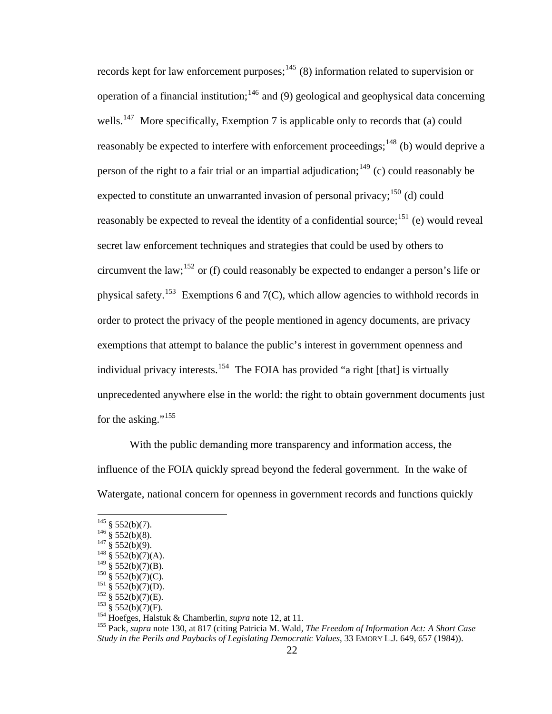records kept for law enforcement purposes;<sup>[145](#page-31-0)</sup> (8) information related to supervision or operation of a financial institution;<sup>[146](#page-31-1)</sup> and (9) geological and geophysical data concerning wells.<sup>[147](#page-31-2)</sup> More specifically, Exemption 7 is applicable only to records that (a) could reasonably be expected to interfere with enforcement proceedings;<sup>[148](#page-31-3)</sup> (b) would deprive a person of the right to a fair trial or an impartial adjudication;  $^{149}$  $^{149}$  $^{149}$  (c) could reasonably be expected to constitute an unwarranted invasion of personal privacy;<sup>[150](#page-31-5)</sup> (d) could reasonably be expected to reveal the identity of a confidential source; $151$  (e) would reveal secret law enforcement techniques and strategies that could be used by others to circumvent the law;<sup>[152](#page-31-7)</sup> or (f) could reasonably be expected to endanger a person's life or physical safety.<sup>[153](#page-31-8)</sup> Exemptions 6 and 7(C), which allow agencies to withhold records in order to protect the privacy of the people mentioned in agency documents, are privacy exemptions that attempt to balance the public's interest in government openness and individual privacy interests.<sup>[154](#page-31-9)</sup> The FOIA has provided "a right [that] is virtually unprecedented anywhere else in the world: the right to obtain government documents just for the asking."<sup>[155](#page-31-10)</sup>

With the public demanding more transparency and information access, the influence of the FOIA quickly spread beyond the federal government. In the wake of Watergate, national concern for openness in government records and functions quickly

<span id="page-31-0"></span> $145 \S 552(b)(7)$ .

<span id="page-31-3"></span>

<span id="page-31-2"></span><span id="page-31-1"></span><sup>&</sup>lt;sup>146</sup> § 552(b)(8).<br><sup>147</sup> § 552(b)(9).<br><sup>148</sup> § 552(b)(7)(A).<br><sup>149</sup> § 552(b)(7)(B).

<span id="page-31-8"></span><span id="page-31-7"></span>

<span id="page-31-10"></span><span id="page-31-9"></span>

<span id="page-31-6"></span><span id="page-31-5"></span><span id="page-31-4"></span><sup>&</sup>lt;sup>150</sup> § 552(b)(7)(C).<br>
<sup>151</sup> § 552(b)(7)(D).<br>
<sup>152</sup> § 552(b)(7)(D).<br>
<sup>152</sup> § 552(b)(7)(E).<br>
<sup>152</sup> § 552(b)(7)(E).<br>
<sup>152</sup> § 552(b)(7)(F).<br>
<sup>154</sup> Hoefges, Halstuk & Chamberlin, *supra* note 12, at 11.<br>
<sup>154</sup> Hoefges, Halstu *Study in the Perils and Paybacks of Legislating Democratic Values*, 33 EMORY L.J. 649, 657 (1984)).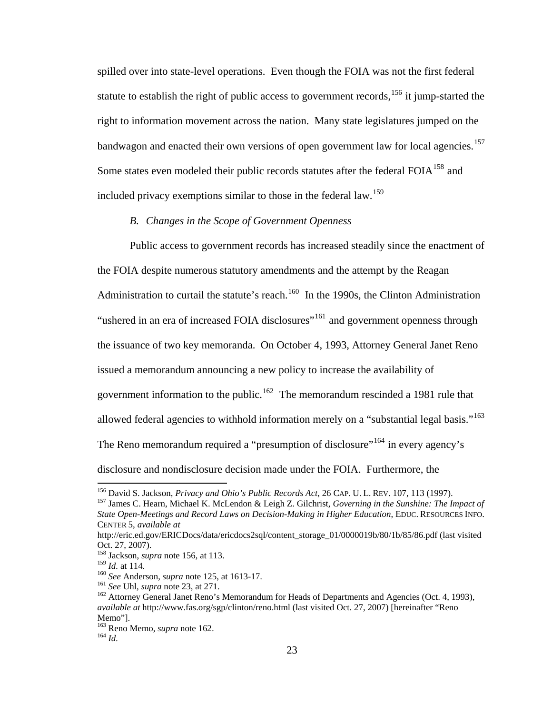spilled over into state-level operations. Even though the FOIA was not the first federal statute to establish the right of public access to government records,  $156$  it jump-started the right to information movement across the nation. Many state legislatures jumped on the bandwagon and enacted their own versions of open government law for local agencies.<sup>[157](#page-32-1)</sup> Some states even modeled their public records statutes after the federal FOIA<sup>[158](#page-32-2)</sup> and included privacy exemptions similar to those in the federal law.<sup>[159](#page-32-3)</sup>

#### *B. Changes in the Scope of Government Openness*

Public access to government records has increased steadily since the enactment of the FOIA despite numerous statutory amendments and the attempt by the Reagan Administration to curtail the statute's reach.<sup>[160](#page-32-4)</sup> In the 1990s, the Clinton Administration "ushered in an era of increased FOIA disclosures"<sup>[161](#page-32-5)</sup> and government openness through the issuance of two key memoranda. On October 4, 1993, Attorney General Janet Reno issued a memorandum announcing a new policy to increase the availability of government information to the public.<sup>[162](#page-32-6)</sup> The memorandum rescinded a 1981 rule that allowed federal agencies to withhold information merely on a "substantial legal basis."<sup>[163](#page-32-7)</sup> The Reno memorandum required a "presumption of disclosure"<sup>[164](#page-32-8)</sup> in every agency's disclosure and nondisclosure decision made under the FOIA. Furthermore, the

<span id="page-32-1"></span><span id="page-32-0"></span><sup>&</sup>lt;sup>156</sup> David S. Jackson, *Privacy and Ohio's Public Records Act*, 26 CAP. U. L. REV. 107, 113 (1997).<br><sup>157</sup> James C. Hearn, Michael K. McLendon & Leigh Z. Gilchrist, *Governing in the Sunshine: The Impact of State Open-Meetings and Record Laws on Decision-Making in Higher Education*, EDUC. RESOURCES INFO. CENTER 5, *available at*

http://eric.ed.gov/ERICDocs/data/ericdocs2sql/content\_storage\_01/0000019b/80/1b/85/86.pdf (last visited Oct. 27, 2007).

<span id="page-32-2"></span><sup>&</sup>lt;sup>158</sup> Jackson, *supra* note 156, at 113.<br><sup>159</sup> *Id.* at 114.

<span id="page-32-6"></span>

<span id="page-32-5"></span><span id="page-32-4"></span><span id="page-32-3"></span><sup>&</sup>lt;sup>160</sup> See Anderson, *supra* note 125, at 1613-17.<br><sup>161</sup> See Uhl, *supra* note 23, at 271.<br><sup>162</sup> Attorney General Janet Reno's Memorandum for Heads of Departments and Agencies (Oct. 4, 1993). *available at* http://www.fas.org/sgp/clinton/reno.html (last visited Oct. 27, 2007) [hereinafter "Reno Memo"].

<span id="page-32-7"></span><sup>163</sup> Reno Memo, *supra* note 162. 164 *Id.*

<span id="page-32-8"></span>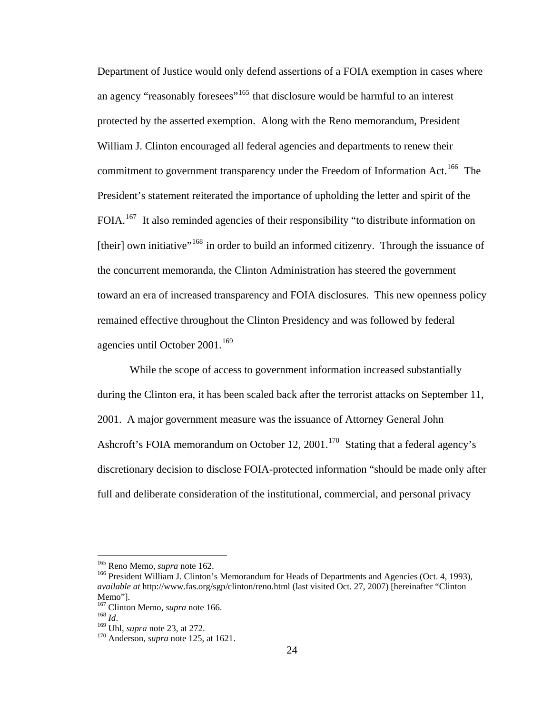Department of Justice would only defend assertions of a FOIA exemption in cases where an agency "reasonably foresees"<sup>[165](#page-33-0)</sup> that disclosure would be harmful to an interest protected by the asserted exemption. Along with the Reno memorandum, President William J. Clinton encouraged all federal agencies and departments to renew their commitment to government transparency under the Freedom of Information Act.<sup>[166](#page-33-1)</sup> The President's statement reiterated the importance of upholding the letter and spirit of the FOIA.<sup>[167](#page-33-2)</sup> It also reminded agencies of their responsibility "to distribute information on [their] own initiative"<sup>[168](#page-33-3)</sup> in order to build an informed citizenry. Through the issuance of the concurrent memoranda, the Clinton Administration has steered the government toward an era of increased transparency and FOIA disclosures. This new openness policy remained effective throughout the Clinton Presidency and was followed by federal agencies until October  $2001$ .<sup>[169](#page-33-4)</sup>

While the scope of access to government information increased substantially during the Clinton era, it has been scaled back after the terrorist attacks on September 11, 2001. A major government measure was the issuance of Attorney General John Ashcroft's FOIA memorandum on October 12, 2001.<sup>[170](#page-33-5)</sup> Stating that a federal agency's discretionary decision to disclose FOIA-protected information "should be made only after full and deliberate consideration of the institutional, commercial, and personal privacy

<span id="page-33-1"></span><span id="page-33-0"></span><sup>&</sup>lt;sup>165</sup> Reno Memo, *supra* note 162.<br><sup>166</sup> President William J. Clinton's Memorandum for Heads of Departments and Agencies (Oct. 4, 1993), *available at* http://www.fas.org/sgp/clinton/reno.html (last visited Oct. 27, 2007) [hereinafter "Clinton

Memo"].<br><sup>167</sup> Clinton Memo, *supra* note 166.

<span id="page-33-5"></span><span id="page-33-4"></span><span id="page-33-3"></span>

<span id="page-33-2"></span><sup>168</sup> *Id.* 169 Uhl, *supra* note 23, at 272. 170 Anderson, *supra* note 125, at 1621.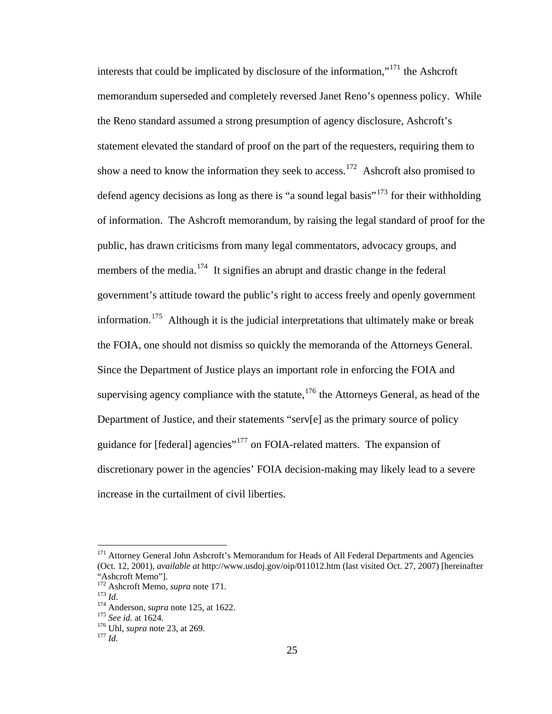interests that could be implicated by disclosure of the information,"[171](#page-34-0) the Ashcroft memorandum superseded and completely reversed Janet Reno's openness policy. While the Reno standard assumed a strong presumption of agency disclosure, Ashcroft's statement elevated the standard of proof on the part of the requesters, requiring them to show a need to know the information they seek to access.<sup>[172](#page-34-1)</sup> Ashcroft also promised to defend agency decisions as long as there is "a sound legal basis"<sup>[173](#page-34-2)</sup> for their withholding of information. The Ashcroft memorandum, by raising the legal standard of proof for the public, has drawn criticisms from many legal commentators, advocacy groups, and members of the media.<sup>[174](#page-34-3)</sup> It signifies an abrupt and drastic change in the federal government's attitude toward the public's right to access freely and openly government information.<sup>[175](#page-34-4)</sup> Although it is the judicial interpretations that ultimately make or break the FOIA, one should not dismiss so quickly the memoranda of the Attorneys General. Since the Department of Justice plays an important role in enforcing the FOIA and supervising agency compliance with the statute, $176$  the Attorneys General, as head of the Department of Justice, and their statements "serv[e] as the primary source of policy guidance for [federal] agencies"[177](#page-34-6) on FOIA-related matters. The expansion of discretionary power in the agencies' FOIA decision-making may likely lead to a severe increase in the curtailment of civil liberties.

<span id="page-34-0"></span><sup>&</sup>lt;sup>171</sup> Attorney General John Ashcroft's Memorandum for Heads of All Federal Departments and Agencies (Oct. 12, 2001), *available at* http://www.usdoj.gov/oip/011012.htm (last visited Oct. 27, 2007) [hereinafter

<sup>&</sup>quot;Ashcroft Memo"].<br><sup>172</sup> Ashcroft Memo, *supra* note 171.

<span id="page-34-3"></span><span id="page-34-2"></span><span id="page-34-1"></span><sup>173</sup> *Id.* 174 Anderson, *supra* note 125, at 1622. 175 *See id.* at 1624. 176 Uhl, *supra* note 23, at 269. 177 *Id.* 

<span id="page-34-6"></span><span id="page-34-5"></span><span id="page-34-4"></span>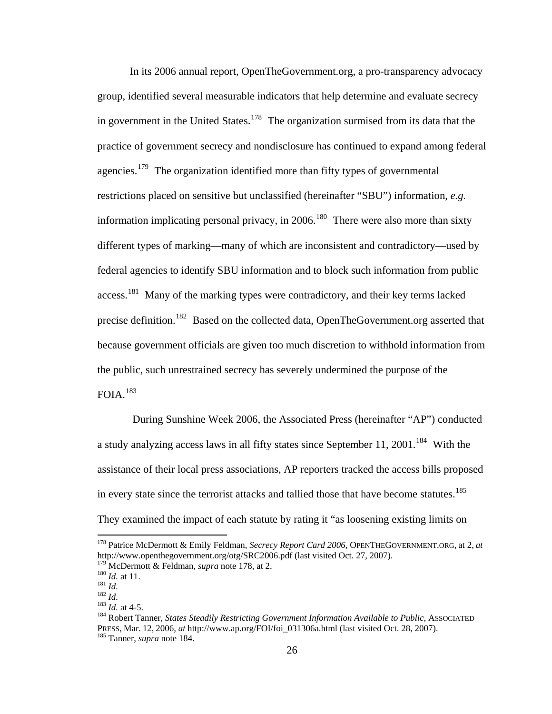In its 2006 annual report, OpenTheGovernment.org, a pro-transparency advocacy group, identified several measurable indicators that help determine and evaluate secrecy in government in the United States.<sup>[178](#page-35-0)</sup> The organization surmised from its data that the practice of government secrecy and nondisclosure has continued to expand among federal agencies.<sup>[179](#page-35-1)</sup> The organization identified more than fifty types of governmental restrictions placed on sensitive but unclassified (hereinafter "SBU") information, *e.g.*  information implicating personal privacy, in  $2006$ <sup>[180](#page-35-2)</sup> There were also more than sixty different types of marking—many of which are inconsistent and contradictory—used by federal agencies to identify SBU information and to block such information from public access.<sup>[181](#page-35-3)</sup> Many of the marking types were contradictory, and their key terms lacked precise definition.<sup>[182](#page-35-4)</sup> Based on the collected data, OpenTheGovernment.org asserted that because government officials are given too much discretion to withhold information from the public, such unrestrained secrecy has severely undermined the purpose of the  $FOIA.<sup>183</sup>$  $FOIA.<sup>183</sup>$  $FOIA.<sup>183</sup>$ 

 During Sunshine Week 2006, the Associated Press (hereinafter "AP") conducted a study analyzing access laws in all fifty states since September 11, 2001.<sup>[184](#page-35-6)</sup> With the assistance of their local press associations, AP reporters tracked the access bills proposed in every state since the terrorist attacks and tallied those that have become statutes.<sup>[185](#page-35-7)</sup> They examined the impact of each statute by rating it "as loosening existing limits on

<span id="page-35-0"></span><sup>178</sup> Patrice McDermott & Emily Feldman, *Secrecy Report Card 2006*, OPENTHEGOVERNMENT.ORG, at 2, *at*  http://www.openthegovernment.org/otg/SRC2006.pdf (last visited Oct. 27, 2007).<br><sup>179</sup> McDermott & Feldman, *supra* note 178, at 2.

<span id="page-35-4"></span>

<span id="page-35-5"></span>

<span id="page-35-7"></span><span id="page-35-6"></span>

<span id="page-35-3"></span><span id="page-35-2"></span><span id="page-35-1"></span><sup>&</sup>lt;sup>180</sup> *Id.* at 11.<br><sup>181</sup> *Id.*<br><sup>181</sup> *Id.*<br><sup>182</sup> *Id.* at 4-5.<br><sup>183</sup> *Id.* at 4-5.<br><sup>184</sup> Robert Tanner, *States Steadily Restricting Government Information Available to Public, ASSOCIATED* PRESS, Mar. 12, 2006, *at* http://www.ap.org/FOI/foi\_031306a.html (last visited Oct. 28, 2007). 185 Tanner, *supra* note 184.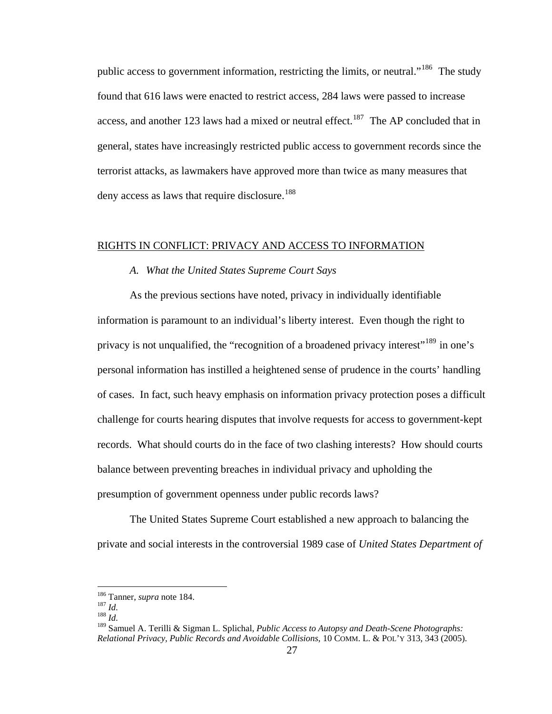public access to government information, restricting the limits, or neutral."<sup>[186](#page-36-0)</sup> The study found that 616 laws were enacted to restrict access, 284 laws were passed to increase access, and another 123 laws had a mixed or neutral effect.<sup>[187](#page-36-1)</sup> The AP concluded that in general, states have increasingly restricted public access to government records since the terrorist attacks, as lawmakers have approved more than twice as many measures that deny access as laws that require disclosure.<sup>[188](#page-36-2)</sup>

## RIGHTS IN CONFLICT: PRIVACY AND ACCESS TO INFORMATION

# *A. What the United States Supreme Court Says*

As the previous sections have noted, privacy in individually identifiable information is paramount to an individual's liberty interest. Even though the right to privacy is not unqualified, the "recognition of a broadened privacy interest"<sup>[189](#page-36-3)</sup> in one's personal information has instilled a heightened sense of prudence in the courts' handling of cases. In fact, such heavy emphasis on information privacy protection poses a difficult challenge for courts hearing disputes that involve requests for access to government-kept records. What should courts do in the face of two clashing interests? How should courts balance between preventing breaches in individual privacy and upholding the presumption of government openness under public records laws?

The United States Supreme Court established a new approach to balancing the private and social interests in the controversial 1989 case of *United States Department of* 

<span id="page-36-1"></span><span id="page-36-0"></span><sup>186</sup> Tanner, *supra* note 184. 187 *Id.* <sup>188</sup> *Id.*

<span id="page-36-2"></span>

<span id="page-36-3"></span><sup>189</sup> Samuel A. Terilli & Sigman L. Splichal, *Public Access to Autopsy and Death-Scene Photographs: Relational Privacy, Public Records and Avoidable Collisions*, 10 COMM. L. & POL'Y 313, 343 (2005).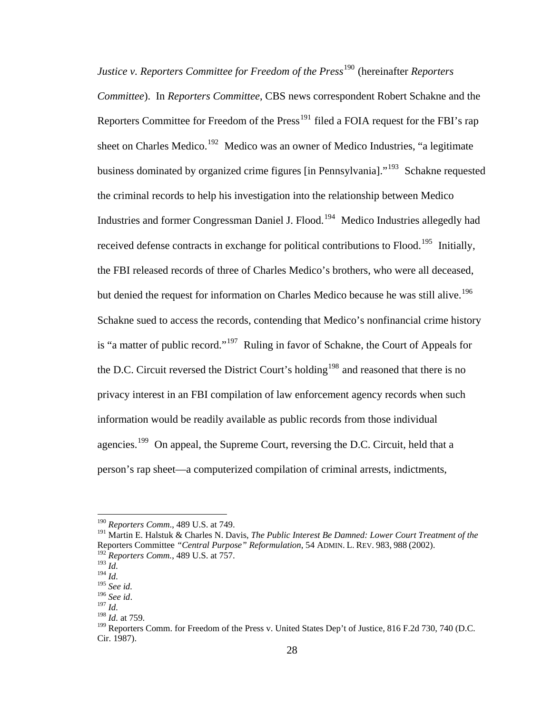*Justice v. Reporters Committee for Freedom of the Press*<sup>[190](#page-37-0)</sup> (hereinafter *Reporters Committee*). In *Reporters Committee*, CBS news correspondent Robert Schakne and the Reporters Committee for Freedom of the  $Press^{191}$  $Press^{191}$  $Press^{191}$  filed a FOIA request for the FBI's rap sheet on Charles Medico.<sup>[192](#page-37-2)</sup> Medico was an owner of Medico Industries, "a legitimate business dominated by organized crime figures [in Pennsylvania]."<sup>[193](#page-37-3)</sup> Schakne requested the criminal records to help his investigation into the relationship between Medico Industries and former Congressman Daniel J. Flood.[194](#page-37-4) Medico Industries allegedly had received defense contracts in exchange for political contributions to Flood.<sup>[195](#page-37-5)</sup> Initially, the FBI released records of three of Charles Medico's brothers, who were all deceased, but denied the request for information on Charles Medico because he was still alive.<sup>[196](#page-37-6)</sup> Schakne sued to access the records, contending that Medico's nonfinancial crime history is "a matter of public record."<sup>[197](#page-37-7)</sup> Ruling in favor of Schakne, the Court of Appeals for the D.C. Circuit reversed the District Court's holding<sup>[198](#page-37-8)</sup> and reasoned that there is no privacy interest in an FBI compilation of law enforcement agency records when such information would be readily available as public records from those individual agencies.<sup>[199](#page-37-9)</sup> On appeal, the Supreme Court, reversing the D.C. Circuit, held that a person's rap sheet—a computerized compilation of criminal arrests, indictments,

<span id="page-37-0"></span><sup>190</sup> *Reporters Comm*., 489 U.S. at 749.

<span id="page-37-1"></span><sup>191</sup> Martin E. Halstuk & Charles N. Davis, *The Public Interest Be Damned: Lower Court Treatment of the*  Reporters Committee *"Central Purpose" Reformulation*, 54 ADMIN. L. REV. 983, 988 (2002). <sup>192</sup> *Reporters Comm.*, 489 U.S. at 757.

<span id="page-37-3"></span><span id="page-37-2"></span><sup>193</sup> *Id.* 

 $194$  *Id.* 

<span id="page-37-5"></span><span id="page-37-4"></span><sup>195</sup> *See id.*

<span id="page-37-6"></span><sup>196</sup> *See id*. 197 *Id.*

<span id="page-37-8"></span><span id="page-37-7"></span>

<sup>198</sup> *Id.* at 759.

<span id="page-37-9"></span><sup>&</sup>lt;sup>199</sup> Reporters Comm. for Freedom of the Press v. United States Dep't of Justice, 816 F.2d 730, 740 (D.C. Cir. 1987).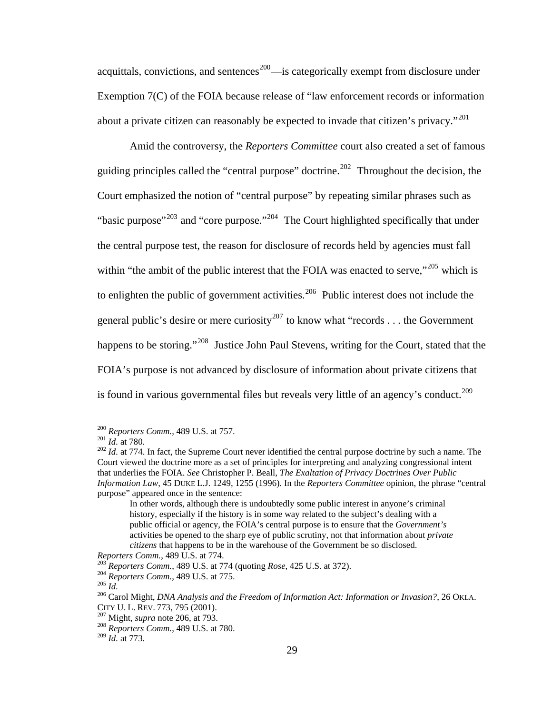acquittals, convictions, and sentences<sup>[200](#page-38-0)</sup>—is categorically exempt from disclosure under Exemption 7(C) of the FOIA because release of "law enforcement records or information about a private citizen can reasonably be expected to invade that citizen's privacy."<sup>[201](#page-38-1)</sup>

Amid the controversy, the *Reporters Committee* court also created a set of famous guiding principles called the "central purpose" doctrine.<sup>[202](#page-38-2)</sup> Throughout the decision, the Court emphasized the notion of "central purpose" by repeating similar phrases such as "basic purpose"<sup>[203](#page-38-3)</sup> and "core purpose."<sup>204</sup> The Court highlighted specifically that under the central purpose test, the reason for disclosure of records held by agencies must fall within "the ambit of the public interest that the FOIA was enacted to serve,"<sup>[205](#page-38-5)</sup> which is to enlighten the public of government activities.<sup>[206](#page-38-6)</sup> Public interest does not include the general public's desire or mere curiosity<sup>[207](#page-38-7)</sup> to know what "records . . . the Government" happens to be storing."<sup>[208](#page-38-8)</sup> Justice John Paul Stevens, writing for the Court, stated that the FOIA's purpose is not advanced by disclosure of information about private citizens that is found in various governmental files but reveals very little of an agency's conduct.<sup>[209](#page-38-9)</sup>

<span id="page-38-2"></span><span id="page-38-1"></span>

<span id="page-38-0"></span><sup>&</sup>lt;sup>200</sup> *Reporters Comm.*, 489 U.S. at 757.<br><sup>201</sup> *Id.* at 780.<br><sup>202</sup> *Id.* at 774. In fact, the Supreme Court never identified the central purpose doctrine by such a name. The Court viewed the doctrine more as a set of principles for interpreting and analyzing congressional intent that underlies the FOIA. *See* Christopher P. Beall, *The Exaltation of Privacy Doctrines Over Public Information Law*, 45 DUKE L.J. 1249, 1255 (1996). In the *Reporters Committee* opinion, the phrase "central purpose" appeared once in the sentence:

In other words, although there is undoubtedly some public interest in anyone's criminal history, especially if the history is in some way related to the subject's dealing with a public official or agency, the FOIA's central purpose is to ensure that the *Government's*  activities be opened to the sharp eye of public scrutiny, not that information about *private citizens* that happens to be in the warehouse of the Government be so disclosed.

<span id="page-38-5"></span><span id="page-38-4"></span>

<span id="page-38-6"></span>

<span id="page-38-3"></span>Reporters Comm., 489 U.S. at 774.<br>
<sup>203</sup> Reporters Comm., 489 U.S. at 774 (quoting Rose, 425 U.S. at 372).<br>
<sup>204</sup> Reporters Comm., 489 U.S. at 775.<br>
<sup>206</sup> Carol Might, *DNA Analysis and the Freedom of Information Act: Info* 

<span id="page-38-8"></span>

<span id="page-38-7"></span><sup>&</sup>lt;sup>207</sup> Might, *supra* note 206, at 793.<br><sup>208</sup> Reporters Comm., 489 U.S. at 780.

<span id="page-38-9"></span><sup>209</sup> *Id.* at 773.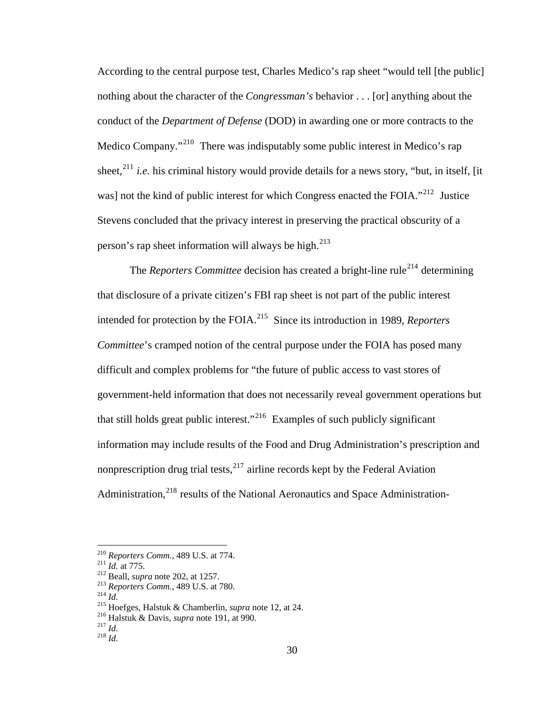According to the central purpose test, Charles Medico's rap sheet "would tell [the public] nothing about the character of the *Congressman's* behavior . . . [or] anything about the conduct of the *Department of Defense* (DOD) in awarding one or more contracts to the Medico Company."<sup>[210](#page-39-0)</sup> There was indisputably some public interest in Medico's rap sheet.<sup>[211](#page-39-1)</sup> *i.e.* his criminal history would provide details for a news story, "but, in itself, [it] was] not the kind of public interest for which Congress enacted the FOIA."<sup>[212](#page-39-2)</sup> Justice Stevens concluded that the privacy interest in preserving the practical obscurity of a person's rap sheet information will always be high. $^{213}$  $^{213}$  $^{213}$ 

The *Reporters Committee* decision has created a bright-line rule<sup>[214](#page-39-4)</sup> determining that disclosure of a private citizen's FBI rap sheet is not part of the public interest intended for protection by the FOIA.[215](#page-39-5) Since its introduction in 1989, *Reporters Committee*'s cramped notion of the central purpose under the FOIA has posed many difficult and complex problems for "the future of public access to vast stores of government-held information that does not necessarily reveal government operations but that still holds great public interest."<sup>[216](#page-39-6)</sup> Examples of such publicly significant information may include results of the Food and Drug Administration's prescription and nonprescription drug trial tests, $^{217}$  $^{217}$  $^{217}$  airline records kept by the Federal Aviation Administration,<sup>[218](#page-39-8)</sup> results of the National Aeronautics and Space Administration-

<span id="page-39-2"></span>

<span id="page-39-5"></span><span id="page-39-4"></span><span id="page-39-3"></span>

<span id="page-39-1"></span><span id="page-39-0"></span><sup>&</sup>lt;sup>210</sup> Reporters Comm., 489 U.S. at 774.<br><sup>211</sup> *Id.* at 775.<br><sup>212</sup> Beall, *supra* note 202, at 1257.<br><sup>213</sup> Reporters Comm., 489 U.S. at 780.<br><sup>214</sup> *Id.*<br><sup>215</sup> Hoefges, Halstuk & Chamberlin, *supra* note 12, at 24.<br><sup>216</sup> Ha

<span id="page-39-6"></span>

<span id="page-39-7"></span>

<span id="page-39-8"></span>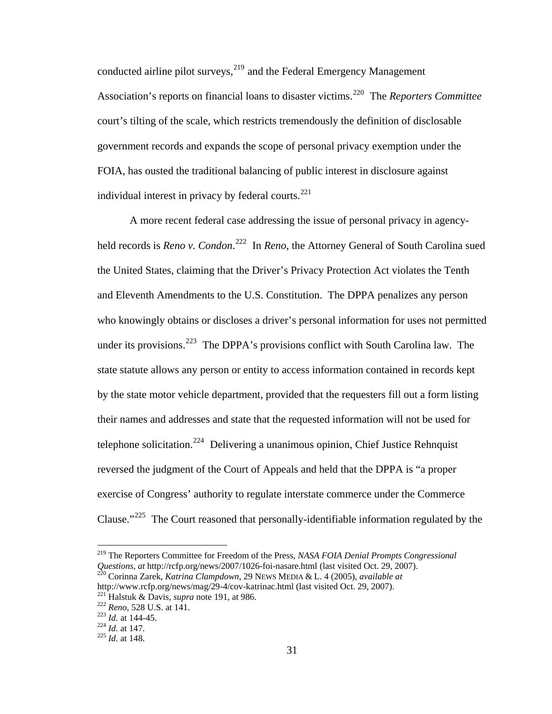individual interest in privacy by federal courts. $^{221}$ conducted airline pilot surveys,<sup>[219](#page-40-0)</sup> and the Federal Emergency Management Association's reports on financial loans to disaster victims.[220](#page-40-1) The *Reporters Committee* court's tilting of the scale, which restricts tremendously the definition of disclosable government records and expands the scope of personal privacy exemption under the FOIA, has ousted the traditional balancing of public interest in disclosure against

A more recent federal case addressing the issue of personal privacy in agencyheld records is *Reno v. Condon*.<sup>[222](#page-40-2)</sup> In *Reno*, the Attorney General of South Carolina sued the United States, claiming that the Driver's Privacy Protection Act violates the Tenth and Eleventh Amendments to the U.S. Constitution. The DPPA penalizes any person who knowingly obtains or discloses a driver's personal information for uses not permitted under its provisions.<sup>[223](#page-40-3)</sup> The DPPA's provisions conflict with South Carolina law. The state statute allows any person or entity to access information contained in records kept by the state motor vehicle department, provided that the requesters fill out a form listing their names and addresses and state that the requested information will not be used for telephone solicitation.<sup>[224](#page-40-4)</sup> Delivering a unanimous opinion, Chief Justice Rehnquist reversed the judgment of the Court of Appeals and held that the DPPA is "a proper exercise of Congress' authority to regulate interstate commerce under the Commerce Clause."<sup>[225](#page-40-5)</sup> The Court reasoned that personally-identifiable information regulated by the

<span id="page-40-0"></span><sup>219</sup> The Reporters Committee for Freedom of the Press, *NASA FOIA Denial Prompts Congressional Questions*, *at* http://rcfp.org/news/2007/1026-foi-nasare.html (last visited Oct. 29, 2007). 220 Corinna Zarek, *Katrina Clampdown*, 29 NEWS MEDIA & L. 4 (2005), *available at* 

<span id="page-40-1"></span>http://www.rcfp.org/news/mag/29-4/cov-katrinac.html (last visited Oct. 29, 2007).<br>
<sup>221</sup> Halstuk & Davis, *supra* note 191, at 986.<br>
<sup>222</sup> Reno, 528 U.S. at 141.<br>
<sup>223</sup> Id. at 144-45.<br>
<sup>224</sup> Id. at 147.<br>
<sup>225</sup> Id. at 148.

<span id="page-40-3"></span><span id="page-40-2"></span>

<span id="page-40-4"></span>

<span id="page-40-5"></span>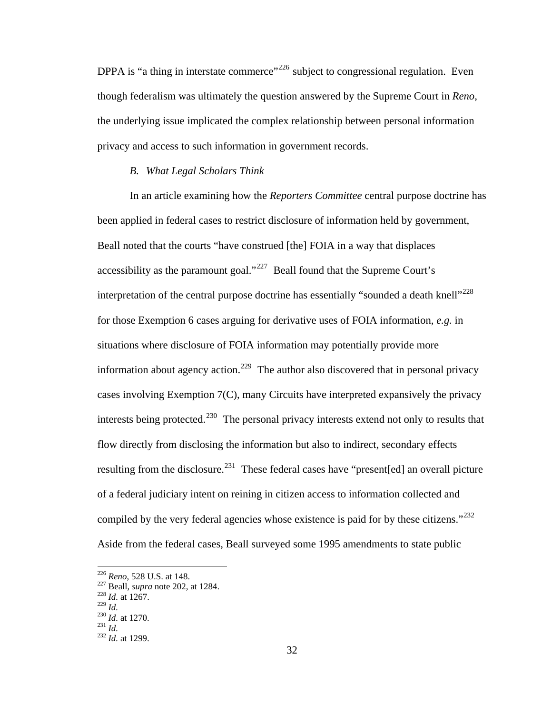DPPA is "a thing in interstate commerce"<sup>[226](#page-41-0)</sup> subject to congressional regulation. Even though federalism was ultimately the question answered by the Supreme Court in *Reno*, the underlying issue implicated the complex relationship between personal information privacy and access to such information in government records.

#### *B. What Legal Scholars Think*

In an article examining how the *Reporters Committee* central purpose doctrine has been applied in federal cases to restrict disclosure of information held by government, Beall noted that the courts "have construed [the] FOIA in a way that displaces accessibility as the paramount goal."<sup>[227](#page-41-1)</sup> Beall found that the Supreme Court's interpretation of the central purpose doctrine has essentially "sounded a death knell"<sup> $228$ </sup> for those Exemption 6 cases arguing for derivative uses of FOIA information, *e.g.* in situations where disclosure of FOIA information may potentially provide more information about agency action.<sup>[229](#page-41-3)</sup> The author also discovered that in personal privacy cases involving Exemption 7(C), many Circuits have interpreted expansively the privacy interests being protected.<sup>[230](#page-41-4)</sup> The personal privacy interests extend not only to results that flow directly from disclosing the information but also to indirect, secondary effects resulting from the disclosure.<sup>[231](#page-41-5)</sup> These federal cases have "present[ed] an overall picture of a federal judiciary intent on reining in citizen access to information collected and compiled by the very federal agencies whose existence is paid for by these citizens."<sup>[232](#page-41-6)</sup> Aside from the federal cases, Beall surveyed some 1995 amendments to state public

<span id="page-41-1"></span><span id="page-41-0"></span><sup>226</sup> *Reno*, 528 U.S. at 148. 227 Beall, *supra* note 202, at 1284. 228 *Id.* at 1267.

<span id="page-41-4"></span><span id="page-41-3"></span><span id="page-41-2"></span>

<sup>229</sup> *Id.* <sup>230</sup> *Id.* at 1270. 231 *Id.* <sup>232</sup> *Id.* at 1299.

<span id="page-41-5"></span>

<span id="page-41-6"></span>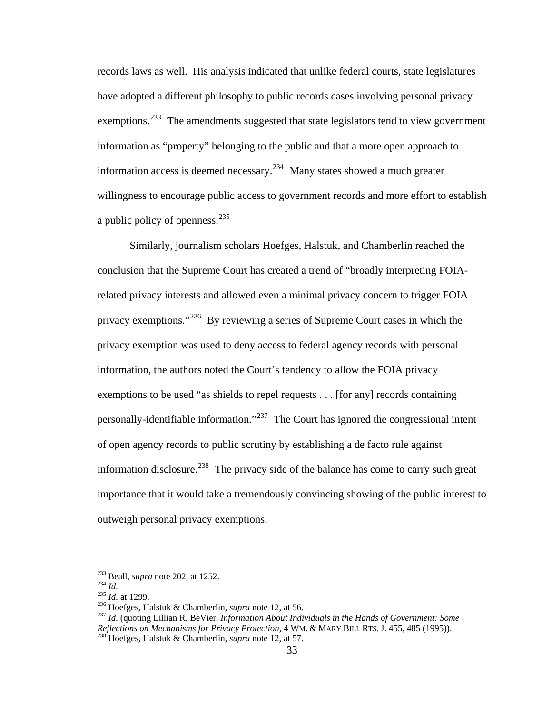records laws as well. His analysis indicated that unlike federal courts, state legislatures have adopted a different philosophy to public records cases involving personal privacy exemptions.<sup>[233](#page-42-0)</sup> The amendments suggested that state legislators tend to view government information as "property" belonging to the public and that a more open approach to information access is deemed necessary.<sup>[234](#page-42-1)</sup> Many states showed a much greater willingness to encourage public access to government records and more effort to establish a public policy of openness.<sup>[235](#page-42-2)</sup>

Similarly, journalism scholars Hoefges, Halstuk, and Chamberlin reached the conclusion that the Supreme Court has created a trend of "broadly interpreting FOIArelated privacy interests and allowed even a minimal privacy concern to trigger FOIA privacy exemptions."[236](#page-42-3) By reviewing a series of Supreme Court cases in which the privacy exemption was used to deny access to federal agency records with personal information, the authors noted the Court's tendency to allow the FOIA privacy exemptions to be used "as shields to repel requests . . . [for any] records containing personally-identifiable information."<sup>[237](#page-42-4)</sup> The Court has ignored the congressional intent of open agency records to public scrutiny by establishing a de facto rule against information disclosure.<sup>[238](#page-42-5)</sup> The privacy side of the balance has come to carry such great importance that it would take a tremendously convincing showing of the public interest to outweigh personal privacy exemptions.

<span id="page-42-0"></span> $233$  Beall, *supra* note 202, at 1252.

<span id="page-42-2"></span>

<span id="page-42-5"></span><span id="page-42-4"></span><span id="page-42-3"></span>

<span id="page-42-1"></span><sup>234</sup> Id.<br>
235 Id. at 1299.<br>
236 Hoefges, Halstuk & Chamberlin, *supra* note 12, at 56.<br>
236 Hoefges, Halstuk & Chamberlin, *supra* note 12, at 56.<br>
237 Id. (quoting Lillian R. BeVier, *Information About Individuals in the Reflections on Mechanisms for Privacy Protection*, 4 WM. & MARY BILL RTS. J. 455, 485 (1995)). 238 Hoefges, Halstuk & Chamberlin, *supra* note 12, at 57.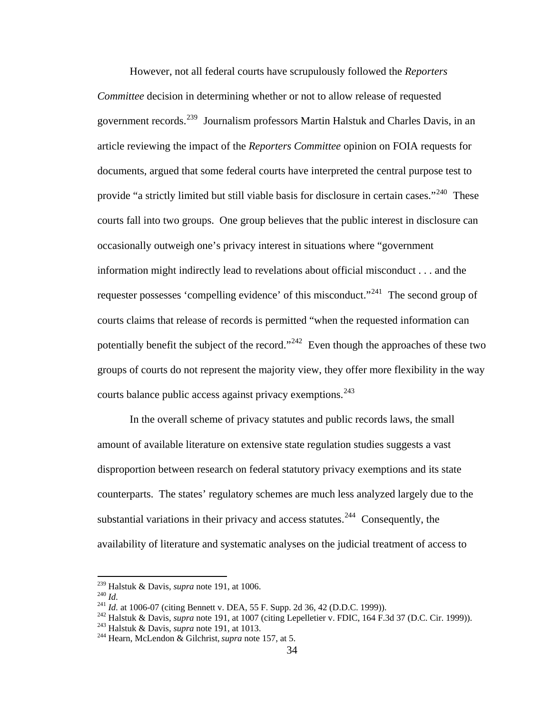However, not all federal courts have scrupulously followed the *Reporters Committee* decision in determining whether or not to allow release of requested government records.<sup>[239](#page-43-0)</sup> Journalism professors Martin Halstuk and Charles Davis, in an article reviewing the impact of the *Reporters Committee* opinion on FOIA requests for documents, argued that some federal courts have interpreted the central purpose test to provide "a strictly limited but still viable basis for disclosure in certain cases."<sup>[240](#page-43-1)</sup> These courts fall into two groups. One group believes that the public interest in disclosure can occasionally outweigh one's privacy interest in situations where "government information might indirectly lead to revelations about official misconduct . . . and the requester possesses 'compelling evidence' of this misconduct."<sup>[241](#page-43-2)</sup> The second group of courts claims that release of records is permitted "when the requested information can potentially benefit the subject of the record."<sup>[242](#page-43-3)</sup> Even though the approaches of these two groups of courts do not represent the majority view, they offer more flexibility in the way courts balance public access against privacy exemptions.  $243$ 

In the overall scheme of privacy statutes and public records laws, the small amount of available literature on extensive state regulation studies suggests a vast disproportion between research on federal statutory privacy exemptions and its state counterparts. The states' regulatory schemes are much less analyzed largely due to the substantial variations in their privacy and access statutes.<sup>[244](#page-43-5)</sup> Consequently, the availability of literature and systematic analyses on the judicial treatment of access to

<span id="page-43-0"></span><sup>&</sup>lt;sup>239</sup> Halstuk & Davis, *supra* note 191, at 1006.

<span id="page-43-3"></span><span id="page-43-2"></span><span id="page-43-1"></span>

<sup>&</sup>lt;sup>240</sup> *Id.*<br>
<sup>241</sup> *Id.* at 1006-07 (citing Bennett v. DEA, 55 F. Supp. 2d 36, 42 (D.D.C. 1999)).<br>
<sup>242</sup> Halstuk & Davis, *supra* note 191, at 1007 (citing Lepelletier v. FDIC, 164 F.3d 37 (D.C. Cir. 1999)).<br>
<sup>243</sup> Halstu

<span id="page-43-4"></span>

<span id="page-43-5"></span>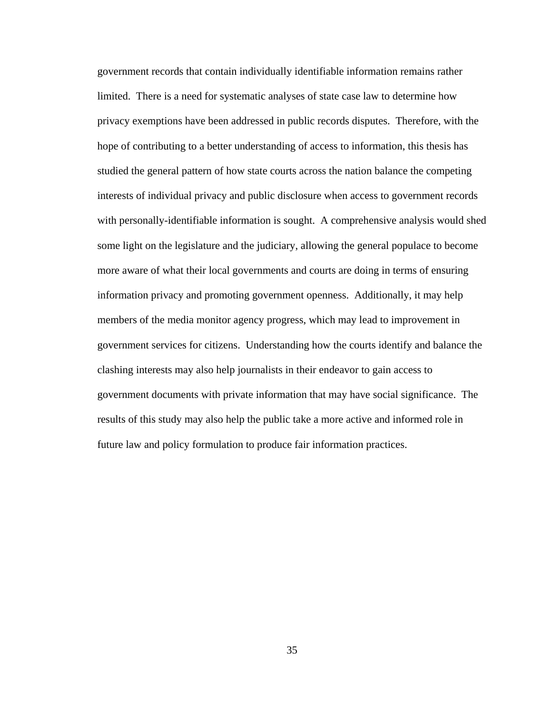government records that contain individually identifiable information remains rather limited. There is a need for systematic analyses of state case law to determine how privacy exemptions have been addressed in public records disputes. Therefore, with the hope of contributing to a better understanding of access to information, this thesis has studied the general pattern of how state courts across the nation balance the competing interests of individual privacy and public disclosure when access to government records with personally-identifiable information is sought. A comprehensive analysis would shed some light on the legislature and the judiciary, allowing the general populace to become more aware of what their local governments and courts are doing in terms of ensuring information privacy and promoting government openness. Additionally, it may help members of the media monitor agency progress, which may lead to improvement in government services for citizens. Understanding how the courts identify and balance the clashing interests may also help journalists in their endeavor to gain access to government documents with private information that may have social significance. The results of this study may also help the public take a more active and informed role in future law and policy formulation to produce fair information practices.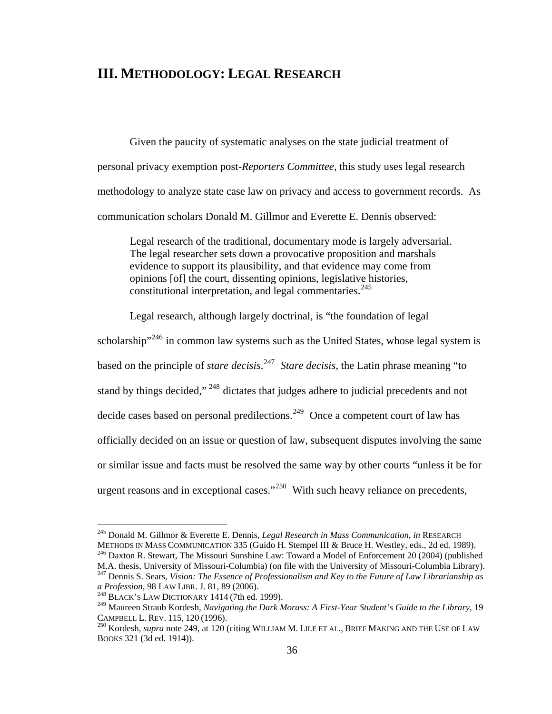# **III. METHODOLOGY: LEGAL RESEARCH**

Given the paucity of systematic analyses on the state judicial treatment of personal privacy exemption post-*Reporters Committee*, this study uses legal research methodology to analyze state case law on privacy and access to government records. As communication scholars Donald M. Gillmor and Everette E. Dennis observed:

Legal research of the traditional, documentary mode is largely adversarial. The legal researcher sets down a provocative proposition and marshals evidence to support its plausibility, and that evidence may come from opinions [of] the court, dissenting opinions, legislative histories, constitutional interpretation, and legal commentaries. $245$ 

Legal research, although largely doctrinal, is "the foundation of legal

scholarship<sup> $246$ </sup> in common law systems such as the United States, whose legal system is based on the principle of *stare decisis*. [247](#page-45-2) *Stare decisis*, the Latin phrase meaning "to stand by things decided,"<sup>[248](#page-45-3)</sup> dictates that judges adhere to judicial precedents and not decide cases based on personal predilections.<sup>[249](#page-45-4)</sup> Once a competent court of law has officially decided on an issue or question of law, subsequent disputes involving the same or similar issue and facts must be resolved the same way by other courts "unless it be for urgent reasons and in exceptional cases."<sup>[250](#page-45-5)</sup> With such heavy reliance on precedents,

<span id="page-45-0"></span><sup>&</sup>lt;sup>245</sup> Donald M. Gillmor & Everette E. Dennis, *Legal Research in Mass Communication*, *in* RESEARCH<br>METHODS IN MASS COMMUNICATION 335 (Guido H. Stempel III & Bruce H. Westley, eds., 2d ed. 1989).

<span id="page-45-1"></span><sup>&</sup>lt;sup>246</sup> Daxton R. Stewart, The Missouri Sunshine Law: Toward a Model of Enforcement 20 (2004) (published

<span id="page-45-2"></span>M.A. thesis, University of Missouri-Columbia) (on file with the University of Missouri-Columbia Library).<br><sup>247</sup> Dennis S. Sears, *Vision: The Essence of Professionalism and Key to the Future of Law Librarianship as a Profe* 

<sup>&</sup>lt;sup>248</sup> BLACK'S LAW DICTIONARY 1414 (7th ed. 1999).

<span id="page-45-4"></span><span id="page-45-3"></span><sup>249</sup> Maureen Straub Kordesh, *Navigating the Dark Morass: A First-Year Student's Guide to the Library*, 19 CAMPBELL L. REV. 115, 120 (1996).<br><sup>250</sup> Kordesh, *supra* note 249, at 120 (citing WILLIAM M. LILE ET AL., BRIEF MAKING AND THE USE OF LAW

<span id="page-45-5"></span>BOOKS 321 (3d ed. 1914)).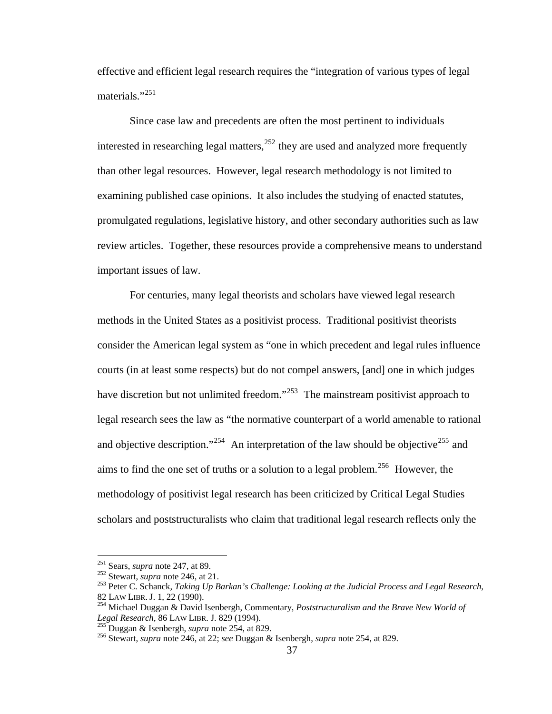effective and efficient legal research requires the "integration of various types of legal materials."<sup>[251](#page-46-0)</sup>

Since case law and precedents are often the most pertinent to individuals interested in researching legal matters,  $252$  they are used and analyzed more frequently than other legal resources. However, legal research methodology is not limited to examining published case opinions. It also includes the studying of enacted statutes, promulgated regulations, legislative history, and other secondary authorities such as law review articles. Together, these resources provide a comprehensive means to understand important issues of law.

 For centuries, many legal theorists and scholars have viewed legal research methods in the United States as a positivist process. Traditional positivist theorists consider the American legal system as "one in which precedent and legal rules influence courts (in at least some respects) but do not compel answers, [and] one in which judges have discretion but not unlimited freedom."<sup>[253](#page-46-2)</sup> The mainstream positivist approach to legal research sees the law as "the normative counterpart of a world amenable to rational and objective description."<sup>[254](#page-46-3)</sup> An interpretation of the law should be objective<sup>[255](#page-46-4)</sup> and aims to find the one set of truths or a solution to a legal problem.<sup>[256](#page-46-5)</sup> However, the methodology of positivist legal research has been criticized by Critical Legal Studies scholars and poststructuralists who claim that traditional legal research reflects only the

 $251$  Sears, *supra* note 247, at 89.

<span id="page-46-2"></span><span id="page-46-1"></span><span id="page-46-0"></span><sup>251</sup> Sears, *supra* note 247, at 89. 252 Stewart, *supra* note 246, at 21. 253 Peter C. Schanck, *Taking Up Barkan's Challenge: Looking at the Judicial Process and Legal Research*,

<span id="page-46-3"></span><sup>82</sup> LAW LIBR. J. 1, 22 (1990).<br><sup>254</sup> Michael Duggan & David Isenbergh, Commentary, *Poststructuralism and the Brave New World of Legal Research*, 86 LAW LIBR. J. 829 (1994).

<span id="page-46-5"></span><span id="page-46-4"></span><sup>&</sup>lt;sup>255</sup> Duggan & Isenbergh, *supra* note 254, at 829.<br><sup>256</sup> Stewart, *supra* note 246, at 22; *see* Duggan & Isenbergh, *supra* note 254, at 829.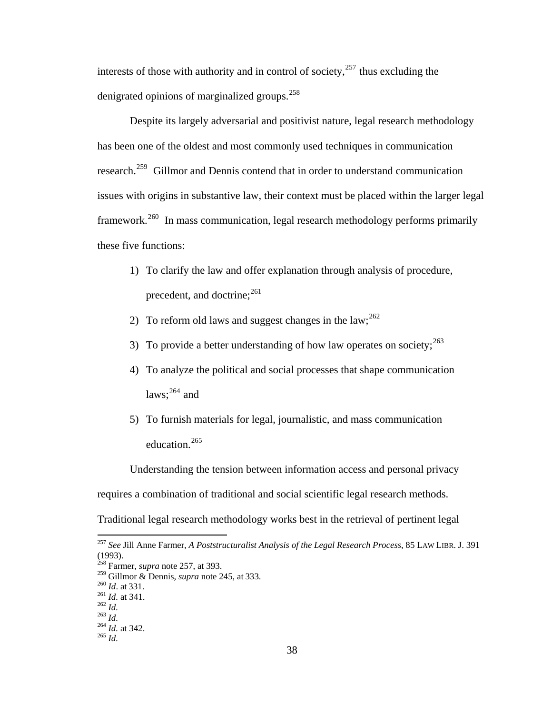denigrated opinions of marginalized groups.<sup>258</sup> interests of those with authority and in control of society, $257$  thus excluding the

Despite its largely adversarial and positivist nature, legal research methodology has been one of the oldest and most commonly used techniques in communication research.<sup>[259](#page-47-1)</sup> Gillmor and Dennis contend that in order to understand communication issues with origins in substantive law, their context must be placed within the larger legal framework.[260](#page-47-2) In mass communication, legal research methodology performs primarily these five functions:

- 1) To clarify the law and offer explanation through analysis of procedure, precedent, and doctrine;<sup>[261](#page-47-3)</sup>
- 2) To reform old laws and suggest changes in the law;  $^{262}$  $^{262}$  $^{262}$
- 3) To provide a better understanding of how law operates on society;  $^{263}$  $^{263}$  $^{263}$
- 4) To analyze the political and social processes that shape communication laws: $264$  and
- 5) To furnish materials for legal, journalistic, and mass communication education.<sup>[265](#page-47-7)</sup>

Understanding the tension between information access and personal privacy requires a combination of traditional and social scientific legal research methods. Traditional legal research methodology works best in the retrieval of pertinent legal

1

<span id="page-47-0"></span><sup>257</sup> *See* Jill Anne Farmer, *A Poststructuralist Analysis of the Legal Research Process*, 85 LAW LIBR. J. 391 (1993).

<sup>258</sup> Farmer, *supra* note 257, at 393.

<span id="page-47-2"></span><span id="page-47-1"></span><sup>&</sup>lt;sup>259</sup> Gillmor & Dennis, *supra* note 245, at 333.<br>
<sup>260</sup> *Id.* at 331.<br>
<sup>261</sup> *Id.* at 341.<br>
<sup>262</sup> *Id.*<br>
<sup>263</sup> *Id.* at 342.<br>
<sup>264</sup> *Id.* at 342.<br>
<sup>265</sup> *Id* 

<span id="page-47-4"></span><span id="page-47-3"></span>

<span id="page-47-7"></span><span id="page-47-6"></span><span id="page-47-5"></span>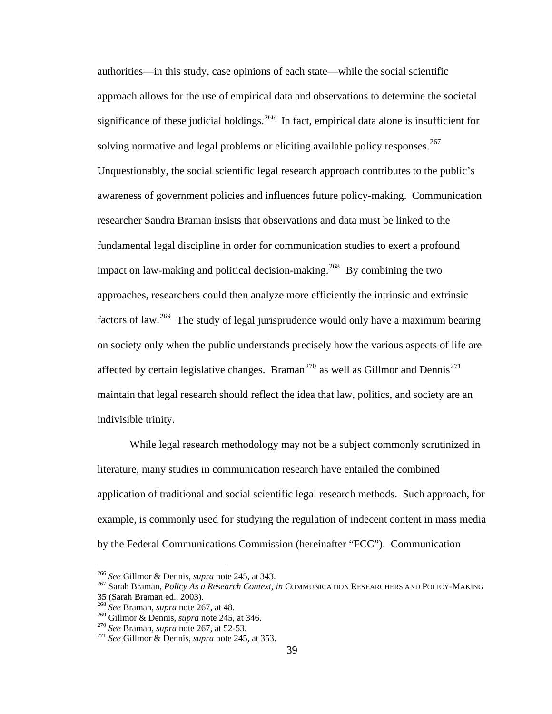authorities—in this study, case opinions of each state—while the social scientific approach allows for the use of empirical data and observations to determine the societal significance of these judicial holdings.<sup>[266](#page-48-0)</sup> In fact, empirical data alone is insufficient for solving normative and legal problems or eliciting available policy responses.<sup>[267](#page-48-1)</sup> Unquestionably, the social scientific legal research approach contributes to the public's awareness of government policies and influences future policy-making. Communication researcher Sandra Braman insists that observations and data must be linked to the fundamental legal discipline in order for communication studies to exert a profound impact on law-making and political decision-making.<sup>[268](#page-48-2)</sup> By combining the two approaches, researchers could then analyze more efficiently the intrinsic and extrinsic factors of law.[269](#page-48-3) The study of legal jurisprudence would only have a maximum bearing on society only when the public understands precisely how the various aspects of life are affected by certain legislative changes. Braman<sup>[270](#page-48-4)</sup> as well as Gillmor and Dennis<sup>[271](#page-48-5)</sup> maintain that legal research should reflect the idea that law, politics, and society are an indivisible trinity.

While legal research methodology may not be a subject commonly scrutinized in literature, many studies in communication research have entailed the combined application of traditional and social scientific legal research methods. Such approach, for example, is commonly used for studying the regulation of indecent content in mass media by the Federal Communications Commission (hereinafter "FCC"). Communication

<sup>&</sup>lt;sup>266</sup> See Gillmor & Dennis, *supra* note 245, at 343.

<span id="page-48-1"></span><span id="page-48-0"></span><sup>&</sup>lt;sup>267</sup> Sarah Braman, *Policy As a Research Context*, *in COMMUNICATION RESEARCHERS AND POLICY-MAKING* 35 (Sarah Braman ed., 2003). 268 *See* Braman, *supra* note 267, at 48.

<span id="page-48-2"></span>

<span id="page-48-3"></span>

<span id="page-48-5"></span><span id="page-48-4"></span><sup>&</sup>lt;sup>270</sup> See Braman, *supra* note 267, at 52-53.<br><sup>271</sup> See Gillmor & Dennis, *supra* note 245, at 353.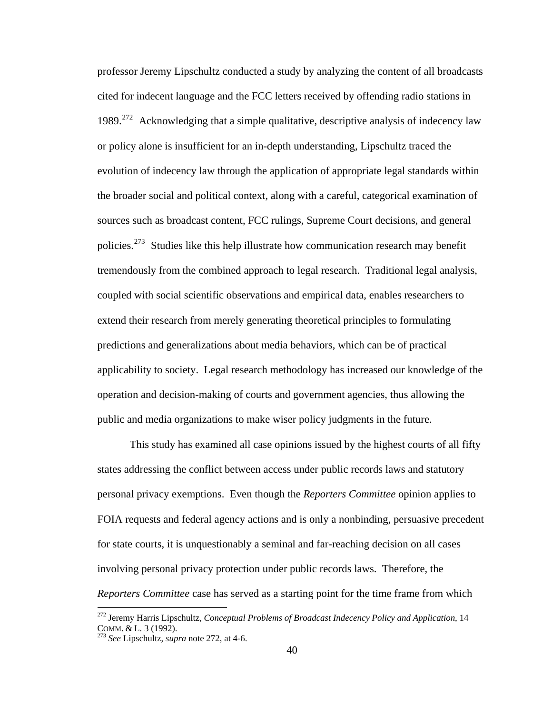professor Jeremy Lipschultz conducted a study by analyzing the content of all broadcasts cited for indecent language and the FCC letters received by offending radio stations in 1989.<sup>[272](#page-49-0)</sup> Acknowledging that a simple qualitative, descriptive analysis of indecency law or policy alone is insufficient for an in-depth understanding, Lipschultz traced the evolution of indecency law through the application of appropriate legal standards within the broader social and political context, along with a careful, categorical examination of sources such as broadcast content, FCC rulings, Supreme Court decisions, and general policies.<sup>[273](#page-49-1)</sup> Studies like this help illustrate how communication research may benefit tremendously from the combined approach to legal research. Traditional legal analysis, coupled with social scientific observations and empirical data, enables researchers to extend their research from merely generating theoretical principles to formulating predictions and generalizations about media behaviors, which can be of practical applicability to society. Legal research methodology has increased our knowledge of the operation and decision-making of courts and government agencies, thus allowing the public and media organizations to make wiser policy judgments in the future.

This study has examined all case opinions issued by the highest courts of all fifty states addressing the conflict between access under public records laws and statutory personal privacy exemptions. Even though the *Reporters Committee* opinion applies to FOIA requests and federal agency actions and is only a nonbinding, persuasive precedent for state courts, it is unquestionably a seminal and far-reaching decision on all cases involving personal privacy protection under public records laws. Therefore, the *Reporters Committee* case has served as a starting point for the time frame from which

<span id="page-49-0"></span><sup>272</sup> Jeremy Harris Lipschultz, *Conceptual Problems of Broadcast Indecency Policy and Application*, 14 COMM. & L. 3 (1992). 273 *See* Lipschultz, *supra* note 272, at 4-6.

<span id="page-49-1"></span>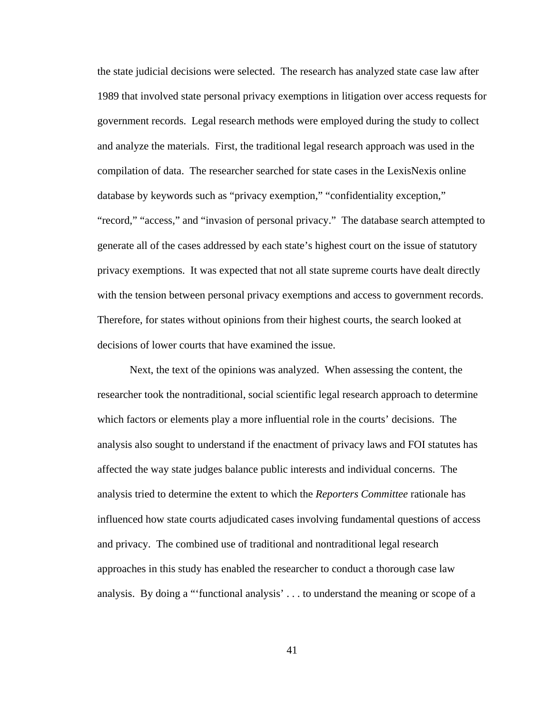the state judicial decisions were selected. The research has analyzed state case law after 1989 that involved state personal privacy exemptions in litigation over access requests for government records. Legal research methods were employed during the study to collect and analyze the materials. First, the traditional legal research approach was used in the compilation of data. The researcher searched for state cases in the LexisNexis online database by keywords such as "privacy exemption," "confidentiality exception," "record," "access," and "invasion of personal privacy." The database search attempted to generate all of the cases addressed by each state's highest court on the issue of statutory privacy exemptions. It was expected that not all state supreme courts have dealt directly with the tension between personal privacy exemptions and access to government records. Therefore, for states without opinions from their highest courts, the search looked at decisions of lower courts that have examined the issue.

Next, the text of the opinions was analyzed. When assessing the content, the researcher took the nontraditional, social scientific legal research approach to determine which factors or elements play a more influential role in the courts' decisions. The analysis also sought to understand if the enactment of privacy laws and FOI statutes has affected the way state judges balance public interests and individual concerns. The analysis tried to determine the extent to which the *Reporters Committee* rationale has influenced how state courts adjudicated cases involving fundamental questions of access and privacy. The combined use of traditional and nontraditional legal research approaches in this study has enabled the researcher to conduct a thorough case law analysis. By doing a "'functional analysis' . . . to understand the meaning or scope of a

41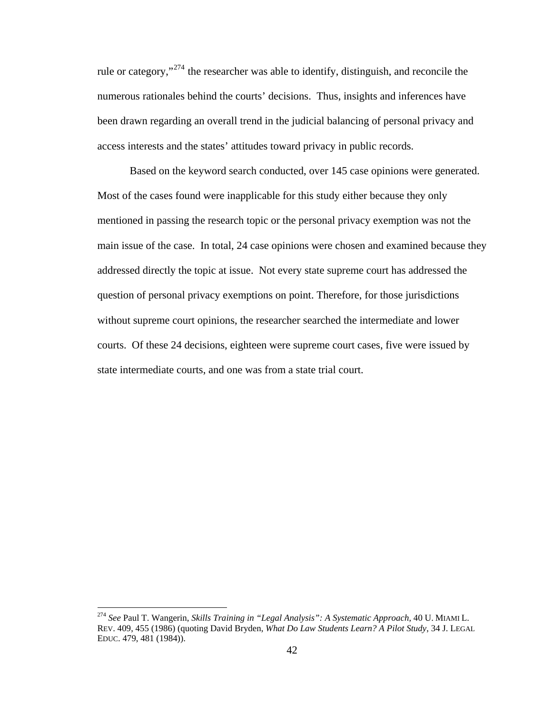rule or category,"[274](#page-51-0) the researcher was able to identify, distinguish, and reconcile the numerous rationales behind the courts' decisions. Thus, insights and inferences have been drawn regarding an overall trend in the judicial balancing of personal privacy and access interests and the states' attitudes toward privacy in public records.

Based on the keyword search conducted, over 145 case opinions were generated. Most of the cases found were inapplicable for this study either because they only mentioned in passing the research topic or the personal privacy exemption was not the main issue of the case. In total, 24 case opinions were chosen and examined because they addressed directly the topic at issue. Not every state supreme court has addressed the question of personal privacy exemptions on point. Therefore, for those jurisdictions without supreme court opinions, the researcher searched the intermediate and lower courts. Of these 24 decisions, eighteen were supreme court cases, five were issued by state intermediate courts, and one was from a state trial court.

<span id="page-51-0"></span><sup>274</sup> *See* Paul T. Wangerin, *Skills Training in "Legal Analysis": A Systematic Approach*, 40 U. MIAMI L. REV. 409, 455 (1986) (quoting David Bryden, *What Do Law Students Learn? A Pilot Study*, 34 J. LEGAL EDUC. 479, 481 (1984)).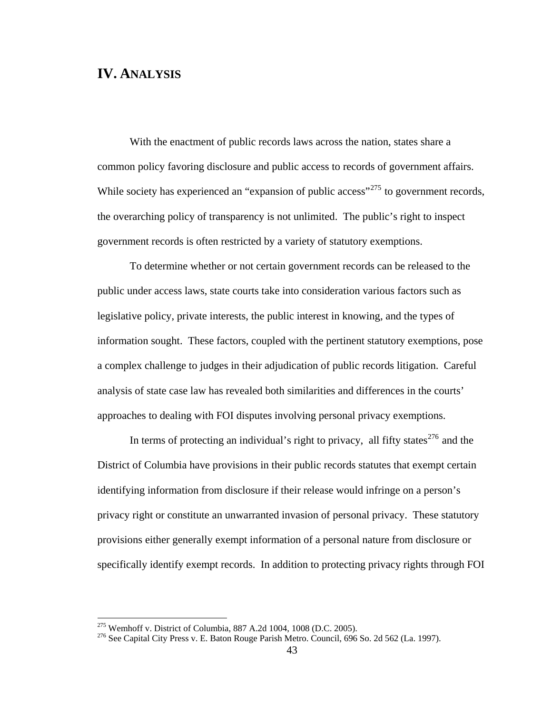# **IV. ANALYSIS**

With the enactment of public records laws across the nation, states share a common policy favoring disclosure and public access to records of government affairs. While society has experienced an "expansion of public access"<sup>[275](#page-52-0)</sup> to government records, the overarching policy of transparency is not unlimited. The public's right to inspect government records is often restricted by a variety of statutory exemptions.

To determine whether or not certain government records can be released to the public under access laws, state courts take into consideration various factors such as legislative policy, private interests, the public interest in knowing, and the types of information sought. These factors, coupled with the pertinent statutory exemptions, pose a complex challenge to judges in their adjudication of public records litigation. Careful analysis of state case law has revealed both similarities and differences in the courts' approaches to dealing with FOI disputes involving personal privacy exemptions.

In terms of protecting an individual's right to privacy, all fifty states<sup>[276](#page-52-1)</sup> and the District of Columbia have provisions in their public records statutes that exempt certain identifying information from disclosure if their release would infringe on a person's privacy right or constitute an unwarranted invasion of personal privacy. These statutory provisions either generally exempt information of a personal nature from disclosure or specifically identify exempt records. In addition to protecting privacy rights through FOI

<span id="page-52-1"></span><span id="page-52-0"></span><sup>&</sup>lt;sup>275</sup> Wemhoff v. District of Columbia, 887 A.2d 1004, 1008 (D.C. 2005).<br><sup>276</sup> See Capital City Press v. E. Baton Rouge Parish Metro. Council, 696 So. 2d 562 (La. 1997).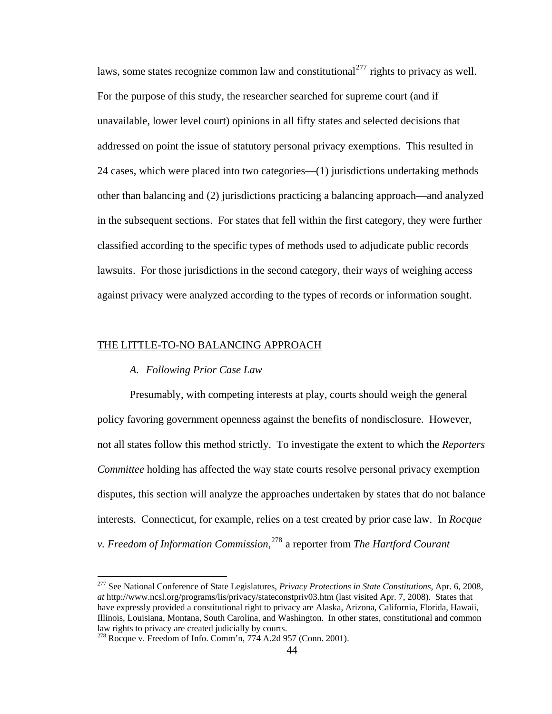laws, some states recognize common law and constitutional  $277$  rights to privacy as well. For the purpose of this study, the researcher searched for supreme court (and if unavailable, lower level court) opinions in all fifty states and selected decisions that addressed on point the issue of statutory personal privacy exemptions. This resulted in 24 cases, which were placed into two categories—(1) jurisdictions undertaking methods other than balancing and (2) jurisdictions practicing a balancing approach—and analyzed in the subsequent sections. For states that fell within the first category, they were further classified according to the specific types of methods used to adjudicate public records lawsuits. For those jurisdictions in the second category, their ways of weighing access against privacy were analyzed according to the types of records or information sought.

#### THE LITTLE-TO-NO BALANCING APPROACH

## *A. Following Prior Case Law*

 $\overline{a}$ 

Presumably, with competing interests at play, courts should weigh the general policy favoring government openness against the benefits of nondisclosure. However, not all states follow this method strictly. To investigate the extent to which the *Reporters Committee* holding has affected the way state courts resolve personal privacy exemption disputes, this section will analyze the approaches undertaken by states that do not balance interests. Connecticut, for example, relies on a test created by prior case law. In *Rocque v. Freedom of Information Commission*, [278](#page-53-1) a reporter from *The Hartford Courant*

<span id="page-53-0"></span><sup>277</sup> See National Conference of State Legislatures, *Privacy Protections in State Constitutions*, Apr. 6, 2008, *at* http://www.ncsl.org/programs/lis/privacy/stateconstpriv03.htm (last visited Apr. 7, 2008). States that have expressly provided a constitutional right to privacy are Alaska, Arizona, California, Florida, Hawaii, Illinois, Louisiana, Montana, South Carolina, and Washington. In other states, constitutional and common law rights to privacy are created judicially by courts.

<span id="page-53-1"></span> $278$  Rocque v. Freedom of Info. Comm'n, 774 A.2d 957 (Conn. 2001).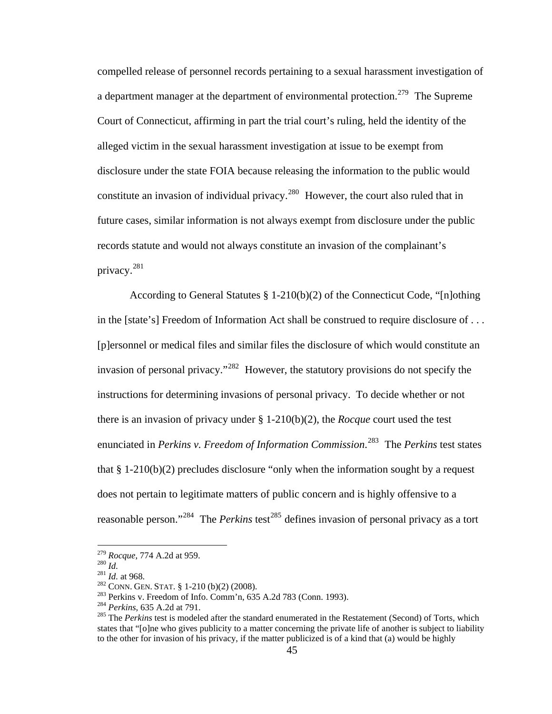compelled release of personnel records pertaining to a sexual harassment investigation of a department manager at the department of environmental protection.<sup>[279](#page-54-0)</sup> The Supreme Court of Connecticut, affirming in part the trial court's ruling, held the identity of the alleged victim in the sexual harassment investigation at issue to be exempt from disclosure under the state FOIA because releasing the information to the public would constitute an invasion of individual privacy.<sup>[280](#page-54-1)</sup> However, the court also ruled that in future cases, similar information is not always exempt from disclosure under the public records statute and would not always constitute an invasion of the complainant's privacy.[281](#page-54-2)

According to General Statutes § 1-210(b)(2) of the Connecticut Code, "[n]othing in the [state's] Freedom of Information Act shall be construed to require disclosure of . . . [p]ersonnel or medical files and similar files the disclosure of which would constitute an invasion of personal privacy."[282](#page-54-3) However, the statutory provisions do not specify the instructions for determining invasions of personal privacy. To decide whether or not there is an invasion of privacy under § 1-210(b)(2), the *Rocque* court used the test enunciated in *Perkins v. Freedom of Information Commission*. [283](#page-54-4) The *Perkins* test states that  $§$  1-210(b)(2) precludes disclosure "only when the information sought by a request does not pertain to legitimate matters of public concern and is highly offensive to a reasonable person."<sup>[284](#page-54-5)</sup> The *Perkins* test<sup>[285](#page-54-6)</sup> defines invasion of personal privacy as a tort

<span id="page-54-2"></span>

<span id="page-54-4"></span><span id="page-54-3"></span>

<span id="page-54-6"></span><span id="page-54-5"></span>

<span id="page-54-1"></span><span id="page-54-0"></span><sup>&</sup>lt;sup>279</sup> Rocque, 774 A.2d at 959.<br><sup>280</sup> *Id.*<br><sup>281</sup> *Id.* at 968.<br><sup>282</sup> CONN. GEN. STAT. § 1-210 (b)(2) (2008).<br><sup>282</sup> Perkins v. Freedom of Info. Comm'n, 635 A.2d 783 (Conn. 1993).<br><sup>284</sup> Perkins, 635 A.2d at 791.<br><sup>285</sup> The states that "[o]ne who gives publicity to a matter concerning the private life of another is subject to liability to the other for invasion of his privacy, if the matter publicized is of a kind that (a) would be highly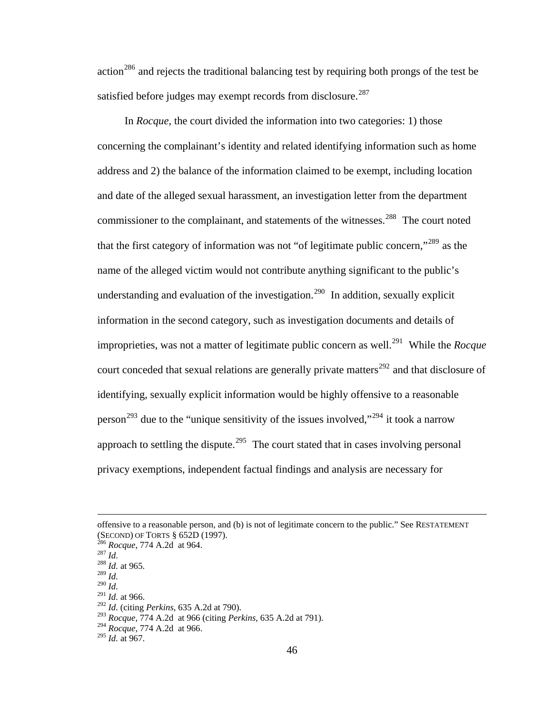$\arctan^{286}$  $\arctan^{286}$  $\arctan^{286}$  and rejects the traditional balancing test by requiring both prongs of the test be satisfied before judges may exempt records from disclosure.<sup>[287](#page-55-1)</sup>

In *Rocque*, the court divided the information into two categories: 1) those concerning the complainant's identity and related identifying information such as home address and 2) the balance of the information claimed to be exempt, including location and date of the alleged sexual harassment, an investigation letter from the department commissioner to the complainant, and statements of the witnesses.<sup>[288](#page-55-2)</sup> The court noted that the first category of information was not "of legitimate public concern,"<sup>[289](#page-55-3)</sup> as the name of the alleged victim would not contribute anything significant to the public's understanding and evaluation of the investigation.<sup>[290](#page-55-4)</sup> In addition, sexually explicit information in the second category, such as investigation documents and details of improprieties, was not a matter of legitimate public concern as well.<sup>[291](#page-55-5)</sup> While the *Rocque* court conceded that sexual relations are generally private matters<sup>[292](#page-55-6)</sup> and that disclosure of identifying, sexually explicit information would be highly offensive to a reasonable person<sup>[293](#page-55-7)</sup> due to the "unique sensitivity of the issues involved,"<sup>[294](#page-55-8)</sup> it took a narrow approach to settling the dispute.<sup>[295](#page-55-9)</sup> The court stated that in cases involving personal privacy exemptions, independent factual findings and analysis are necessary for

offensive to a reasonable person, and (b) is not of legitimate concern to the public." See RESTATEMENT (SECOND) OF TORTS § 652D (1997). 286 *Rocque*, 774 A.2d at 964. 287 *Id.* <sup>288</sup> *Id.* at 965.

<span id="page-55-0"></span>

<span id="page-55-1"></span>

<span id="page-55-3"></span><span id="page-55-2"></span><sup>289</sup> *Id.* 

<span id="page-55-4"></span><sup>290</sup> *Id.* 

<sup>291</sup> *Id.* at 966.

<span id="page-55-7"></span><span id="page-55-6"></span><span id="page-55-5"></span><sup>292</sup> *Id.* (citing *Perkins*, 635 A.2d at 790).

<sup>293</sup> *Rocque*, 774 A.2d at 966 (citing *Perkins*, 635 A.2d at 791).

<sup>294</sup> *Rocque*, 774 A.2d at 966.

<span id="page-55-9"></span><span id="page-55-8"></span><sup>295</sup> *Id.* at 967.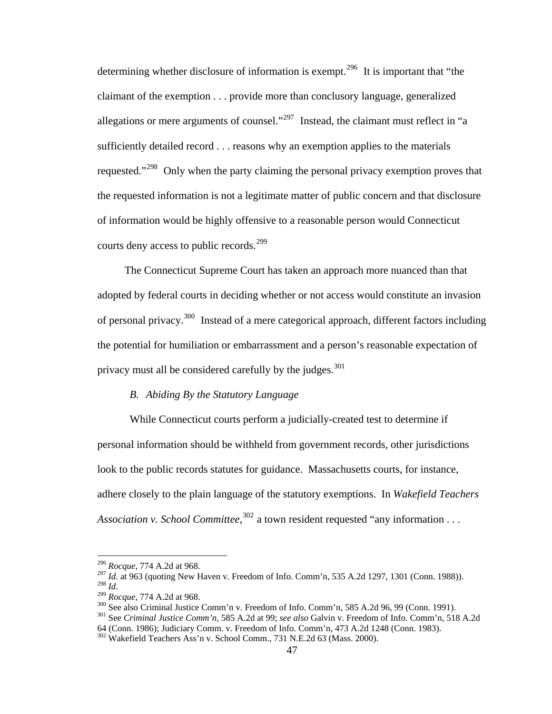determining whether disclosure of information is exempt.<sup>[296](#page-56-0)</sup> It is important that "the claimant of the exemption . . . provide more than conclusory language, generalized allegations or mere arguments of counsel."<sup>[297](#page-56-1)</sup> Instead, the claimant must reflect in "a sufficiently detailed record . . . reasons why an exemption applies to the materials requested."<sup>[298](#page-56-2)</sup> Only when the party claiming the personal privacy exemption proves that the requested information is not a legitimate matter of public concern and that disclosure of information would be highly offensive to a reasonable person would Connecticut courts deny access to public records.<sup>[299](#page-56-3)</sup>

The Connecticut Supreme Court has taken an approach more nuanced than that adopted by federal courts in deciding whether or not access would constitute an invasion of personal privacy.[300](#page-56-4) Instead of a mere categorical approach, different factors including the potential for humiliation or embarrassment and a person's reasonable expectation of privacy must all be considered carefully by the judges. $301$ 

## *B. Abiding By the Statutory Language*

While Connecticut courts perform a judicially-created test to determine if personal information should be withheld from government records, other jurisdictions look to the public records statutes for guidance. Massachusetts courts, for instance, adhere closely to the plain language of the statutory exemptions. In *Wakefield Teachers*  Association v. School Committee,<sup>[302](#page-56-6)</sup> a town resident requested "any information . . .

<sup>296</sup> *Rocque*, 774 A.2d at 968.

<span id="page-56-1"></span><span id="page-56-0"></span><sup>&</sup>lt;sup>297</sup> *Id.* at 963 (quoting New Haven v. Freedom of Info. Comm'n, 535 A.2d 1297, 1301 (Conn. 1988)).<br><sup>298</sup> *Id* 

<span id="page-56-3"></span><span id="page-56-2"></span><sup>&</sup>lt;sup>299</sup> Rocque, 774 A.2d at 968.<br><sup>300</sup> See also Criminal Justice Comm'n v. Freedom of Info. Comm'n, 585 A.2d 96, 99 (Conn. 1991).<br><sup>301</sup> See *Criminal Justice Comm'n*, 585 A.2d at 99; *see also* Galvin v. Freedom of Info. Co

<span id="page-56-5"></span><span id="page-56-4"></span><sup>64 (</sup>Conn. 1986); Judiciary Comm. v. Freedom of Info. Comm'n, 473 A.2d 1248 (Conn. 1983).

<span id="page-56-6"></span><sup>302</sup> Wakefield Teachers Ass'n v. School Comm., 731 N.E.2d 63 (Mass. 2000).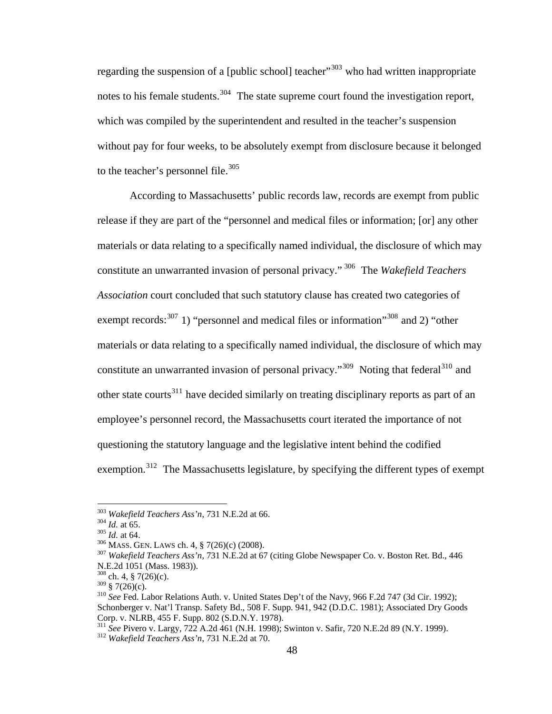regarding the suspension of a [public school] teacher<sup> $303$ </sup> who had written inappropriate notes to his female students.<sup>[304](#page-57-1)</sup> The state supreme court found the investigation report, which was compiled by the superintendent and resulted in the teacher's suspension without pay for four weeks, to be absolutely exempt from disclosure because it belonged to the teacher's personnel file.<sup>[305](#page-57-2)</sup>

According to Massachusetts' public records law, records are exempt from public release if they are part of the "personnel and medical files or information; [or] any other materials or data relating to a specifically named individual, the disclosure of which may constitute an unwarranted invasion of personal privacy." [306](#page-57-3) The *Wakefield Teachers Association* court concluded that such statutory clause has created two categories of exempt records:<sup>[307](#page-57-4)</sup> 1) "personnel and medical files or information"<sup>[308](#page-57-5)</sup> and 2) "other materials or data relating to a specifically named individual, the disclosure of which may constitute an unwarranted invasion of personal privacy."<sup>[309](#page-57-6)</sup> Noting that federal<sup>[310](#page-57-7)</sup> and other state courts<sup>[311](#page-57-8)</sup> have decided similarly on treating disciplinary reports as part of an employee's personnel record, the Massachusetts court iterated the importance of not questioning the statutory language and the legislative intent behind the codified exemption.<sup>[312](#page-57-9)</sup> The Massachusetts legislature, by specifying the different types of exempt

<span id="page-57-1"></span><span id="page-57-0"></span>

<span id="page-57-2"></span>

<span id="page-57-4"></span><span id="page-57-3"></span>

<sup>&</sup>lt;sup>303</sup> Wakefield Teachers Ass'n, 731 N.E.2d at 66.<br><sup>304</sup> Id. at 65.<br><sup>305</sup> Id. at 64.<br><sup>306</sup> MASS. GEN. LAWS ch. 4, § 7(26)(c) (2008).<br><sup>307</sup> Wakefield Teachers Ass'n, 731 N.E.2d at 67 (citing Globe Newspaper Co. v. Boston Re N.E.2d 1051 (Mass. 1983)).

<span id="page-57-5"></span> $\frac{308}{309}$  ch. 4, § 7(26)(c).<br> $\frac{309}{3}$  § 7(26)(c).

<span id="page-57-7"></span><span id="page-57-6"></span><sup>&</sup>lt;sup>310</sup> See Fed. Labor Relations Auth. v. United States Dep't of the Navy, 966 F.2d 747 (3d Cir. 1992); Schonberger v. Nat'l Transp. Safety Bd., 508 F. Supp. 941, 942 (D.D.C. 1981); Associated Dry Goods Corp. v. NLRB, 455 F. Supp. 802 (S.D.N.Y. 1978).

<span id="page-57-9"></span><span id="page-57-8"></span><sup>311</sup> *See* Pivero v. Largy, 722 A.2d 461 (N.H. 1998); Swinton v. Safir, 720 N.E.2d 89 (N.Y. 1999). 312 *Wakefield Teachers Ass'n*, 731 N.E.2d at 70.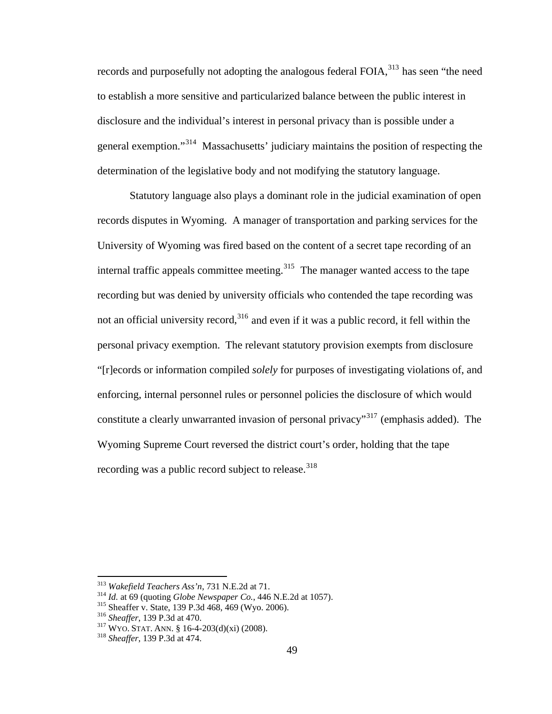records and purposefully not adopting the analogous federal FOIA,<sup>[313](#page-58-0)</sup> has seen "the need to establish a more sensitive and particularized balance between the public interest in disclosure and the individual's interest in personal privacy than is possible under a general exemption."[314](#page-58-1) Massachusetts' judiciary maintains the position of respecting the determination of the legislative body and not modifying the statutory language.

Statutory language also plays a dominant role in the judicial examination of open records disputes in Wyoming. A manager of transportation and parking services for the University of Wyoming was fired based on the content of a secret tape recording of an internal traffic appeals committee meeting.<sup>[315](#page-58-2)</sup> The manager wanted access to the tape recording but was denied by university officials who contended the tape recording was not an official university record,  $316$  and even if it was a public record, it fell within the personal privacy exemption. The relevant statutory provision exempts from disclosure "[r]ecords or information compiled *solely* for purposes of investigating violations of, and enforcing, internal personnel rules or personnel policies the disclosure of which would constitute a clearly unwarranted invasion of personal privacy<sup>"[317](#page-58-4)</sup> (emphasis added). The Wyoming Supreme Court reversed the district court's order, holding that the tape recording was a public record subject to release.<sup>[318](#page-58-5)</sup>

<span id="page-58-0"></span><sup>313</sup> Wakefield Teachers Ass'n, 731 N.E.2d at 71.

<span id="page-58-2"></span><span id="page-58-1"></span><sup>&</sup>lt;sup>314</sup> *Id.* at 69 (quoting *Globe Newspaper Co.*, 446 N.E.2d at 1057).<br><sup>315</sup> Sheaffer v. State, 139 P.3d 468, 469 (Wyo. 2006).<br><sup>316</sup> Sheaffer, 139 P.3d at 470.<br><sup>317</sup> WYO. STAT. ANN. § 16-4-203(d)(xi) (2008).<br><sup>318</sup> Sheaffe

<span id="page-58-4"></span><span id="page-58-3"></span>

<span id="page-58-5"></span>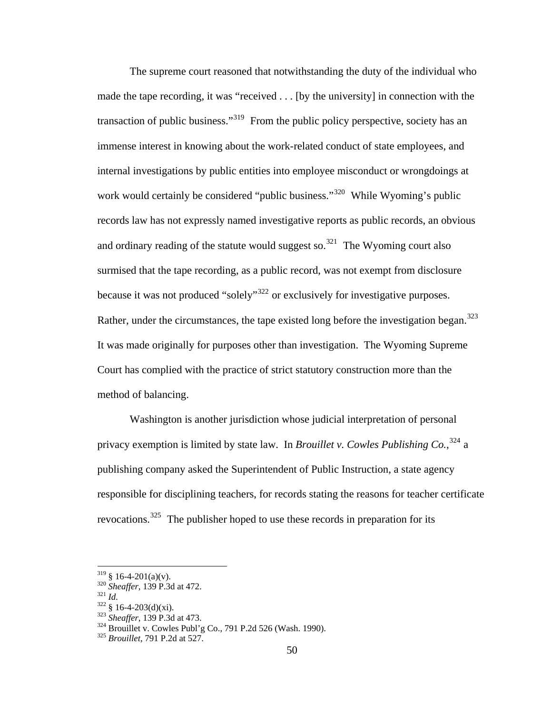method of balancing. The supreme court reasoned that notwithstanding the duty of the individual who made the tape recording, it was "received . . . [by the university] in connection with the transaction of public business."<sup>[319](#page-59-0)</sup> From the public policy perspective, society has an immense interest in knowing about the work-related conduct of state employees, and internal investigations by public entities into employee misconduct or wrongdoings at work would certainly be considered "public business."<sup>[320](#page-59-1)</sup> While Wyoming's public records law has not expressly named investigative reports as public records, an obvious and ordinary reading of the statute would suggest so.<sup>[321](#page-59-2)</sup> The Wyoming court also surmised that the tape recording, as a public record, was not exempt from disclosure because it was not produced "solely"<sup>[322](#page-59-3)</sup> or exclusively for investigative purposes. Rather, under the circumstances, the tape existed long before the investigation began.<sup>[323](#page-59-4)</sup> It was made originally for purposes other than investigation. The Wyoming Supreme Court has complied with the practice of strict statutory construction more than the

Washington is another jurisdiction whose judicial interpretation of personal privacy exemption is limited by state law. In *Brouillet v. Cowles Publishing Co.*, [324](#page-59-5) a publishing company asked the Superintendent of Public Instruction, a state agency responsible for disciplining teachers, for records stating the reasons for teacher certificate revocations.[325](#page-59-6) The publisher hoped to use these records in preparation for its

<span id="page-59-2"></span><span id="page-59-1"></span>

<span id="page-59-4"></span><span id="page-59-3"></span>

<span id="page-59-5"></span>

<span id="page-59-0"></span><sup>&</sup>lt;sup>319</sup> § 16-4-201(a)(v).<br>
<sup>320</sup> Sheaffer, 139 P.3d at 472.<br>
<sup>321</sup> § 16-4-203(d)(xi).<br>
<sup>323</sup> Sheaffer, 139 P.3d at 473.<br>
<sup>324</sup> Brouillet v. Cowles Publ'g Co., 791 P.2d 526 (Wash. 1990).<br>
<sup>325</sup> Brouillet, 791 P.2d at 527.

<span id="page-59-6"></span>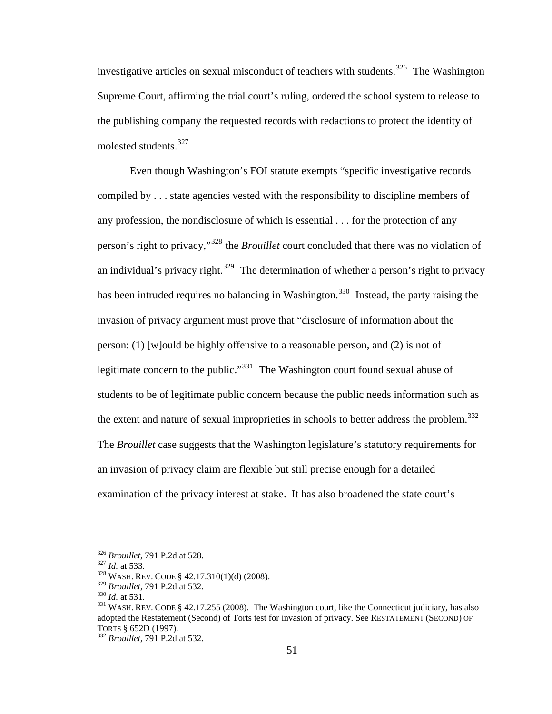investigative articles on sexual misconduct of teachers with students.<sup>[326](#page-60-0)</sup> The Washington Supreme Court, affirming the trial court's ruling, ordered the school system to release to the publishing company the requested records with redactions to protect the identity of molested students.<sup>[327](#page-60-1)</sup>

Even though Washington's FOI statute exempts "specific investigative records compiled by . . . state agencies vested with the responsibility to discipline members of any profession, the nondisclosure of which is essential . . . for the protection of any person's right to privacy,"[328](#page-60-2) the *Brouillet* court concluded that there was no violation of an individual's privacy right.<sup>[329](#page-60-3)</sup> The determination of whether a person's right to privacy has been intruded requires no balancing in Washington.<sup>[330](#page-60-4)</sup> Instead, the party raising the invasion of privacy argument must prove that "disclosure of information about the person: (1) [w]ould be highly offensive to a reasonable person, and (2) is not of legitimate concern to the public."<sup>[331](#page-60-5)</sup> The Washington court found sexual abuse of students to be of legitimate public concern because the public needs information such as the extent and nature of sexual improprieties in schools to better address the problem.<sup>[332](#page-60-6)</sup> The *Brouillet* case suggests that the Washington legislature's statutory requirements for an invasion of privacy claim are flexible but still precise enough for a detailed examination of the privacy interest at stake. It has also broadened the state court's

<span id="page-60-1"></span><span id="page-60-0"></span><sup>&</sup>lt;sup>326</sup> *Brouillet*, 791 P.2d at 528.<br><sup>327</sup> *Id.* at 533.<br><sup>328</sup> WASH. REV. CODE § 42.17.310(1)(d) (2008).<br><sup>329</sup> *Brouillet*, 791 P.2d at 532.

<span id="page-60-2"></span>

<span id="page-60-5"></span><span id="page-60-4"></span><span id="page-60-3"></span><sup>&</sup>lt;sup>330</sup> *Id.* at 531.<br><sup>331</sup> WASH. REV. CODE § 42.17.255 (2008). The Washington court, like the Connecticut judiciary, has also adopted the Restatement (Second) of Torts test for invasion of privacy. See RESTATEMENT (SECOND) OF TORTS § 652D (1997). 332 *Brouillet*, 791 P.2d at 532.

<span id="page-60-6"></span>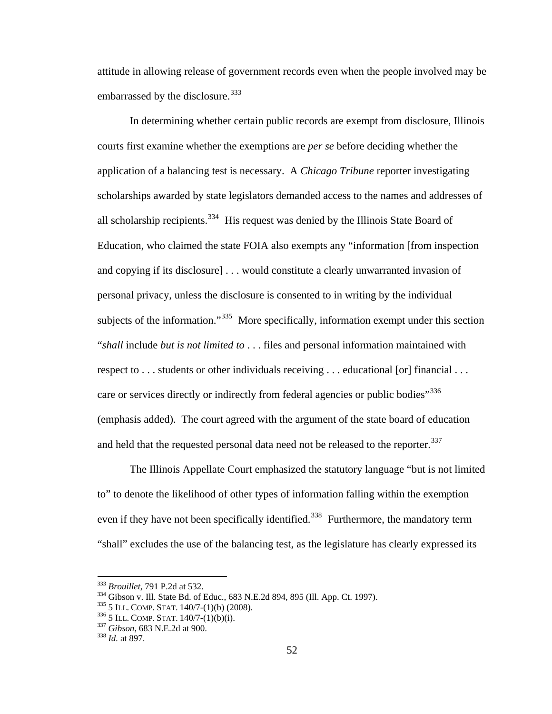attitude in allowing release of government records even when the people involved may be embarrassed by the disclosure.<sup>[333](#page-61-0)</sup>

In determining whether certain public records are exempt from disclosure, Illinois courts first examine whether the exemptions are *per se* before deciding whether the application of a balancing test is necessary. A *Chicago Tribune* reporter investigating scholarships awarded by state legislators demanded access to the names and addresses of all scholarship recipients.<sup>[334](#page-61-1)</sup> His request was denied by the Illinois State Board of Education, who claimed the state FOIA also exempts any "information [from inspection and copying if its disclosure] . . . would constitute a clearly unwarranted invasion of personal privacy, unless the disclosure is consented to in writing by the individual subjects of the information."<sup>[335](#page-61-2)</sup> More specifically, information exempt under this section "*shall* include *but is not limited to* . . . files and personal information maintained with respect to . . . students or other individuals receiving . . . educational [or] financial . . . care or services directly or indirectly from federal agencies or public bodies<sup>"[336](#page-61-3)</sup> (emphasis added). The court agreed with the argument of the state board of education and held that the requested personal data need not be released to the reporter.<sup>[337](#page-61-4)</sup>

The Illinois Appellate Court emphasized the statutory language "but is not limited to" to denote the likelihood of other types of information falling within the exemption even if they have not been specifically identified.<sup>[338](#page-61-5)</sup> Furthermore, the mandatory term "shall" excludes the use of the balancing test, as the legislature has clearly expressed its

<span id="page-61-0"></span><sup>333</sup> Brouillet, 791 P.2d at 532.

<span id="page-61-1"></span><sup>&</sup>lt;sup>334</sup> Gibson v. Ill. State Bd. of Educ., 683 N.E.2d 894, 895 (Ill. App. Ct. 1997).<br><sup>335</sup> 5 ILL. COMP. STAT. 140/7-(1)(b) (2008).<br><sup>336</sup> 5 ILL. COMP. STAT. 140/7-(1)(b) (2008).<br><sup>336</sup> 5 ILL. COMP. STAT. 140/7-(1)(b)(i).<br><sup>337</sup>

<span id="page-61-2"></span>

<span id="page-61-3"></span>

<span id="page-61-4"></span>

<span id="page-61-5"></span>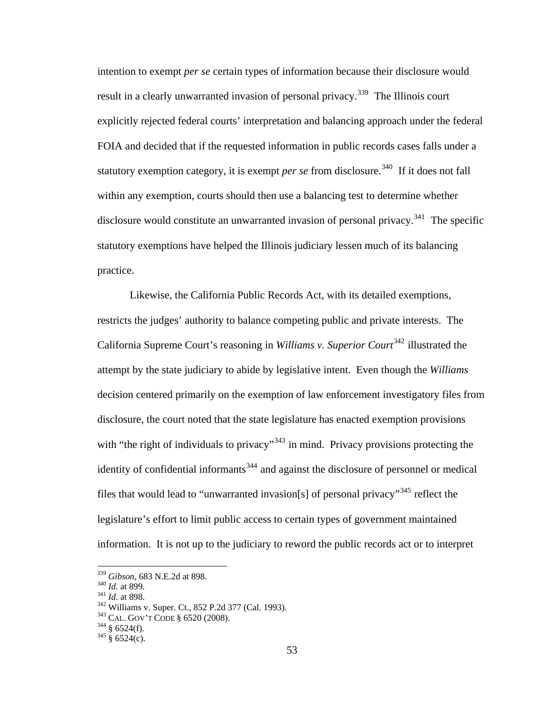intention to exempt *per se* certain types of information because their disclosure would result in a clearly unwarranted invasion of personal privacy.<sup>[339](#page-62-0)</sup> The Illinois court explicitly rejected federal courts' interpretation and balancing approach under the federal FOIA and decided that if the requested information in public records cases falls under a statutory exemption category, it is exempt *per se* from disclosure.<sup>[340](#page-62-1)</sup> If it does not fall within any exemption, courts should then use a balancing test to determine whether disclosure would constitute an unwarranted invasion of personal privacy.<sup>[341](#page-62-2)</sup> The specific statutory exemptions have helped the Illinois judiciary lessen much of its balancing practice.

Likewise, the California Public Records Act, with its detailed exemptions, restricts the judges' authority to balance competing public and private interests. The California Supreme Court's reasoning in *Williams v. Superior Court*<sup>[342](#page-62-3)</sup> illustrated the attempt by the state judiciary to abide by legislative intent. Even though the *Williams* decision centered primarily on the exemption of law enforcement investigatory files from disclosure, the court noted that the state legislature has enacted exemption provisions with "the right of individuals to privacy"<sup>[343](#page-62-4)</sup> in mind. Privacy provisions protecting the identity of confidential informants<sup>[344](#page-62-5)</sup> and against the disclosure of personnel or medical files that would lead to "unwarranted invasion[s] of personal privacy"<sup>[345](#page-62-6)</sup> reflect the legislature's effort to limit public access to certain types of government maintained information. It is not up to the judiciary to reword the public records act or to interpret

<span id="page-62-3"></span><span id="page-62-2"></span>

<span id="page-62-1"></span><span id="page-62-0"></span><sup>&</sup>lt;sup>339</sup> *Gibson*, 683 N.E.2d at 898.<br><sup>340</sup> *Id.* at 899.<br><sup>342</sup> *Id.* at 898.<br><sup>342</sup> Williams v. Super. Ct., 852 P.2d 377 (Cal. 1993).<br><sup>343</sup> CAL. GOV'T CODE § 6520 (2008).<br><sup>344</sup> § 6524(f).<br><sup>345</sup> § 6524(c).

<span id="page-62-5"></span><span id="page-62-4"></span>

<span id="page-62-6"></span>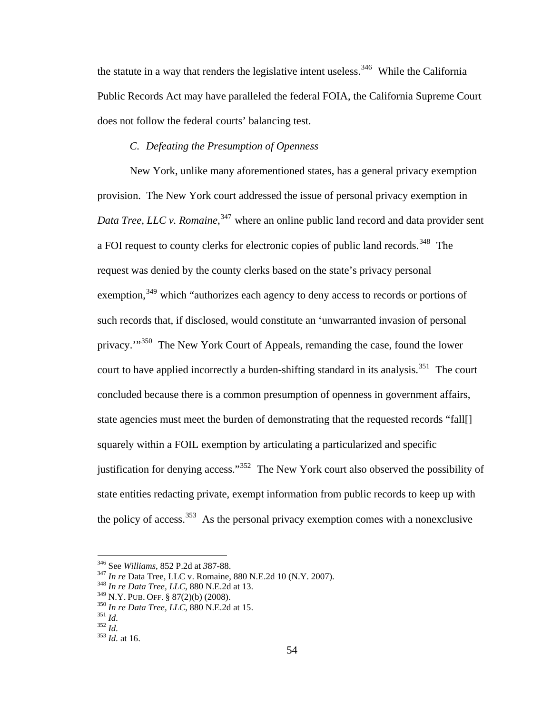the statute in a way that renders the legislative intent useless.<sup>[346](#page-63-0)</sup> While the California Public Records Act may have paralleled the federal FOIA, the California Supreme Court does not follow the federal courts' balancing test.

# *C. Defeating the Presumption of Openness*

court to have applied incorrectly a burden-shifting standard in its analysis.<sup>[351](#page-63-5)</sup> The court state agencies must meet the burden of demonstrating that the requested records "fall[] justification for denying access."<sup>[352](#page-63-6)</sup> The New York court also observed the possibility of New York, unlike many aforementioned states, has a general privacy exemption provision. The New York court addressed the issue of personal privacy exemption in Data Tree, LLC v. Romaine,<sup>[347](#page-63-1)</sup> where an online public land record and data provider sent a FOI request to county clerks for electronic copies of public land records.<sup>[348](#page-63-2)</sup> The request was denied by the county clerks based on the state's privacy personal exemption,<sup>[349](#page-63-3)</sup> which "authorizes each agency to deny access to records or portions of such records that, if disclosed, would constitute an 'unwarranted invasion of personal privacy.'"<sup>[350](#page-63-4)</sup> The New York Court of Appeals, remanding the case, found the lower concluded because there is a common presumption of openness in government affairs, squarely within a FOIL exemption by articulating a particularized and specific state entities redacting private, exempt information from public records to keep up with the policy of access.<sup>[353](#page-63-7)</sup> As the personal privacy exemption comes with a nonexclusive

<span id="page-63-2"></span><span id="page-63-1"></span><span id="page-63-0"></span><sup>346</sup> See *Williams*, 852 P.2d at *3*87-88. 347 *In re* Data Tree, LLC v. Romaine, 880 N.E.2d 10 (N.Y. 2007).

<sup>&</sup>lt;sup>348</sup> In re Data Tree, LLC, 880 N.E.2d at 13.

<span id="page-63-3"></span><sup>&</sup>lt;sup>349</sup> N.Y. PUB. OFF. § 87(2)(b) (2008).<br><sup>350</sup> *In re Data Tree, LLC*, 880 N.E.2d<br><sup>351</sup> *Id.* 352 *Id.* at 16.

<span id="page-63-4"></span>*e Data Tree, LLC*, 880 N.E.2d at 15.

<span id="page-63-5"></span>

<span id="page-63-7"></span><span id="page-63-6"></span>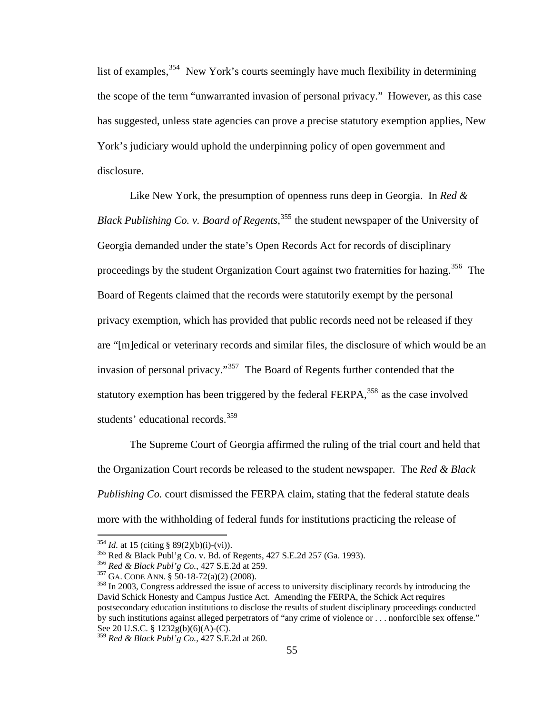list of examples,  $354$  New York's courts seemingly have much flexibility in determining has suggested, unless state agencies can prove a precise statutory exemption applies, New York's judiciary would uphold the underpinning policy of open government and disclos ure. the scope of the term "unwarranted invasion of personal privacy." However, as this case

Black Publishing Co. v. Board of Regents,<sup>[355](#page-64-1)</sup> the student newspaper of the University of proceedings by the student Organization Court against two fraternities for hazing.<sup>[35](#page-64-2)6</sup> The [are "\[m\]edical or veterinary records and similar files, the disclosure of which would](#page-64-2) be an [statutory exemption has been trig](#page-64-3)gered by the federal FERPA,  $358$  as the case involved Like New York, the presumption of openness runs deep in Georgia. In *Red &*  Georgia demanded under the state's Open Records Act for records of disciplinary [Board of Regents claimed that the records were statutorily exempt by the personal](#page-64-2)  [privacy exemption, which has provided that public records need not be released if they](#page-64-2)  [invasion of personal privacy."](#page-64-2)<sup>357</sup> The Board of Regents further contended that the students' educational records.<sup>[359](#page-65-0)</sup>

Publishing Co. [court dismissed the FERPA claim, stating that the federal statute dea](#page-65-0)ls  [The Supreme Court of Georgia affirmed the ruling of the trial court and held that](#page-65-0) [the Organization Court records be released to the student newspaper. The](#page-65-0) *Red & Black* [more with the withholding of federal funds for institutions practicing the release of](#page-65-0) 

<span id="page-64-2"></span>

<span id="page-64-3"></span>

<span id="page-64-1"></span><span id="page-64-0"></span><sup>&</sup>lt;sup>354</sup> *Id.* at 15 (citing § 89(2)(b)(i)-(vi)).<br><sup>355</sup> Red & Black Publ'g Co. v. Bd. of Regents, 427 S.E.2d 257 (Ga. 1993).<br><sup>356</sup> Red & Black Publ'g Co., 427 S.E.2d at 259.<br><sup>357</sup> GA. CODE ANN. § 50-18-72(a)(2) (2008).<br><sup>358</sup> David Schick Honesty and Campus Justice Act. Amending the FERPA, the Schick Act requires postsecondary education institutions to disclose the results of student disciplinary proceedings conducted by such institutions against alleged perpetrators of "any crime of violence or . . . nonforcible sex offense." See 20 U.S.C. § 1232g(b)(6)(A)-(C).

<sup>359</sup> *Red & Black Publ'g Co.*, 427 S.E.2d at 260.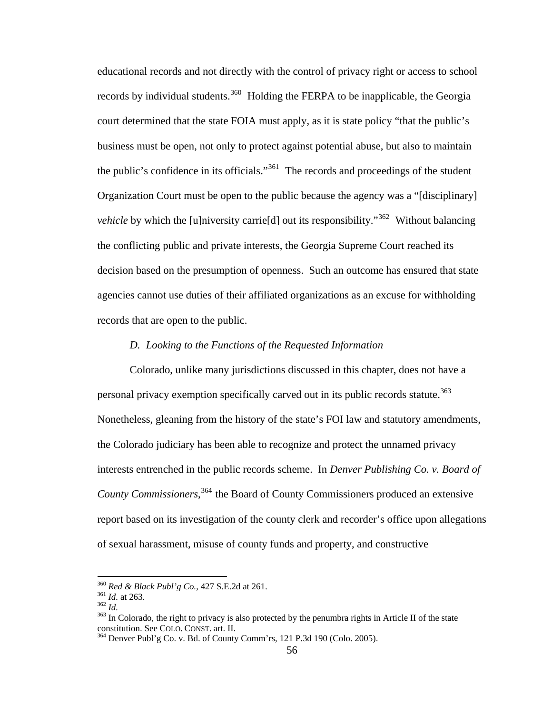[educational records and not directly with the control of privacy right or access to schoo](#page-65-0)l *vehicle* [by which the \[u\]niversity carrie\[d\] out its responsibility."](#page-65-2)<sup>362</sup> Without balancing [agencies cannot use duties of their a](#page-65-2)ffiliated organizations as an excuse for withholding [records by individual students.](#page-65-0)<sup>360</sup> Holding the FERPA to be inapplicable, the Georgia [court determined that the state FOIA must apply, as it is state policy "that the public's](#page-65-1)  [business must be open, not only to protect against potential abuse, but also to maintain](#page-65-1)  [the public's confidence in its officials."](#page-65-1)<sup>361</sup> The records and proceedings of the student [Organization Court must be open to the public because the agency was a "\[disciplinary\]](#page-65-2)  [the conflicting public and private interests, the Georgia Supreme Court reached its](#page-65-2)  [decision based on the presumption of openness. Such an outcome has ensured that state](#page-65-2)  records that are open to the public.

## *D. Looking to the Functions of the Requested Information*

Colorado, unlike many jurisdictions discussed in this chapter, does not have a Nonetheless, gleaning from the history of the state's FOI law and statutory amendments, interests entrenched in the public records scheme. In *Denver Publishing Co. v. Board of* personal privacy exemption specifically carved out in its public records statute.<sup>[363](#page-65-3)</sup> the Colorado judiciary has been able to recognize and protect the unnamed privacy *County Commissioners*, [364](#page-65-4) the Board of County Commissioners produced an extensive report based on its investigation of the county clerk and recorder's office upon allegations of sexual harassment, misuse of county funds and property, and constructive

<sup>360</sup> *Red & Black Publ'g Co.*, 427 S.E.2d at 261.

 $361$  *Id.* at 263.

<span id="page-65-3"></span>

<span id="page-65-2"></span><span id="page-65-1"></span><span id="page-65-0"></span><sup>&</sup>lt;sup>361</sup> *Id.* at 263.<br><sup>362</sup> *Id.*<br><sup>363</sup> In Colorado, the right to privacy is also protected by the penumbra rights in Article II of the state constitution. See COLO. CONST. art. II.<br><sup>364</sup> Denver Publ'g Co. v. Bd. of County Comm'rs, 121 P.3d 190 (Colo. 2005).

<span id="page-65-4"></span>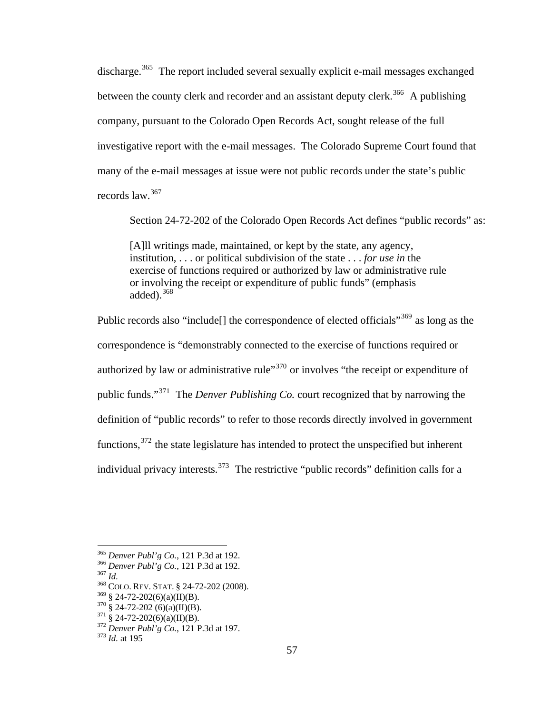discharge.<sup>[365](#page-66-0)</sup> The report included several sexually explicit e-mail messages exchanged investigative report with the e-mail messages. The Colorado Supreme Court found that many o f the e-mail messages at issue were not public records under the state's public records law.<sup>[367](#page-66-2)</sup> between the county clerk and recorder and an assistant deputy clerk.<sup>[366](#page-66-1)</sup> A publishing company, pursuant to the Colorado Open Records Act, sought release of the full

Section 24-72-202 of the Colorado Open Records Act defines "public records" as:

[A]ll writings made, maintained, or kept by the state, any agency, institution, . . . or political subdivision of the state . . . *for use in* the or involving the receipt or expenditure of public funds" (emphasis exercise of functions required or authorized by law or administrative rule added). $368$ 

functions,  $372$  the state legislature has intended to protect the unspecified but inherent individual privacy interests.<sup>373</sup> The restrictive "public records" definition calls for a Public records also "include<sup>[]</sup> the correspondence of elected officials"<sup>[369](#page-66-4)</sup> as long as the correspondence is "demonstrably connected to the exercise of functions required or authorized by law or administrative rule<sup> $370$ </sup> or involves "the receipt or expenditure of public funds."[371](#page-66-6) The *Denver Publishing Co.* court recognized that by narrowing the definition of "public records" to refer to those records directly involved in government

<span id="page-66-0"></span><sup>&</sup>lt;sup>365</sup> Denver Publ'g Co., 121 P.3d at 192. <sup>365</sup> *Denver Publ'g Co.*, 121 P.3d at 192.<br><sup>366</sup> *Denver Publ'g Co.*, 121 P.3d at 192.<br><sup>367</sup> *Id.* COLO. REV. STAT. § 24-72-202 (2008

<span id="page-66-1"></span>*ver Publ'g Co.*, 121 P.3d at 192.

<sup>368</sup> COLO. REV. STAT. § 24-72-202 (2008).

<span id="page-66-6"></span><span id="page-66-5"></span>

<span id="page-66-4"></span><span id="page-66-3"></span><span id="page-66-2"></span>*bl'g Co.*, 121 P.3d at 197. 369 § 24-72-202(6)(a)(II)(B). 370 § 24-72-202 (6)(a)(II)(B). 371 § 24-72-202(6)(a)(II)(B). 372 *Denver Pu* <sup>373</sup> *Id.* at 195

<span id="page-66-7"></span>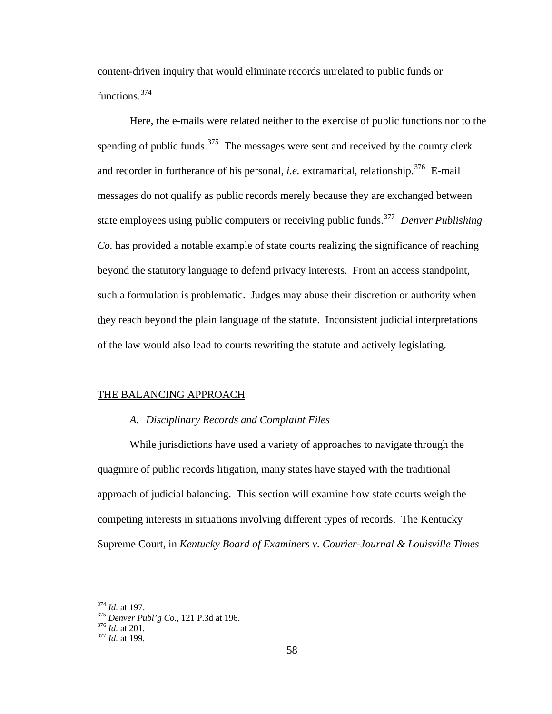content -driven inquiry that would eliminate records unrelated to public funds or functions.<sup>[374](#page-67-0)</sup>

Here, the e-mails were related neither to the exercise of public functions nor to the state employees using public computers or receiving public funds.<sup>[377](#page-67-2)</sup> *Denver Publishing* such a formulation is problematic. Judges may abuse their discretion or authority when they reach beyond the plain language of the statute. Inconsistent judicial interpretations of the law would also lead to courts rewriting the statute and actively legislating. spending of public funds.<sup>[375](#page-67-1)</sup> The messages were sent and received by the county clerk and recorder in furtherance of his personal, *i.e.* extramarital, relationship.<sup>[376](#page-67-2)</sup> E-mail messages do not qualify as public records merely because they are exchanged between *Co.* has provided a notable example of state courts realizing the significance of reaching beyond the statutory language to defend privacy interests. From an access standpoint,

#### THE B ALANCING APPROACH

#### *A. Disciplinary Records and Complaint Files*

While jurisdictions have used a variety of approaches to navigate through the quagmire of public records litigation, many states have stayed with the traditional approach of judicial balancing. This section will examine how state courts weigh the competing interests in situations involving different types of records. The Kentucky Supreme Court, in *Kentucky Board of Examiners v. Courier-Journal & Louisville Times* 

<u>.</u>

<span id="page-67-0"></span>*o.*, 121 P.3d at 196. <sup>374</sup> *Id.* at 197. 375 *Denver Publ'g C* <sup>376</sup> *Id.* at 201. 377 *Id.* at 199.

<span id="page-67-1"></span>

<span id="page-67-2"></span>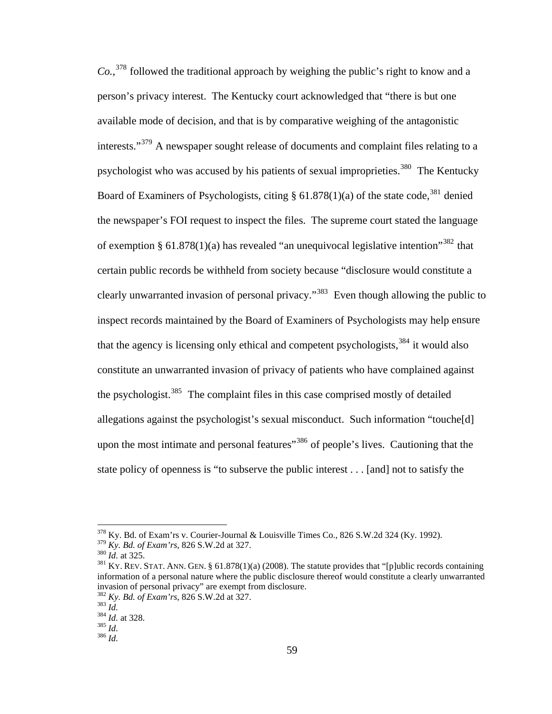clearly unwarranted invasion of personal privacy."<sup>[383](#page-68-5)</sup> Even though allowing the public to inspect records maintained by the Board of Examiners of Psychologists may help ensure state policy of openness is "to subserve the public interest . . . [and] not to satisfy the *Co.*, [378](#page-68-0) followed the traditional approach by weighing the public's right to know and a person's privacy interest. The Kentucky court acknowledged that "there is but one available mode of decision, and that is by comparative weighing of the antagonistic interests."[379](#page-68-1) A newspaper sought release of documents and complaint files relating to a psychologist who was accused by his patients of sexual improprieties.<sup>[380](#page-68-2)</sup> The Kentucky Board of Examiners of Psychologists, citing  $\S 61.878(1)(a)$  of the state code,<sup>[381](#page-68-3)</sup> denied the newspaper's FOI request to inspect the files. The supreme court stated the language of exemption § 61.878(1)(a) has revealed "an unequivocal legislative intention"<sup>[382](#page-68-4)</sup> that certain public records be withheld from society because "disclosure would constitute a that the agency is licensing only ethical and competent psychologists,  $384$  it would also constitute an unwarranted invasion of privacy of patients who have complained against the psychologist.<sup>[385](#page-68-7)</sup> The complaint files in this case comprised mostly of detailed allegations against the psychologist's sexual misconduct. Such information "touche[d] upon the most intimate and personal features<sup>"[386](#page-68-8)</sup> of people's lives. Cautioning that the

1

 $378$  Ky. Bd. of Exam'rs v. Courier-Journal & Louisville Times Co., 826 S.W.2d 324 (Ky. 1992).

<span id="page-68-1"></span><span id="page-68-0"></span><sup>&</sup>lt;sup>379</sup> Ky. *Bd. of Exam'rs*, 826 S.W.2d at 327.

<span id="page-68-3"></span><span id="page-68-2"></span>information of a personal nature where the public disclosure thereof would constitute a clearly unwarranted invasion of personal privacy" are exempt from disclosure. <sup>380</sup> *Id.* at 325.<br><sup>381</sup> Ky. REV. STAT. ANN. GEN. § 61.878(1)(a) (2008). The statute provides that "[p]ublic records containing invasion of personal privacy" are exempt fro<br><sup>382</sup> *Ky. Bd. of Exam'rs*, 826 S.W.2d at 327.<br><sup>383</sup> *Id.* at 328.<br><sup>385</sup> *Id.* <sup>386</sup> *Id.* 

*Bd. of Exam'rs*, 826 S.W.2d at 327.

<span id="page-68-6"></span><span id="page-68-5"></span><span id="page-68-4"></span>

 $384$  *Id.* at 328.

<span id="page-68-8"></span><span id="page-68-7"></span>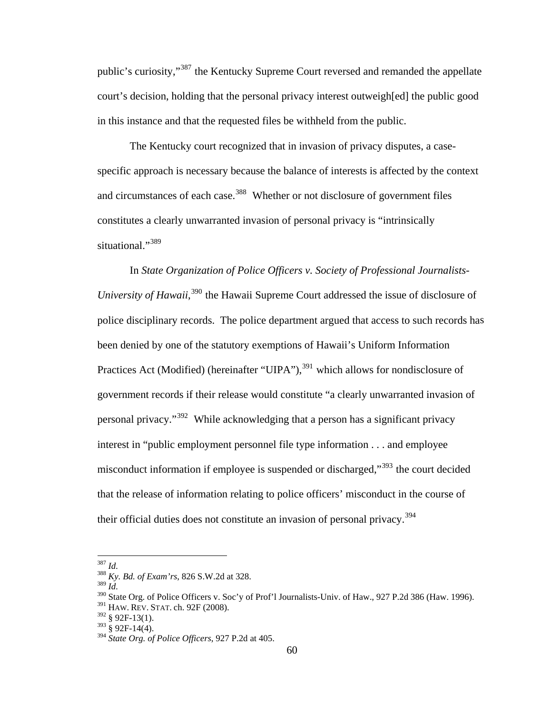public's curiosity,"<sup>[387](#page-69-0)</sup> the Kentucky Supreme Court reversed and remanded the appellate court's decision, holding that the personal privacy interest outweigh[ed] the public good in this instance and that the requested files be withheld from the public.

The Kentucky court recognized that in invasion of privacy disputes, a casespecific approach is necessary because the balance of interests is affected by the context and circumstances of each case.<sup>[388](#page-69-1)</sup> Whether or not disclosure of government files constitutes a clearly unwarranted invasion of personal privacy is "intrinsically situational."<sup>[389](#page-69-2)</sup>

In State Organization of Police Officers v. Society of Professional Journalists-University of Hawaii,<sup>[390](#page-69-3)</sup> the Hawaii Supreme Court addressed the issue of disclosure of police disciplinary records. The police department argued that access to such records has Practices Act (Modified) (hereinafter "UIPA"),<sup>[391](#page-69-4)</sup> which allows for nondisclosure of interest in "public employment personnel file type information . . . and employee misconduct information if employee is suspended or discharged,"<sup>[393](#page-70-0)</sup> the court decided that the release of information relating to police officers' misconduct in the course of been denied by one of the statutory exemptions of Hawaii's Uniform Information government records if their release would constitute "a clearly unwarranted invasion of personal privacy."[392](#page-69-5) While acknowledging that a person has a significant privacy their official duties does not constitute an invasion of personal privacy.[394](#page-70-1)

 $^{387}\,$  Id.

<span id="page-69-0"></span><sup>387</sup> *Id.* <sup>388</sup> *Ky. Bd. of Exam'rs*, 826 S.W.2d at 328.

<sup>389</sup> *Id.*

<span id="page-69-1"></span><sup>&</sup>lt;sup>390</sup> State Org. of Police Officers v. Soc'y of Prof'l Journalists-Univ. of Haw., 927 P.2d 386 (Haw. 1996).

<sup>&</sup>lt;sup>391</sup> HAW. REV. STAT. ch. 92F (2008).

<span id="page-69-3"></span><span id="page-69-2"></span><sup>392 § 92</sup>F-13(1).

<span id="page-69-4"></span> $393 \times 92F-14(4)$ .

<span id="page-69-5"></span><sup>&</sup>lt;sup>394</sup> *State Org. of Police Officers*, 927 P.2d at 405.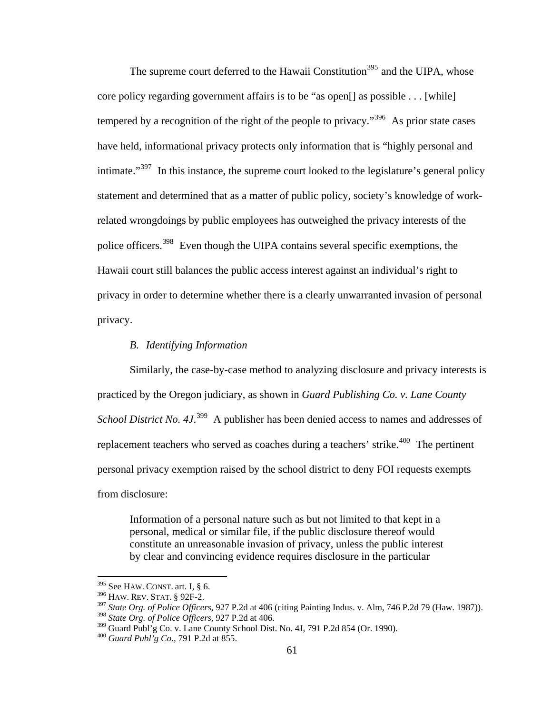intimate."<sup>397</sup> In this instance, the supreme court looked to the legislature's general policy [statement and determined that as a matter of public policy, society's knowledge of w](#page-70-3)ork[police off](#page-70-3)icers.<sup>398</sup> Even though the UIPA contains several specific exemptions, the Hawaii court still balances the public access interest against an individual's right to privacy in order to determine whether there is a clearly unwarranted invasion of personal The supreme court deferred to the Hawaii Constitution<sup>395</sup> and the UIPA, whose [core policy regarding government affairs is to be "as open\[\] as possible . . . \[while\]](#page-70-2)  tempered by a recognition of the right of the people to privacy.<sup>396</sup> As prior state cases [have held, informational privacy protects only information that is "highly personal and](#page-70-3) [related wrongdoings by public employees has outweighed the privacy interests of the](#page-70-3)  privacy.

## *B. Identifying Information*

Similarly, the case-by-case method to analyzing disclosure and privacy interests is *School District No. 4J.*<sup>399</sup> A publisher has been denied access to names and addresses of replacement teachers who served as coaches during a teachers' strike.<sup>[400](#page-71-0)</sup> The pertinent personal privacy exemption raised by the school district to deny FOI requests exempts from di sclosure: practiced by the Oregon judiciary, as shown in *Guard Publishing Co. v. Lane County* 

Information of a personal nature such as but not limited to that kept in a personal, medical or similar file, if the public disclosure thereof would constitute an unreasonable invasion of privacy, unless the public interest by clear and convincing evidence requires disclosure in the particular

1

<span id="page-70-1"></span><span id="page-70-0"></span> $395$  See HAW. CONST. art. I, § 6.

<sup>396</sup> HAW. REV. STAT. § 92F-2.

<span id="page-70-2"></span><sup>&</sup>lt;sup>397</sup> *State Org. of Police Officers*, 927 P.2d at 406 (citing Painting Indus. v. Alm, 746 P.2d 79 (Haw. 1987)).

<span id="page-70-3"></span><sup>398</sup> *State Org. of Police Officers*, 927 P.2d at 406.

 $^{399}$  Guard Publ'g Co. v. Lane County School Dist. No. 4J, 791 P.2d 854 (Or. 1990).

<sup>&</sup>lt;sup>400</sup> Guard Publ'g Co., 791 P.2d at 855.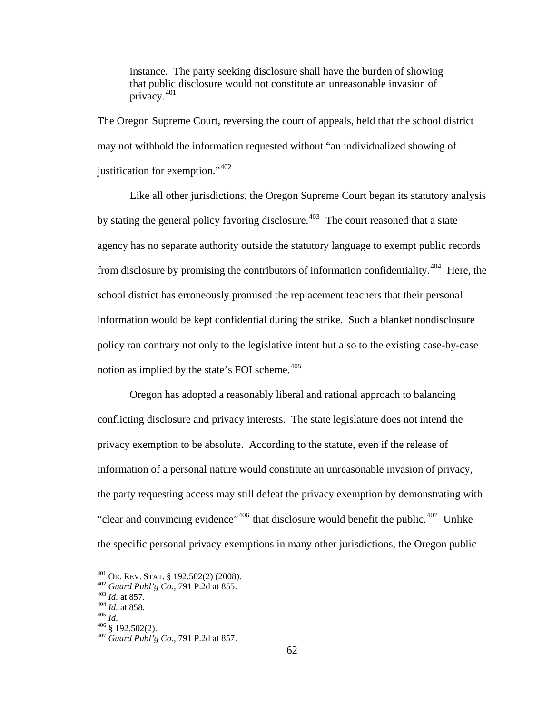that public disclosure would not constitute an unreasonable invasion of instance. The party seeking disclosure shall have the burden of showing privacy.[401](#page-71-1)

[The Oregon Supreme Court, reve](#page-71-1)rsing the court of appeals, held that the school district may no t withhold the information requested without "an individualized showing of justification for exemption."<sup>[402](#page-71-2)</sup>

agency has no separate authority outside the statutory language to exempt public records from disclosure by promising the contributors of information confidentiality.<sup>[404](#page-71-4)</sup> Here, the information would be kept confidential during the strike. Such a blanket nondisclosure policy ran contrary not only to the legislative intent but also to the existing case-by-case Like all other jurisdictions, the Oregon Supreme Court began its statutory analysis by stating the general policy favoring disclosure.<sup> $403$ </sup> The court reasoned that a state school district has erroneously promised the replacement teachers that their personal notion as implied by the state's FOI scheme. $405$ 

"clear and convincing evidence"<sup>406</sup> that disclosure would benefit the public.<sup>407</sup> Unlike the specific personal privacy exemptions in many other jurisdictions, the Oregon public Oregon has adopted a reasonably liberal and rational approach to balancing conflicting disclosure and privacy interests. The state legislature does not intend the privacy exemption to be absolute. According to the statute, even if the release of information of a personal nature would constitute an unreasonable invasion of privacy, the party requesting access may still defeat the privacy exemption by demonstrating with

 $401$  OR. REV. STAT. § 192.502(2) (2008).

<span id="page-71-2"></span><span id="page-71-1"></span><span id="page-71-0"></span><sup>402</sup> *Guard Publ'g Co.*, 791 P.2d at 855.<br>
403 *Id.* at 857.<br>
<sup>404</sup> *Id.* at 858.<br>
<sup>405</sup> § 192.502(2).<br>
<sup>407</sup> *Guard Publ'g Co.*, 791 P.2d at 857.

<span id="page-71-5"></span><span id="page-71-4"></span><span id="page-71-3"></span>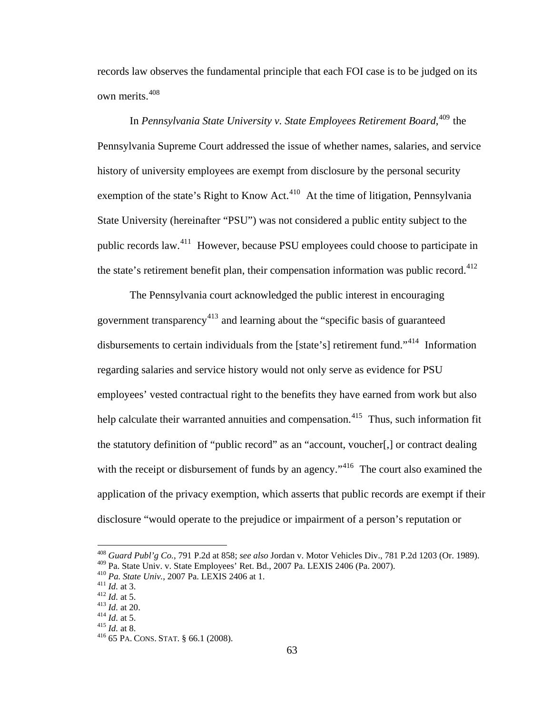records law observes the fundamental principle that each FOI case is to be judged on its own merits.<sup>[408](#page-71-0)</sup>

In *Pennsylvania State University v. State Employees Retirement Board*, [409](#page-72-0) the Pennsylvania Supreme Court addressed the issue of whether names, salaries, and service history of university employees are exempt from disclosure by the personal security exemption of the state's Right to Know Act.<sup>[410](#page-72-1)</sup> At the time of litigation, Pennsylvania State University (hereinafter "PSU") was not considered a public entity subject to the public records law.[411](#page-72-2) However, because PSU employees could choose to participate in the state's retirement benefit plan, their compensation information was public record.<sup>[412](#page-72-3)</sup>

The Pennsylvania court acknowledged the public interest in encouraging government transparency<sup>[413](#page-72-4)</sup> and learning about the "specific basis of guaranteed disbursements to certain individuals from the [state's] retirement fund."<sup>[414](#page-72-5)</sup> Information regarding salaries and service history would not only serve as evidence for PSU employees' vested contractual right to the benefits they have earned from work but also help calculate their warranted annuities and compensation.<sup>[415](#page-72-6)</sup> Thus, such information fit the statutory definition of "public record" as an "account, voucher[,] or contract dealing with the receipt or disbursement of funds by an agency."<sup>[416](#page-72-7)</sup> The court also examined the application of the privacy exemption, which asserts that public records are exempt if their disclosure "would operate to the prejudice or impairment of a person's reputation or

<span id="page-72-0"></span><sup>408</sup> *Guard Publ'g Co.*, 791 P.2d at 858; *see also* Jordan v. Motor Vehicles Div., 781 P.2d 1203 (Or. 1989). <sup>409</sup> Pa. State Univ. v. State Employees' Ret. Bd., 2007 Pa. LEXIS 2406 (Pa. 2007).<br><sup>410</sup> Pa. State Univ., 2007 Pa. LEXIS 2406 at 1.<br><sup>411</sup> Id. at 3.<br><sup>412</sup> Id. at 5.<br><sup>413</sup> Id. at 20.<br><sup>414</sup> Id. at 5.<br><sup>414</sup> Id. at 5.<br><sup>414</sup> I

<span id="page-72-1"></span>

<span id="page-72-2"></span>

<span id="page-72-4"></span><span id="page-72-3"></span>

<span id="page-72-5"></span>

<span id="page-72-6"></span>

<span id="page-72-7"></span>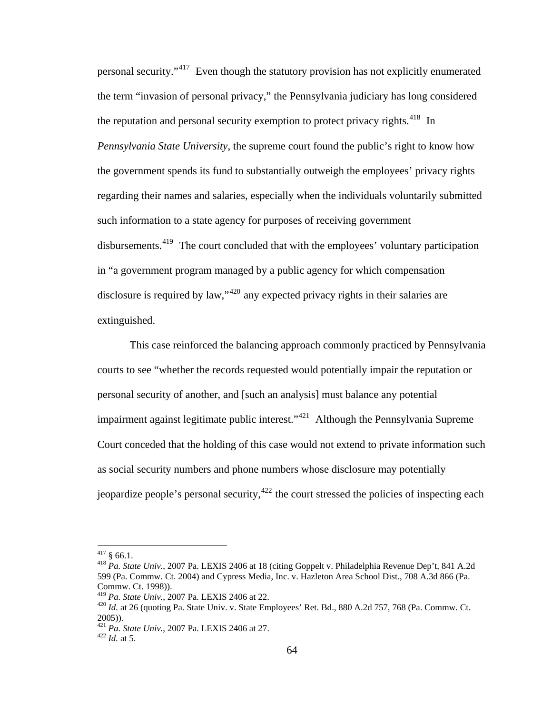personal security."[417](#page-73-0) Even though the statutory provision has not explicitly enumerated the term "invasion of personal privacy," the Pennsylvania judiciary has long considered the reputation and personal security exemption to protect privacy rights.<sup>[418](#page-73-1)</sup> In *Pennsylvania State University*, the supreme court found the public's right to know how the government spends its fund to substantially outweigh the employees' privacy rights regarding their names and salaries, especially when the individuals voluntarily submitted such information to a state agency for purposes of receiving government disbursements.<sup>[419](#page-73-2)</sup> The court concluded that with the employees' voluntary participation in "a government program managed by a public agency for which compensation disclosure is required by law,"<sup>[420](#page-73-3)</sup> any expected privacy rights in their salaries are extinguished.

This case reinforced the balancing approach commonly practiced by Pennsylvania courts to see "whether the records requested would potentially impair the reputation or personal security of another, and [such an analysis] must balance any potential impairment against legitimate public interest."<sup>[421](#page-73-4)</sup> Although the Pennsylvania Supreme Court conceded that the holding of this case would not extend to private information such as social security numbers and phone numbers whose disclosure may potentially jeopardize people's personal security,  $422$  the court stressed the policies of inspecting each

<span id="page-73-0"></span> $417$  § 66.1.

<span id="page-73-1"></span><sup>&</sup>lt;sup>418</sup> Pa. State Univ., 2007 Pa. LEXIS 2406 at 18 (citing Goppelt v. Philadelphia Revenue Dep't, 841 A.2d 599 (Pa. Commw. Ct. 2004) and Cypress Media, Inc. v. Hazleton Area School Dist., 708 A.3d 866 (Pa. Commw. Ct. 1998)).<br><sup>419</sup> Pa. *State Univ.*, 2007 Pa. LEXIS 2406 at 22.

<span id="page-73-3"></span><span id="page-73-2"></span><sup>&</sup>lt;sup>420</sup> *Id.* at 26 (quoting Pa. State Univ. v. State Employees' Ret. Bd., 880 A.2d 757, 768 (Pa. Commw. Ct. 2005)).

<span id="page-73-5"></span><span id="page-73-4"></span><sup>421</sup> *Pa. State Univ.*, 2007 Pa. LEXIS 2406 at 27. 422 *Id.* at 5.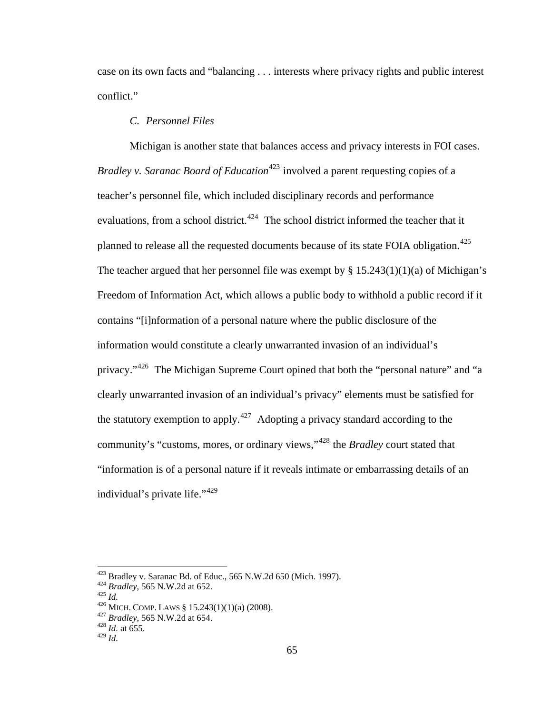case on its own facts and "balancing . . . interests where privacy rights and public interest conflict."

# *C. Personnel Files*

Michigan is another state that balances access and privacy interests in FOI cases. *Bradley v. Saranac Board of Education*<sup>[423](#page-74-0)</sup> involved a parent requesting copies of a teacher's personnel file, which included disciplinary records and performance evaluations, from a school district.<sup>[424](#page-74-1)</sup> The school district informed the teacher that it planned to release all the requested documents because of its state FOIA obligation.<sup>[425](#page-74-2)</sup> The teacher argued that her personnel file was exempt by  $\S 15.243(1)(1)(a)$  of Michigan's Freedom of Information Act, which allows a public body to withhold a public record if it contains "[i]nformation of a personal nature where the public disclosure of the information would constitute a clearly unwarranted invasion of an individual's privacy."[426](#page-74-3) The Michigan Supreme Court opined that both the "personal nature" and "a clearly unwarranted invasion of an individual's privacy" elements must be satisfied for the statutory exemption to apply.<sup>[427](#page-74-4)</sup> Adopting a privacy standard according to the community's "customs, mores, or ordinary views,"[428](#page-74-5) the *Bradley* court stated that "information is of a personal nature if it reveals intimate or embarrassing details of an individual's private life."[429](#page-74-6)

<span id="page-74-1"></span><span id="page-74-0"></span><sup>&</sup>lt;sup>423</sup> Bradley v. Saranac Bd. of Educ., 565 N.W.2d 650 (Mich. 1997).<br><sup>424</sup> Bradley, 565 N.W.2d at 652.<br><sup>425</sup> Id.<br><sup>426</sup> MICH. COMP. LAWS § 15.243(1)(1)(a) (2008).<br><sup>427</sup> Bradley, 565 N.W.2d at 654.<br><sup>428</sup> Id. at 655.

<span id="page-74-2"></span>

<span id="page-74-3"></span>

<span id="page-74-5"></span><span id="page-74-4"></span> $^{428}$  *Id.* at 655.<br><sup>429</sup> *Id.* 

<span id="page-74-6"></span>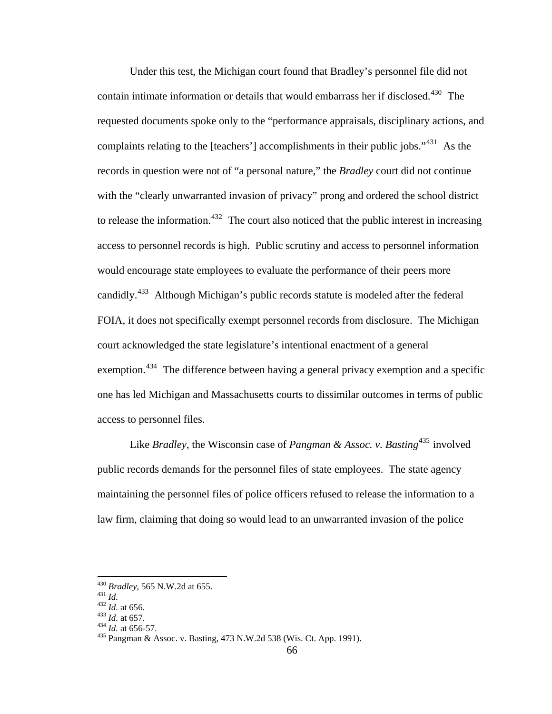Under this test, the Michigan court found that Bradley's personnel file did not contain intimate information or details that would embarrass her if disclosed.<sup>[430](#page-75-0)</sup> The requested documents spoke only to the "performance appraisals, disciplinary actions, and complaints relating to the [teachers'] accomplishments in their public jobs."<sup>[431](#page-75-1)</sup> As the records in question were not of "a personal nature," the *Bradley* court did not continue with the "clearly unwarranted invasion of privacy" prong and ordered the school district to release the information.<sup>[432](#page-75-2)</sup> The court also noticed that the public interest in increasing access to personnel records is high. Public scrutiny and access to personnel information would encourage state employees to evaluate the performance of their peers more candidly.[433](#page-75-3) Although Michigan's public records statute is modeled after the federal FOIA, it does not specifically exempt personnel records from disclosure. The Michigan court acknowledged the state legislature's intentional enactment of a general exemption.<sup>[434](#page-75-4)</sup> The difference between having a general privacy exemption and a specific one has led Michigan and Massachusetts courts to dissimilar outcomes in terms of public access to personnel files.

Like *Bradley*, the Wisconsin case of *Pangman & Assoc. v. Basting*<sup>[435](#page-75-5)</sup> involved public records demands for the personnel files of state employees. The state agency maintaining the personnel files of police officers refused to release the information to a law firm, claiming that doing so would lead to an unwarranted invasion of the police

 $^{430}$  Bradley, 565 N.W.2d at 655.

<span id="page-75-2"></span>

<span id="page-75-3"></span>

<span id="page-75-5"></span><span id="page-75-4"></span>

<span id="page-75-1"></span><span id="page-75-0"></span><sup>431</sup> *Id.*<br>
432 *Id.* at 656.<br>
433 *Id.* at 656.<br>
434 *Id.* at 656-57.<br>
435 Pangman & Assoc. v. Basting, 473 N.W.2d 538 (Wis. Ct. App. 1991).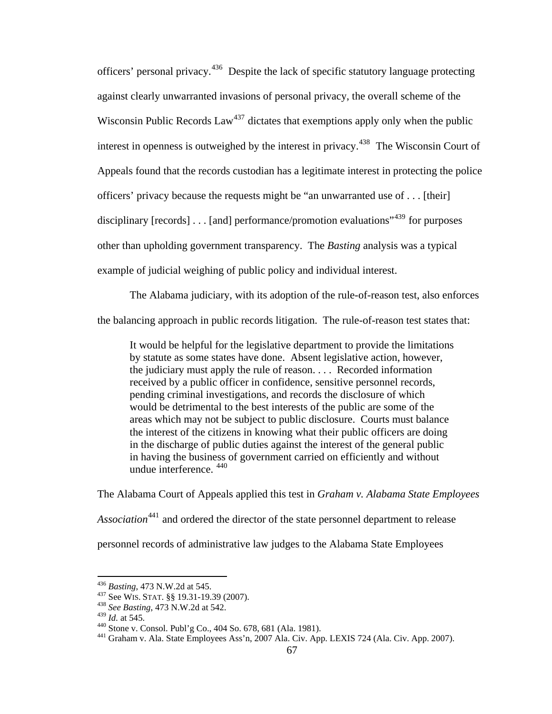example of judicial weighing of public policy and individual interest. officers' personal privacy.[436](#page-76-0) Despite the lack of specific statutory language protecting against clearly unwarranted invasions of personal privacy, the overall scheme of the Wisconsin Public Records  $Law^{437}$  $Law^{437}$  $Law^{437}$  dictates that exemptions apply only when the public interest in openness is outweighed by the interest in privacy.<sup>[438](#page-76-2)</sup> The Wisconsin Court of Appeals found that the records custodian has a legitimate interest in protecting the police officers' privacy because the requests might be "an unwarranted use of . . . [their] disciplinary [records] . . . [and] performance/promotion evaluations<sup>1[439](#page-76-3)</sup> for purposes other than upholding government transparency. The *Basting* analysis was a typical

The Alabama judiciary, with its adoption of the rule-of-reason test, also enforces the balancing approach in public records litigation. The rule-of-reason test states that:

It would be helpful for the legislative department to provide the limitations by statute as some states have done. Absent legislative action, however, the judiciary must apply the rule of reason. . . . Recorded information received by a public officer in confidence, sensitive personnel records, pending criminal investigations, and records the disclosure of which would be detrimental to the best interests of the public are some of the areas which may not be subject to public disclosure. Courts must balance the interest of the citizens in knowing what their public officers are doing in the discharge of public duties against the interest of the general public in having the business of government carried on efficiently and without undue interference. [440](#page-76-4)

The Alabama Court of Appeals applied this test in *Graham v. Alabama State Employees Association*[441](#page-76-5) and ordered the director of the state personnel department to release personnel records of administrative law judges to the Alabama State Employees

<sup>436</sup> Basting, 473 N.W.2d at 545.

<span id="page-76-2"></span><span id="page-76-1"></span><span id="page-76-0"></span><sup>&</sup>lt;sup>437</sup> See WIS. STAT. §§ 19.31-19.39 (2007).<br><sup>438</sup> *See Basting*, 473 N.W.2d at 542.<br><sup>439</sup> *Id.* at 545.

<span id="page-76-5"></span><span id="page-76-4"></span><span id="page-76-3"></span><sup>&</sup>lt;sup>440</sup> Stone v. Consol. Publ'g Co., 404 So. 678, 681 (Ala. 1981).<br><sup>441</sup> Graham v. Ala. State Employees Ass'n, 2007 Ala. Civ. App. LEXIS 724 (Ala. Civ. App. 2007).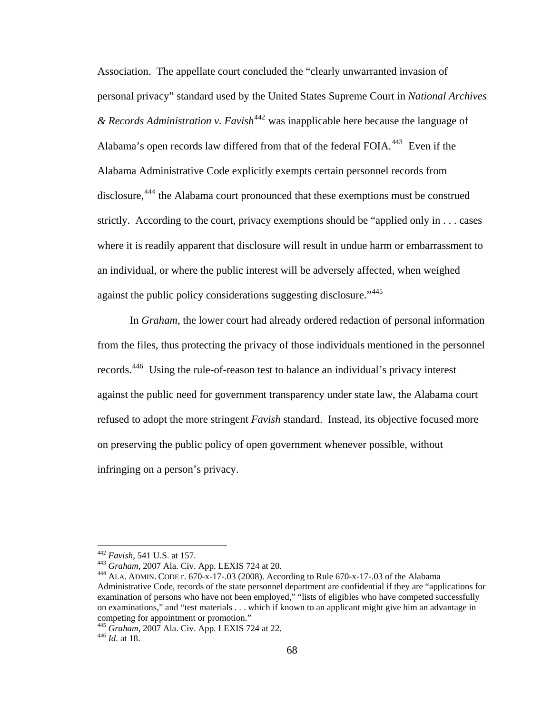Association. The appellate court concluded the "clearly unwarranted invasion of personal privacy" standard used by the United States Supreme Court in *National Archives & Records Administration v. Favish*[442](#page-77-0) was inapplicable here because the language of Alabama's open records law differed from that of the federal FOIA.<sup>[443](#page-77-1)</sup> Even if the Alabama Administrative Code explicitly exempts certain personnel records from disclosure,<sup>[444](#page-77-2)</sup> the Alabama court pronounced that these exemptions must be construed strictly. According to the court, privacy exemptions should be "applied only in . . . cases where it is readily apparent that disclosure will result in undue harm or embarrassment to an individual, or where the public interest will be adversely affected, when weighed against the public policy considerations suggesting disclosure."<sup>[445](#page-77-3)</sup>

In *Graham*, the lower court had already ordered redaction of personal information from the files, thus protecting the privacy of those individuals mentioned in the personnel records.[446](#page-77-4) Using the rule-of-reason test to balance an individual's privacy interest against the public need for government transparency under state law, the Alabama court refused to adopt the more stringent *Favish* standard. Instead, its objective focused more on preserving the public policy of open government whenever possible, without infringing on a person's privacy.

<span id="page-77-2"></span>

<span id="page-77-1"></span><span id="page-77-0"></span><sup>442</sup> *Favish*, 541 U.S. at 157. 443 *Graham*, 2007 Ala. Civ. App. LEXIS 724 at 20. 444 ALA. ADMIN. CODE r. 670-x-17-.03 (2008). According to Rule 670-x-17-.03 of the Alabama Administrative Code, records of the state personnel department are confidential if they are "applications for examination of persons who have not been employed," "lists of eligibles who have competed successfully on examinations," and "test materials . . . which if known to an applicant might give him an advantage in competing for appointment or promotion."

<span id="page-77-3"></span><sup>445</sup> *Graham*, 2007 Ala. Civ. App. LEXIS 724 at 22. 446 *Id.* at 18.

<span id="page-77-4"></span>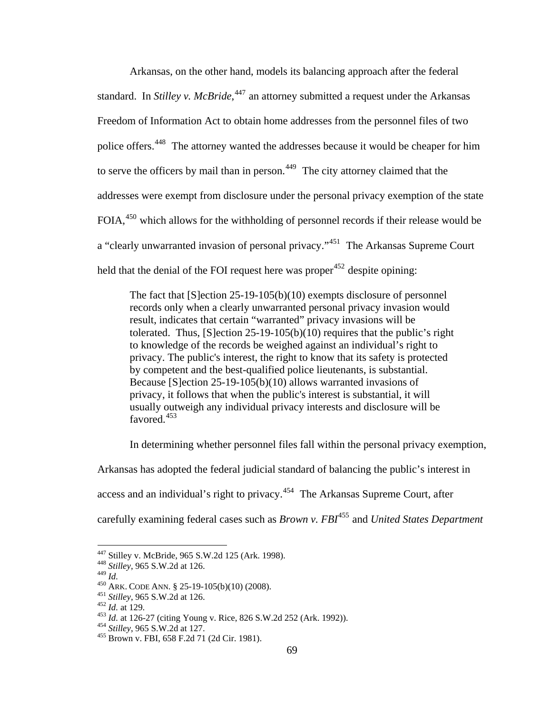Arkansas, on the other hand, models its balancing approach after the federal standard. In *Stilley v. McBride*,<sup>[447](#page-78-0)</sup> an attorney submitted a request under the Arkansas Freedom of Information Act to obtain home addresses from the personnel files of two police offers.[448](#page-78-1) The attorney wanted the addresses because it would be cheaper for him to serve the officers by mail than in person.<sup>[449](#page-78-2)</sup> The city attorney claimed that the addresses were exempt from disclosure under the personal privacy exemption of the state FOIA,<sup>[450](#page-78-3)</sup> which allows for the withholding of personnel records if their release would be a "clearly unwarranted invasion of personal privacy."[451](#page-78-4) The Arkansas Supreme Court held that the denial of the FOI request here was proper  $452$  despite opining:

The fact that [S]ection 25-19-105(b)(10) exempts disclosure of personnel records only when a clearly unwarranted personal privacy invasion would result, indicates that certain "warranted" privacy invasions will be tolerated. Thus, [S]ection 25-19-105(b)(10) requires that the public's right to knowledge of the records be weighed against an individual's right to privacy. The public's interest, the right to know that its safety is protected by competent and the best-qualified police lieutenants, is substantial. Because [S]ection 25-19-105(b)(10) allows warranted invasions of privacy, it follows that when the public's interest is substantial, it will usually outweigh any individual privacy interests and disclosure will be favored<sup>[453](#page-78-6)</sup>

In determining whether personnel files fall within the personal privacy exemption,

Arkansas has adopted the federal judicial standard of balancing the public's interest in

access and an individual's right to privacy.<sup>[454](#page-78-7)</sup> The Arkansas Supreme Court, after

carefully examining federal cases such as *Brown v. FBI*[455](#page-78-8) and *United States Department* 

<span id="page-78-1"></span><span id="page-78-0"></span><sup>447</sup> Stilley v. McBride, 965 S.W.2d 125 (Ark. 1998). 448 *Stilley*, 965 S.W.2d at 126.

<span id="page-78-6"></span><span id="page-78-5"></span>

<span id="page-78-4"></span><span id="page-78-3"></span><span id="page-78-2"></span><sup>&</sup>lt;sup>450</sup> ARK. CODE ANN. § 25-19-105(b)(10) (2008).<br><sup>451</sup> Stilley, 965 S.W.2d at 126.<br><sup>452</sup> Id. at 129.<br><sup>453</sup> Id. at 126-27 (citing Young v. Rice, 826 S.W.2d 252 (Ark. 1992)).<br><sup>454</sup> Stilley, 965 S.W.2d at 127.<br><sup>455</sup> Brown v.

<span id="page-78-7"></span>

<span id="page-78-8"></span>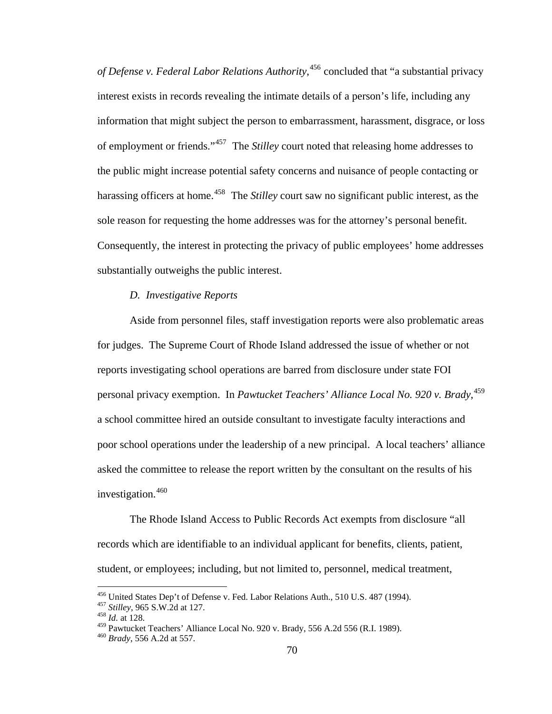*of Defense v. Federal Labor Relations Authority*, [456](#page-79-0) concluded that "a substantial privacy interest exists in records revealing the intimate details of a person's life, including any information that might subject the person to embarrassment, harassment, disgrace, or loss of employment or friends."[457](#page-79-1) The *Stilley* court noted that releasing home addresses to the public might increase potential safety concerns and nuisance of people contacting or harassing officers at home.<sup>[458](#page-79-2)</sup> The *Stilley* court saw no significant public interest, as the sole reason for requesting the home addresses was for the attorney's personal benefit. Consequently, the interest in protecting the privacy of public employees' home addresses substantially outweighs the public interest.

## *D. Investigative Reports*

Aside from personnel files, staff investigation reports were also problematic areas for judges. The Supreme Court of Rhode Island addressed the issue of whether or not reports investigating school operations are barred from disclosure under state FOI personal privacy exemption. In *Pawtucket Teachers' Alliance Local No. 920 v. Brady*, [459](#page-79-3) a school committee hired an outside consultant to investigate faculty interactions and poor school operations under the leadership of a new principal. A local teachers' alliance asked the committee to release the report written by the consultant on the results of his investigation. $460$ 

 The Rhode Island Access to Public Records Act exempts from disclosure "all records which are identifiable to an individual applicant for benefits, clients, patient, student, or employees; including, but not limited to, personnel, medical treatment,

<span id="page-79-1"></span><span id="page-79-0"></span><sup>456</sup> United States Dep't of Defense v. Fed. Labor Relations Auth., 510 U.S. 487 (1994). 457 *Stilley*, 965 S.W.2d at 127. 458 *Id.* at 128.

<span id="page-79-4"></span><span id="page-79-3"></span><span id="page-79-2"></span><sup>459</sup> Pawtucket Teachers' Alliance Local No. 920 v. Brady, 556 A.2d 556 (R.I. 1989). 460 *Brady*, 556 A.2d at 557.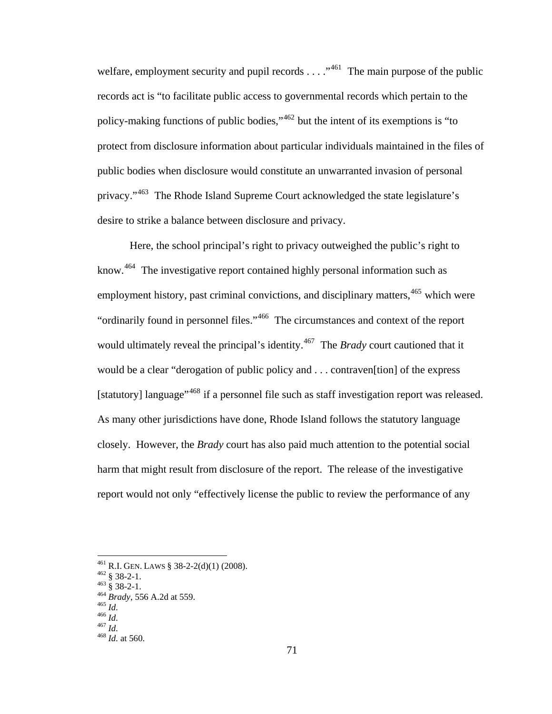desire to strike a balance between disclosure and privacy. welfare, employment security and pupil records  $\dots$   $\cdot$   $^{461}$  $^{461}$  $^{461}$  The main purpose of the public records act is "to facilitate public access to governmental records which pertain to the policy-making functions of public bodies,"[462](#page-80-1) but the intent of its exemptions is "to protect from disclosure information about particular individuals maintained in the files of public bodies when disclosure would constitute an unwarranted invasion of personal privacy."[463](#page-80-2) The Rhode Island Supreme Court acknowledged the state legislature's

Here, the school principal's right to privacy outweighed the public's right to know.<sup>[464](#page-80-3)</sup> The investigative report contained highly personal information such as employment history, past criminal convictions, and disciplinary matters, <sup>[465](#page-80-4)</sup> which were "ordinarily found in personnel files."[466](#page-80-5) The circumstances and context of the report would ultimately reveal the principal's identity.[467](#page-80-6) The *Brady* court cautioned that it would be a clear "derogation of public policy and . . . contraven[tion] of the express [statutory] language<sup>",[468](#page-80-7)</sup> if a personnel file such as staff investigation report was released. As many other jurisdictions have done, Rhode Island follows the statutory language closely. However, the *Brady* court has also paid much attention to the potential social harm that might result from disclosure of the report. The release of the investigative report would not only "effectively license the public to review the performance of any

<span id="page-80-0"></span><sup>4&</sup>lt;sup>61</sup> R.I. GEN. LAWS § 38-2-2(d)(1) (2008).<br><sup>462</sup> § 38-2-1.<br><sup>463</sup> § 38-2-1.<br><sup>464</sup> *Brady*, 556 A.2d at 559.<br><sup>465</sup> *Id.*<br><sup>466</sup> *Id.*<br><sup>466</sup> *Id.* <sup>467</sup> *Id.* at 560.

<span id="page-80-1"></span>

<span id="page-80-2"></span>

<span id="page-80-5"></span><span id="page-80-4"></span><span id="page-80-3"></span>

<span id="page-80-6"></span>

<span id="page-80-7"></span>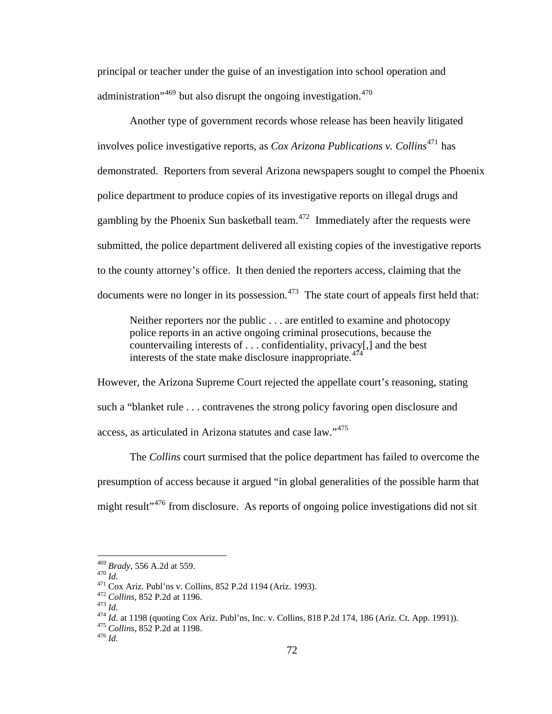principal or teacher under the guise of an investigation into school operation and administration<sup> $1469$  $1469$ </sup> but also disrupt the ongoing investigation.<sup>[470](#page-81-1)</sup>

Another type of government records whose release has been heavily litigated involves police investigative reports, as *Cox Arizona Publications v. Collins*[471](#page-81-2) has demonstrated. Reporters from several Arizona newspapers sought to compel the Phoenix police department to produce copies of its investigative reports on illegal drugs and gambling by the Phoenix Sun basketball team. $472$  Immediately after the requests were submitted, the police department delivered all existing copies of the investigative reports to the county attorney's office. It then denied the reporters access, claiming that the documents were no longer in its possession.<sup>[473](#page-81-4)</sup> The state court of appeals first held that:

Neither reporters nor the public . . . are entitled to examine and photocopy police reports in an active ongoing criminal prosecutions, because the countervailing interests of . . . confidentiality, privacy[,] and the best interests of the state make disclosure inappropriate.<sup>[474](#page-81-5)</sup>

However, the Arizona Supreme Court rejected the appellate court's reasoning, stating such a "blanket rule . . . contravenes the strong policy favoring open disclosure and access, as articulated in Arizona statutes and case law."[475](#page-81-6)

The *Collins* court surmised that the police department has failed to overcome the presumption of access because it argued "in global generalities of the possible harm that might result<sup>"[476](#page-81-7)</sup> from disclosure. As reports of ongoing police investigations did not sit

 $469$  Brady, 556 A.2d at 559.

<span id="page-81-2"></span>

<span id="page-81-3"></span>

<span id="page-81-5"></span><span id="page-81-4"></span>

<span id="page-81-1"></span><span id="page-81-0"></span><sup>470</sup> *Id.*<br>
471 Cox Ariz. Publ'ns v. Collins, 852 P.2d 1194 (Ariz. 1993).<br>
472 Collins, 852 P.2d at 1196.<br>
473 *Id.*<br>
474 *Id.* at 1198 (quoting Cox Ariz. Publ'ns, Inc. v. Collins, 818 P.2d 174, 186 (Ariz. Ct. App. 1991)).

<span id="page-81-7"></span><span id="page-81-6"></span>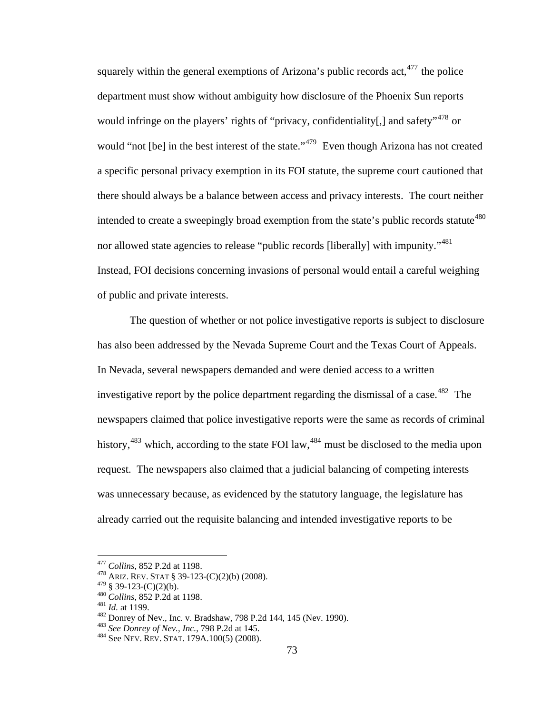squarely within the general exemptions of Arizona's public records  $act<sub>1</sub><sup>477</sup>$  $act<sub>1</sub><sup>477</sup>$  $act<sub>1</sub><sup>477</sup>$  the police department must show without ambiguity how disclosure of the Phoenix Sun reports would infringe on the players' rights of "privacy, confidentiality[,] and safety",  $478$  or would "not [be] in the best interest of the state."<sup>[479](#page-82-2)</sup> Even though Arizona has not created a specific personal privacy exemption in its FOI statute, the supreme court cautioned that there should always be a balance between access and privacy interests. The court neither intended to create a sweepingly broad exemption from the state's public records statute<sup>[480](#page-82-3)</sup> nor allowed state agencies to release "public records [liberally] with impunity."<sup>[481](#page-82-4)</sup> Instead, FOI decisions concerning invasions of personal would entail a careful weighing of public and private interests.

The question of whether or not police investigative reports is subject to disclosure has also been addressed by the Nevada Supreme Court and the Texas Court of Appeals. In Nevada, several newspapers demanded and were denied access to a written investigative report by the police department regarding the dismissal of a case.<sup>[482](#page-82-5)</sup> The newspapers claimed that police investigative reports were the same as records of criminal history,  $483$  which, according to the state FOI law,  $484$  must be disclosed to the media upon request. The newspapers also claimed that a judicial balancing of competing interests was unnecessary because, as evidenced by the statutory language, the legislature has already carried out the requisite balancing and intended investigative reports to be

<span id="page-82-0"></span><sup>&</sup>lt;sup>477</sup> Collins, 852 P.2d at 1198.

<span id="page-82-1"></span><sup>&</sup>lt;sup>478</sup> ARIZ. REV. STAT § 39-123-(C)(2)(b) (2008).<br><sup>479</sup> § 39-123-(C)(2)(b).

<span id="page-82-2"></span>

<span id="page-82-3"></span>

<span id="page-82-5"></span><span id="page-82-4"></span>

<sup>&</sup>lt;sup>480</sup> Collins, 852 P.2d at 1198.<br><sup>481</sup> *Id.* at 1199.<br><sup>482</sup> Donrey of Nev., Inc. v. Bradshaw, 798 P.2d 144, 145 (Nev. 1990).<br><sup>483</sup> *See Donrey of Nev., Inc.*, 798 P.2d at 145.<br><sup>484</sup> See NEV. REV. STAT. 179A.100(5) (2008).

<span id="page-82-7"></span><span id="page-82-6"></span>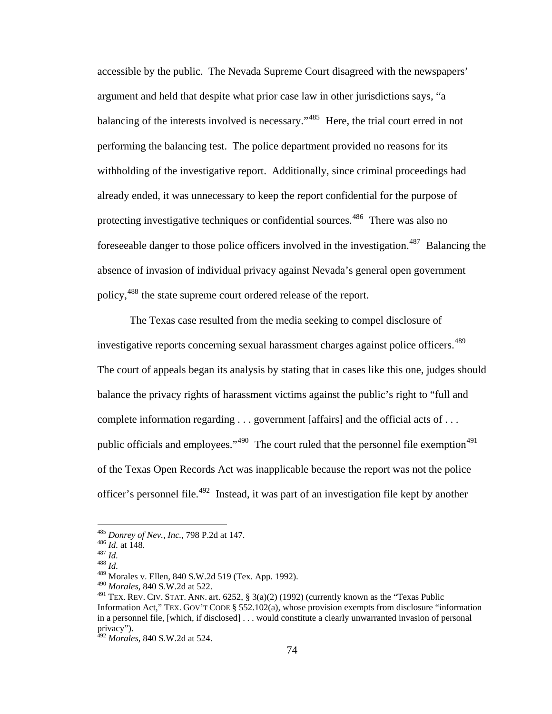accessible by the public. The Nevada Supreme Court disagreed with the newspapers' argument and held that despite what prior case law in other jurisdictions says, "a balancing of the interests involved is necessary."<sup>[485](#page-83-0)</sup> Here, the trial court erred in not performing the balancing test. The police department provided no reasons for its withholding of the investigative report. Additionally, since criminal proceedings had already ended, it was unnecessary to keep the report confidential for the purpose of protecting investigative techniques or confidential sources.<sup>[486](#page-83-1)</sup> There was also no fore seeable danger to those police officers involved in the investigation.<sup>[487](#page-83-2)</sup> Balancing the absence of invasion of individual privacy against Nevada's general open government policy,[488](#page-83-3) the state supreme court ordered release of the report.

The Texas case resulted from the media seeking to compel disclosure of investigative reports concerning sexual harassment charges against police officers.<sup>[489](#page-83-4)</sup> The court of appeals began its analysis by stating that in cases like this one, judges should balance the privacy rights of harassment victims against the public's right to "full and complete information regarding . . . government [affairs] and the official acts of . . . public officials and employees." $490$  The court ruled that the personnel file exemption $491$ of the Texas Open Records Act was inapplicable because the report was not the police officer's personnel file.[492](#page-83-7) Instead, it was part of an investigation file kept by another

<span id="page-83-1"></span><span id="page-83-0"></span><sup>485</sup> *Donrey of Nev., Inc.*, 798 P.2d at 147. 486 *Id.* at 148. 487 *Id.* <sup>488</sup> *Id.* 

<span id="page-83-2"></span>

<span id="page-83-4"></span><span id="page-83-3"></span>

<sup>489</sup> Morales v. Ellen, 840 S.W.2d 519 (Tex. App. 1992).

<span id="page-83-5"></span><sup>490</sup> *Morales*, 840 S.W.2d at 522.

<span id="page-83-6"></span><sup>&</sup>lt;sup>491</sup> TEX. REV. CIV. STAT. ANN. art. 6252, § 3(a)(2) (1992) (currently known as the "Texas Public Information Act," TEX. GOV'T CODE § 552.102(a), whose provision exempts from disclosure "information in a personnel file, [which, if disclosed] . . . would constitute a clearly unwarranted invasion of personal privacy").

<span id="page-83-7"></span><sup>492</sup> *Morales*, 840 S.W.2d at 524.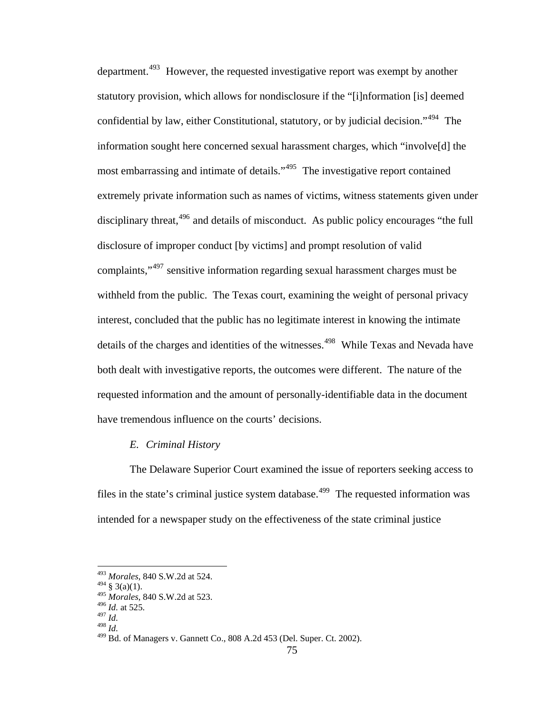department.<sup>[493](#page-84-0)</sup> However, the requested investigative report was exempt by another statutory provision, which allows for nondisclosure if the "[i]nformation [is] deemed confidential by law, either Constitutional, statutory, or by judicial decision."<sup>[494](#page-84-1)</sup> The information sought here concerned sexual harassment charges, which "involve[d] the most embarrassing and intimate of details."<sup>[495](#page-84-2)</sup> The investigative report contained extremely private information such as names of victims, witness statements given under disciplinary threat, <sup>[496](#page-84-3)</sup> and details of misconduct. As public policy encourages "the full disclosure of improper conduct [by victims] and prompt resolution of valid complaints,"[497](#page-84-4) sensitive information regarding sexual harassment charges must be withheld from the public. The Texas court, examining the weight of personal privacy interest, concluded that the public has no legitimate interest in knowing the intimate details of the charges and identities of the witnesses.<sup>[498](#page-84-5)</sup> While Texas and Nevada have both dealt with investigative reports, the outcomes were different. The nature of the requested information and the amount of personally-identifiable data in the document have tremendous influence on the courts' decisions.

## *E. Criminal History*

The Delaware Superior Court examined the issue of reporters seeking access to files in the state's criminal justice system database.<sup> $499$ </sup> The requested information was intended for a newspaper study on the effectiveness of the state criminal justice

<sup>493</sup> *Morales*, 840 S.W.2d at 524.

<span id="page-84-1"></span><span id="page-84-0"></span> $^{494}$  § 3(a)(1).

<sup>495</sup> *Morales*, 840 S.W.2d at 523.

<span id="page-84-3"></span><span id="page-84-2"></span><sup>496</sup> *Id.* at 525. <sup>497</sup> *Id.* 

<span id="page-84-5"></span><span id="page-84-4"></span>

<sup>498</sup> *Id.* 

<span id="page-84-6"></span><sup>499</sup> Bd. of Managers v. Gannett Co., 808 A.2d 453 (Del. Super. Ct. 2002).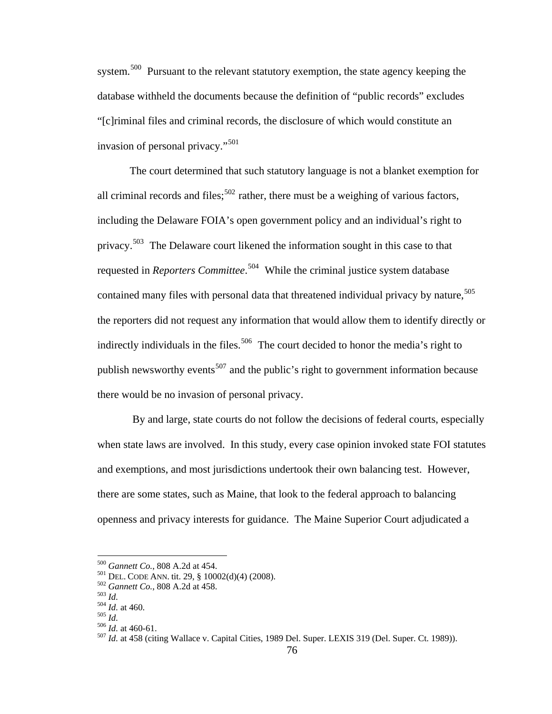system.<sup>[500](#page-85-0)</sup> Pursuant to the relevant statutory exemption, the state agency keeping the database withheld the documents because the definition of "public records" excludes "[c]riminal files and criminal records, the disclosure of which would constitute an invasion of personal privacy."[501](#page-85-1)

The court determined that such statutory language is not a blanket exemption for all criminal records and files;<sup>[502](#page-85-2)</sup> rather, there must be a weighing of various factors, including the Delaware FOIA's open government policy and an individual's right to privacy.[503](#page-85-3) The Delaware court likened the information sought in this case to that requested in *Reporters Committee*. [504](#page-85-4) While the criminal justice system database contained many files with personal data that threatened individual privacy by nature,  $505$ the reporters did not request any information that would allow them to identify directly or indirectly individuals in the files.<sup>[506](#page-85-6)</sup> The court decided to honor the media's right to publish newsworthy events<sup>[507](#page-85-7)</sup> and the public's right to government information because there would be no invasion of personal privacy.

 By and large, state courts do not follow the decisions of federal courts, especially when state laws are involved. In this study, every case opinion invoked state FOI statutes and exemptions, and most jurisdictions undertook their own balancing test. However, there are some states, such as Maine, that look to the federal approach to balancing openness and privacy interests for guidance. The Maine Superior Court adjudicated a

<span id="page-85-2"></span><span id="page-85-1"></span>

<span id="page-85-3"></span>

<span id="page-85-7"></span><span id="page-85-6"></span><span id="page-85-5"></span><span id="page-85-4"></span>

<span id="page-85-0"></span><sup>&</sup>lt;sup>500</sup> Gannett Co., 808 A.2d at 454.<br>
<sup>501</sup> DEL. CODE ANN. tit. 29, § 10002(d)(4) (2008).<br>
<sup>502</sup> Gannett Co., 808 A.2d at 458.<br>
<sup>503</sup> Id. at 460.<br>
<sup>505</sup> Id. at 460-61.<br>
<sup>506</sup> Id. at 458 (citing Wallace v. Capital Cities, 1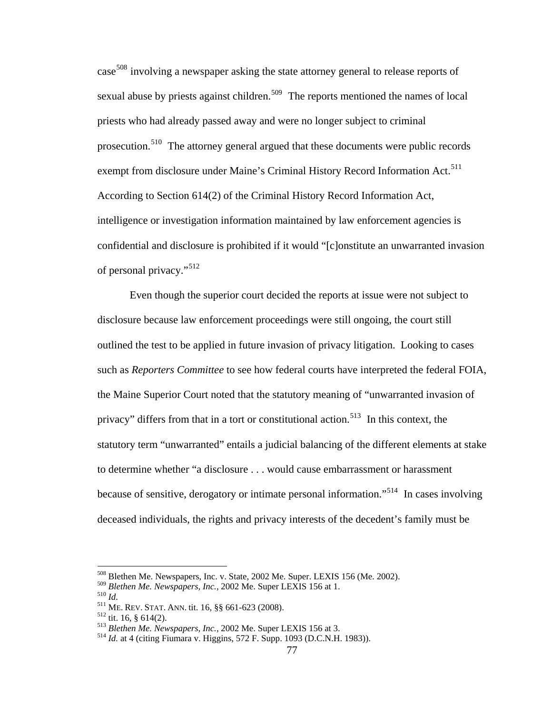case<sup>[508](#page-86-0)</sup> involving a newspaper asking the state attorney general to release reports of sexual abuse by priests against children.<sup>[509](#page-86-1)</sup> The reports mentioned the names of local priests who had already passed away and were no longer subject to criminal prosecution.[510](#page-86-2) The attorney general argued that these documents were public records exempt from disclosure under Maine's Criminal History Record Information Act.<sup>[511](#page-86-3)</sup> According to Section 614(2) of the Criminal History Record Information Act, intelligence or investigation information maintained by law enforcement agencies is confidential and disclosure is prohibited if it would "[c]onstitute an unwarranted invasion of personal privacy."[512](#page-86-4)

 Even though the superior court decided the reports at issue were not subject to disclosure because law enforcement proceedings were still ongoing, the court still outlined the test to be applied in future invasion of privacy litigation. Looking to cases such as *Reporters Committee* to see how federal courts have interpreted the federal FOIA, the Maine Superior Court noted that the statutory meaning of "unwarranted invasion of privacy" differs from that in a tort or constitutional action.<sup>[513](#page-86-5)</sup> In this context, the statutory term "unwarranted" entails a judicial balancing of the different elements at stake to determine whether "a disclosure . . . would cause embarrassment or harassment because of sensitive, derogatory or intimate personal information."[514](#page-86-6) In cases involving deceased individuals, the rights and privacy interests of the decedent's family must be

<sup>508</sup> Blethen Me. Newspapers, Inc. v. State, 2002 Me. Super. LEXIS 156 (Me. 2002).

<span id="page-86-1"></span>

<span id="page-86-3"></span><span id="page-86-2"></span>

<span id="page-86-5"></span><span id="page-86-4"></span>

<span id="page-86-6"></span>

<span id="page-86-0"></span><sup>&</sup>lt;sup>509</sup> Blethen Me. Newspapers, Inc., 2002 Me. Super LEXIS 156 at 1.<br><sup>510</sup> Id.<br><sup>511</sup> ME. REV. STAT. ANN. tit. 16, §§ 661-623 (2008).<br><sup>512</sup> tit. 16, § 614(2).<br><sup>513</sup> Blethen Me. Newspapers, Inc., 2002 Me. Super LEXIS 156 at 3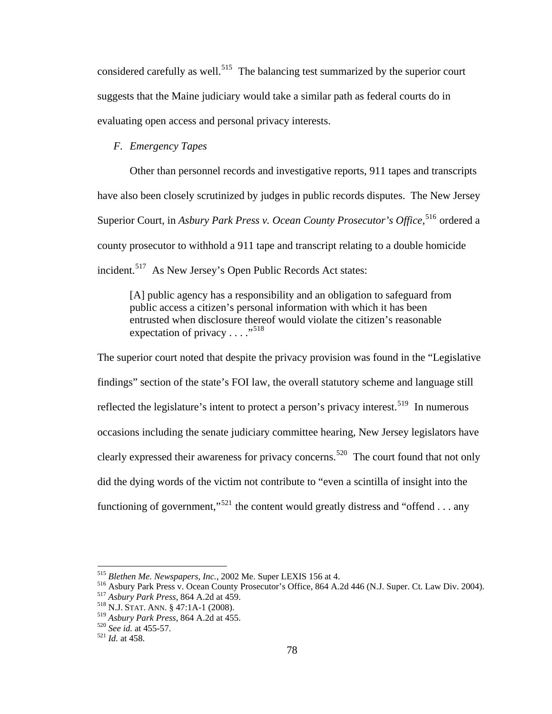considered carefully as well.<sup>[515](#page-87-0)</sup> The balancing test summarized by the superior court suggests that the Maine judiciary would take a similar path as federal courts do in evaluating open access and personal privacy interests.

# *F. Emergency Tapes*

Other than personnel records and investigative reports, 911 tapes and transcripts have also been closely scrutinized by judges in public records disputes. The New Jersey Superior Court, in *Asbury Park Press v. Ocean County Prosecutor's Office*, <sup>[516](#page-87-1)</sup> ordered a county prosecutor to withhold a 911 tape and transcript relating to a double homicide incident.<sup>[517](#page-87-2)</sup> As New Jersey's Open Public Records Act states:

[A] public agency has a responsibility and an obligation to safeguard from public access a citizen's personal information with which it has been entrusted when disclosure thereof would violate the citizen's reasonable expectation of privacy  $\dots$ ."<sup>[518](#page-87-3)</sup>

The superior court noted that despite the privacy provision was found in the "Legislative findings" section of the state's FOI law, the overall statutory scheme and language still reflected the legislature's intent to protect a person's privacy interest.<sup>[519](#page-87-4)</sup> In numerous occasions including the senate judiciary committee hearing, New Jersey legislators have clearly expressed their awareness for privacy concerns.<sup>[520](#page-87-5)</sup> The court found that not only did the dying words of the victim not contribute to "even a scintilla of insight into the functioning of government,"<sup>[521](#page-87-6)</sup> the content would greatly distress and "offend . . . any

<span id="page-87-0"></span><sup>&</sup>lt;sup>515</sup> Blethen Me. Newspapers, Inc., 2002 Me. Super LEXIS 156 at 4.

<span id="page-87-2"></span><span id="page-87-1"></span><sup>&</sup>lt;sup>516</sup> Asbury Park Press v. Ocean County Prosecutor's Office, 864 A.2d 446 (N.J. Super. Ct. Law Div. 2004).<br><sup>517</sup> Asbury Park Press, 864 A.2d at 459.<br><sup>518</sup> N.J. STAT. ANN. § 47:1A-1 (2008).

<span id="page-87-3"></span>

<span id="page-87-4"></span><sup>519</sup> *Asbury Park Press*, 864 A.2d at 455. 520 *See id.* at 455-57. 521 *Id.* at 458.

<span id="page-87-5"></span>

<span id="page-87-6"></span>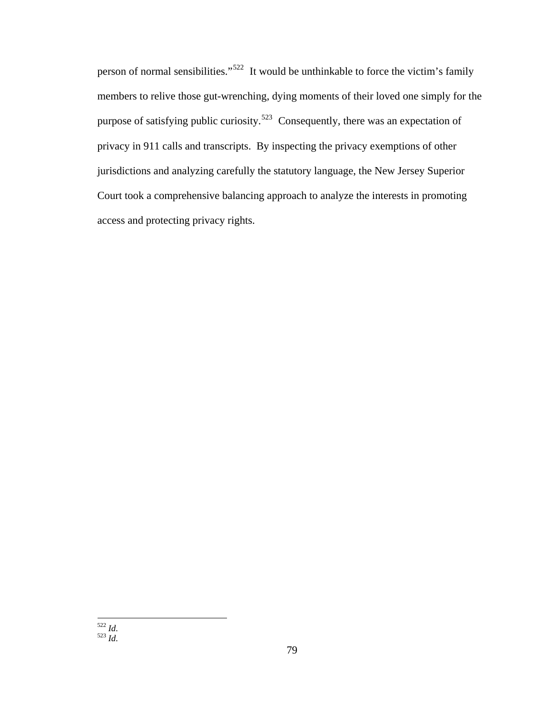<span id="page-88-1"></span><span id="page-88-0"></span>person of normal sensibilities."[522](#page-88-0) It would be unthinkable to force the victim's family members to relive those gut-wrenching, dying moments of their loved one simply for the purpose of satisfying public curiosity.<sup>[523](#page-88-1)</sup> Consequently, there was an expectation of privacy in 911 calls and transcripts. By inspecting the privacy exemptions of other jurisdictions and analyzing carefully the statutory language, the New Jersey Superior Court took a comprehensive balancing approach to analyze the interests in promoting access and protecting privacy rights.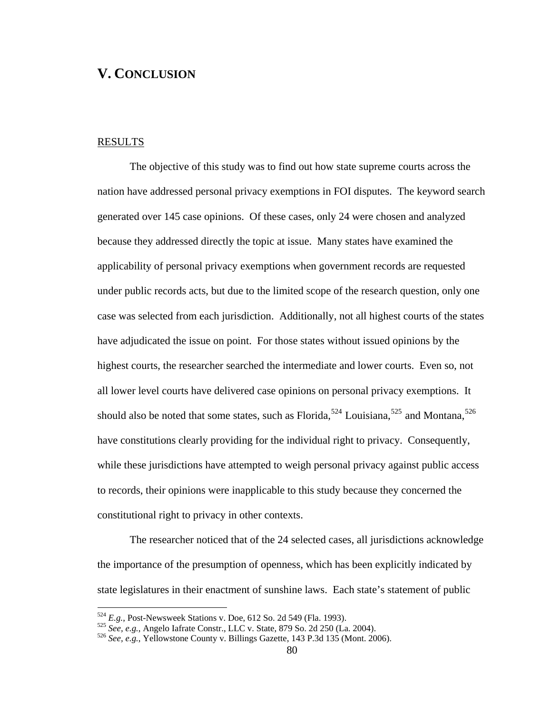# **V. CONCLUSION**

# **RESULTS**

1

The objective of this study was to find out how state supreme courts across the nation have addressed personal privacy exemptions in FOI disputes. The keyword search generated over 145 case opinions. Of these cases, only 24 were chosen and analyzed because they addressed directly the topic at issue. Many states have examined the applicability of personal privacy exemptions when government records are requested under public records acts, but due to the limited scope of the research question, only one case was selected from each jurisdiction. Additionally, not all highest courts of the states have adjudicated the issue on point. For those states without issued opinions by the highest courts, the researcher searched the intermediate and lower courts. Even so, not all lower level courts have delivered case opinions on personal privacy exemptions. It should also be noted that some states, such as Florida,<sup>[524](#page-89-0)</sup> Louisiana,<sup>[525](#page-89-1)</sup> and Montana,<sup>[526](#page-89-2)</sup> have constitutions clearly providing for the individual right to privacy. Consequently, while these jurisdictions have attempted to weigh personal privacy against public access to records, their opinions were inapplicable to this study because they concerned the constitutional right to privacy in other contexts.

The researcher noticed that of the 24 selected cases, all jurisdictions acknowledge the importance of the presumption of openness, which has been explicitly indicated by state legislatures in their enactment of sunshine laws. Each state's statement of public

<span id="page-89-1"></span>

<span id="page-89-2"></span>

<span id="page-89-0"></span><sup>&</sup>lt;sup>524</sup> E.g., Post-Newsweek Stations v. Doe, 612 So. 2d 549 (Fla. 1993).<br><sup>525</sup> See, e.g., Angelo Iafrate Constr., LLC v. State, 879 So. 2d 250 (La. 2004).<br><sup>526</sup> See, e.g., Yellowstone County v. Billings Gazette, 143 P.3d 13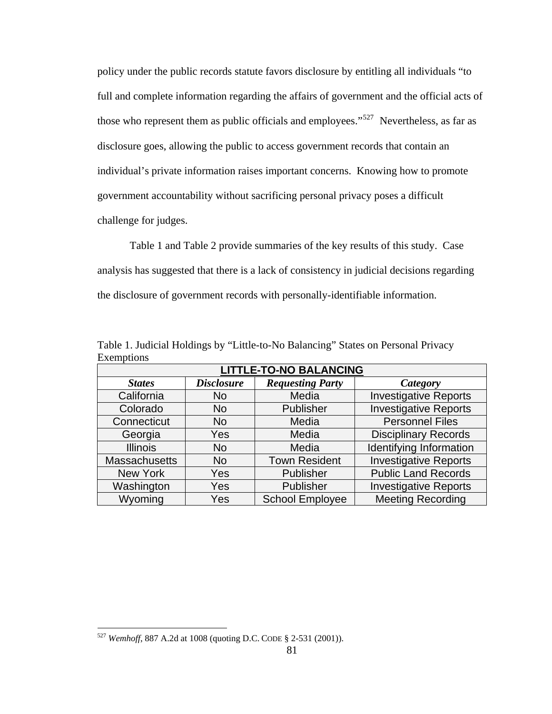policy under the public records statute favors disclosure by entitling all individuals "to full and complete information regarding the affairs of government and the official acts of those who represent them as public officials and employees."<sup>[527](#page-90-0)</sup> Nevertheless, as far as disclosure goes, allowing the public to access government records that contain an individual's private information raises important concerns. Knowing how to promote government accountability without sacrificing personal privacy poses a difficult challenge for judges.

Table 1 and Table 2 provide summaries of the key results of this study. Case analysis has suggested that there is a lack of consistency in judicial decisions regarding the disclosure of government records with personally-identifiable information.

| <b>LITTLE-TO-NO BALANCING</b> |                   |                         |                              |  |
|-------------------------------|-------------------|-------------------------|------------------------------|--|
| <b>States</b>                 | <b>Disclosure</b> | <b>Requesting Party</b> | Category                     |  |
| California                    | <b>No</b>         | Media                   | <b>Investigative Reports</b> |  |
| Colorado                      | <b>No</b>         | Publisher               | <b>Investigative Reports</b> |  |
| Connecticut                   | <b>No</b>         | Media                   | <b>Personnel Files</b>       |  |
| Georgia                       | Yes               | Media                   | <b>Disciplinary Records</b>  |  |
| <b>Illinois</b>               | <b>No</b>         | Media                   | Identifying Information      |  |
| <b>Massachusetts</b>          | <b>No</b>         | <b>Town Resident</b>    | <b>Investigative Reports</b> |  |
| New York                      | Yes               | Publisher               | <b>Public Land Records</b>   |  |
| Washington                    | Yes               | Publisher               | <b>Investigative Reports</b> |  |
| Wyoming                       | Yes               | <b>School Employee</b>  | <b>Meeting Recording</b>     |  |

Table 1. Judicial Holdings by "Little-to-No Balancing" States on Personal Privacy Exemptions

<span id="page-90-0"></span><sup>527</sup> *Wemhoff*, 887 A.2d at 1008 (quoting D.C. CODE § 2-531 (2001)).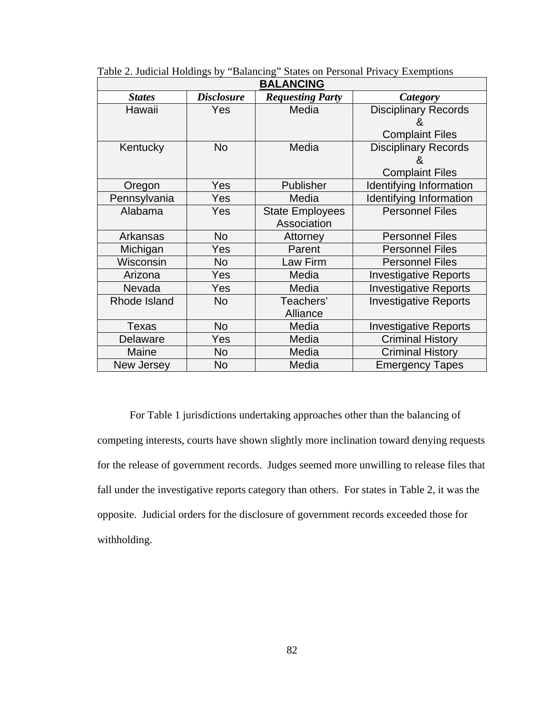| <b>BALANCING</b> |                   |                         |                              |  |
|------------------|-------------------|-------------------------|------------------------------|--|
| <b>States</b>    | <b>Disclosure</b> | <b>Requesting Party</b> | Category                     |  |
| Hawaii           | <b>Yes</b>        | Media                   | <b>Disciplinary Records</b>  |  |
|                  |                   |                         | Χ.                           |  |
|                  |                   |                         | <b>Complaint Files</b>       |  |
| Kentucky         | <b>No</b>         | Media                   | <b>Disciplinary Records</b>  |  |
|                  |                   |                         | 8                            |  |
|                  |                   |                         | <b>Complaint Files</b>       |  |
| Oregon           | Yes               | Publisher               | Identifying Information      |  |
| Pennsylvania     | Yes               | Media                   | Identifying Information      |  |
| Alabama          | <b>Yes</b>        | <b>State Employees</b>  | <b>Personnel Files</b>       |  |
|                  |                   | Association             |                              |  |
| Arkansas         | No                | Attorney                | <b>Personnel Files</b>       |  |
| Michigan         | Yes               | Parent                  | <b>Personnel Files</b>       |  |
| Wisconsin        | No                | Law Firm                | <b>Personnel Files</b>       |  |
| Arizona          | Yes               | Media                   | <b>Investigative Reports</b> |  |
| Nevada           | Yes               | Media                   | <b>Investigative Reports</b> |  |
| Rhode Island     | <b>No</b>         | Teachers'               | <b>Investigative Reports</b> |  |
|                  |                   | Alliance                |                              |  |
| <b>Texas</b>     | No                | Media                   | <b>Investigative Reports</b> |  |
| Delaware         | Yes               | Media                   | <b>Criminal History</b>      |  |
| Maine            | <b>No</b>         | Media                   | <b>Criminal History</b>      |  |
| New Jersey       | No                | Media                   | <b>Emergency Tapes</b>       |  |

Table 2. Judicial Holdings by "Balancing" States on Personal Privacy Exemptions

For Table 1 jurisdictions undertaking approaches other than the balancing of competing interests, courts have shown slightly more inclination toward denying requests for the release of government records. Judges seemed more unwilling to release files that fall under the investigative reports category than others. For states in Table 2, it was the opposite. Judicial orders for the disclosure of government records exceeded those for withholding.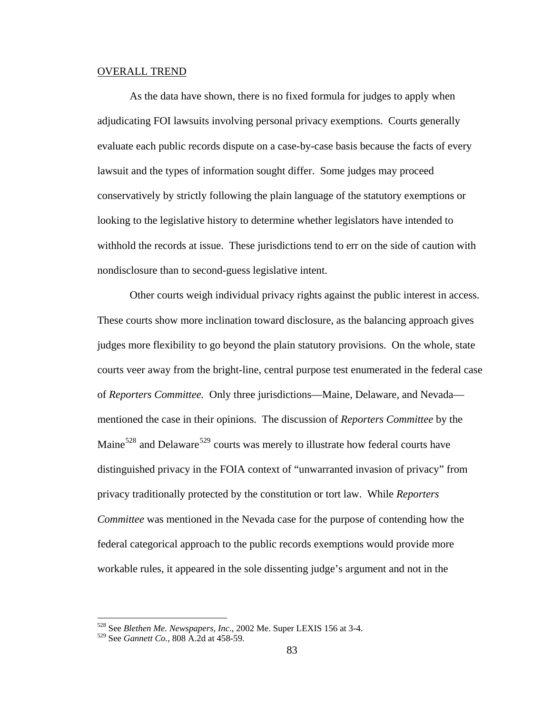#### OVERALL TREND

As the data have shown, there is no fixed formula for judges to apply when adjudicating FOI lawsuits involving personal privacy exemptions. Courts generally evaluate each public records dispute on a case-by-case basis because the facts of every lawsuit and the types of information sought differ. Some judges may proceed conservatively by strictly following the plain language of the statutory exemptions or looking to the legislative history to determine whether legislators have intended to withhold the records at issue. These jurisdictions tend to err on the side of caution with nondisclosure than to second-guess legislative intent.

Other courts weigh individual privacy rights against the public interest in access. These courts show more inclination toward disclosure, as the balancing approach gives judges more flexibility to go beyond the plain statutory provisions. On the whole, state courts veer away from the bright-line, central purpose test enumerated in the federal case of *Reporters Committee.* Only three jurisdictions—Maine, Delaware, and Nevada mentioned the case in their opinions. The discussion of *Reporters Committee* by the Maine $528$  and Delaware<sup>[529](#page-92-1)</sup> courts was merely to illustrate how federal courts have distinguished privacy in the FOIA context of "unwarranted invasion of privacy" from privacy traditionally protected by the constitution or tort law. While *Reporters Committee* was mentioned in the Nevada case for the purpose of contending how the federal categorical approach to the public records exemptions would provide more workable rules, it appeared in the sole dissenting judge's argument and not in the

<sup>528</sup> See *Blethen Me. Newspapers, Inc*., 2002 Me. Super LEXIS 156 at 3-4.

<span id="page-92-1"></span><span id="page-92-0"></span><sup>529</sup> See *Gannett Co.*, 808 A.2d at 458-59.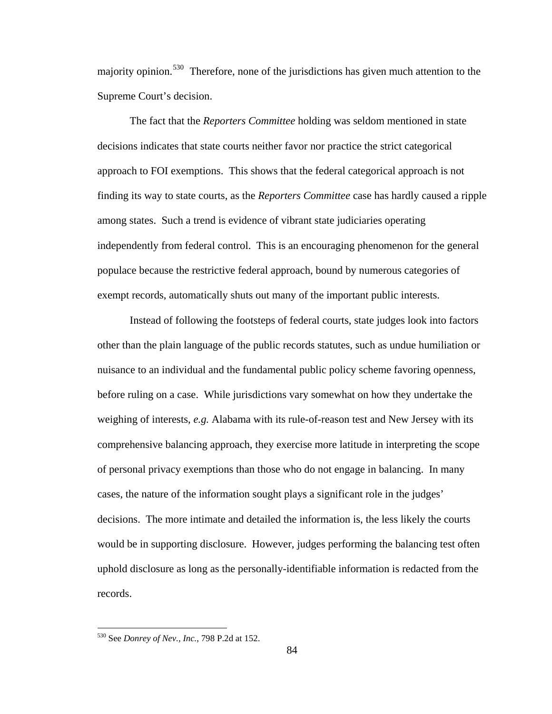majority opinion.<sup>[530](#page-93-0)</sup> Therefore, none of the jurisdictions has given much attention to the Supreme Court's decision.

The fact that the *Reporters Committee* holding was seldom mentioned in state decisions indicates that state courts neither favor nor practice the strict categorical approach to FOI exemptions. This shows that the federal categorical approach is not finding its way to state courts, as the *Reporters Committee* case has hardly caused a ripple among states. Such a trend is evidence of vibrant state judiciaries operating independently from federal control. This is an encouraging phenomenon for the general populace because the restrictive federal approach, bound by numerous categories of exempt records, automatically shuts out many of the important public interests.

Instead of following the footsteps of federal courts, state judges look into factors other than the plain language of the public records statutes, such as undue humiliation or nuisance to an individual and the fundamental public policy scheme favoring openness, before ruling on a case. While jurisdictions vary somewhat on how they undertake the weighing of interests, *e.g.* Alabama with its rule-of-reason test and New Jersey with its comprehensive balancing approach, they exercise more latitude in interpreting the scope of personal privacy exemptions than those who do not engage in balancing. In many cases, the nature of the information sought plays a significant role in the judges' decisions. The more intimate and detailed the information is, the less likely the courts would be in supporting disclosure. However, judges performing the balancing test often uphold disclosure as long as the personally-identifiable information is redacted from the records.

<span id="page-93-0"></span><sup>530</sup> See *Donrey of Nev., Inc.*, 798 P.2d at 152.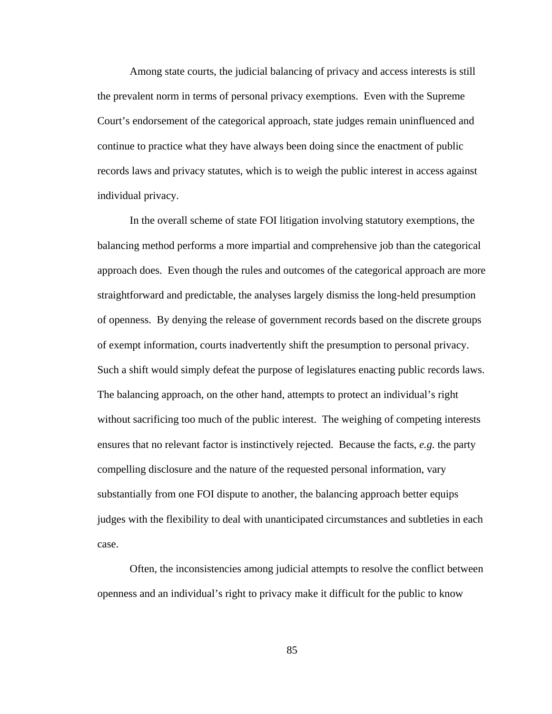Among state courts, the judicial balancing of privacy and access interests is still the prevalent norm in terms of personal privacy exemptions. Even with the Supreme Court's endorsement of the categorical approach, state judges remain uninfluenced and continue to practice what they have always been doing since the enactment of public records laws and privacy statutes, which is to weigh the public interest in access against individual privacy.

In the overall scheme of state FOI litigation involving statutory exemptions, the balancing method performs a more impartial and comprehensive job than the categorical approach does. Even though the rules and outcomes of the categorical approach are more straightforward and predictable, the analyses largely dismiss the long-held presumption of openness. By denying the release of government records based on the discrete groups of exempt information, courts inadvertently shift the presumption to personal privacy. Such a shift would simply defeat the purpose of legislatures enacting public records laws. The balancing approach, on the other hand, attempts to protect an individual's right without sacrificing too much of the public interest. The weighing of competing interests ensures that no relevant factor is instinctively rejected. Because the facts, *e.g.* the party compelling disclosure and the nature of the requested personal information, vary substantially from one FOI dispute to another, the balancing approach better equips judges with the flexibility to deal with unanticipated circumstances and subtleties in each case.

Often, the inconsistencies among judicial attempts to resolve the conflict between openness and an individual's right to privacy make it difficult for the public to know

85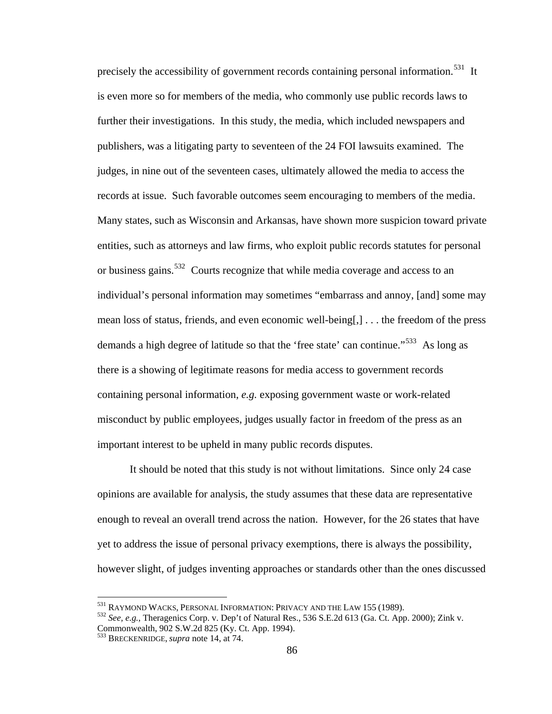is even more so for members of the media, who commonly use public records laws to precisely the accessibility of government records containing personal information.<sup>[531](#page-95-0)</sup> It further their investigations. In this study, the media, which included newspapers and publishers, was a litigating party to seventeen of the 24 FOI lawsuits examined. The judges, in nine out of the seventeen cases, ultimately allowed the media to access the records at issue. Such favorable outcomes seem encouraging to members of the media. Many states, such as Wisconsin and Arkansas, have shown more suspicion toward private entities, such as attorneys and law firms, who exploit public records statutes for personal or business gains.<sup>[532](#page-95-1)</sup> Courts recognize that while media coverage and access to an individual's personal information may sometimes "embarrass and annoy, [and] some may mean loss of status, friends, and even economic well-being[,] . . . the freedom of the press demands a high degree of latitude so that the 'free state' can continue."<sup>[533](#page-95-2)</sup> As long as there is a showing of legitimate reasons for media access to government records containing personal information, *e.g.* exposing government waste or work-related misconduct by public employees, judges usually factor in freedom of the press as an important interest to be upheld in many public records disputes.

It should be noted that this study is not without limitations. Since only 24 case opinions are available for analysis, the study assumes that these data are representative enough to reveal an overall trend across the nation. However, for the 26 states that have yet to address the issue of personal privacy exemptions, there is always the possibility, however slight, of judges inventing approaches or standards other than the ones discussed

<sup>&</sup>lt;sup>531</sup> RAYMOND WACKS, PERSONAL INFORMATION: PRIVACY AND THE LAW 155 (1989).

<span id="page-95-1"></span><span id="page-95-0"></span><sup>&</sup>lt;sup>532</sup> See, e.g., Theragenics Corp. v. Dep't of Natural Res., 536 S.E.2d 613 (Ga. Ct. App. 2000); Zink v. Commonwealth, 902 S.W.2d 825 (Ky. Ct. App. 1994).

<span id="page-95-2"></span><sup>533</sup> BRECKENRIDGE, *supra* note 14, at 74.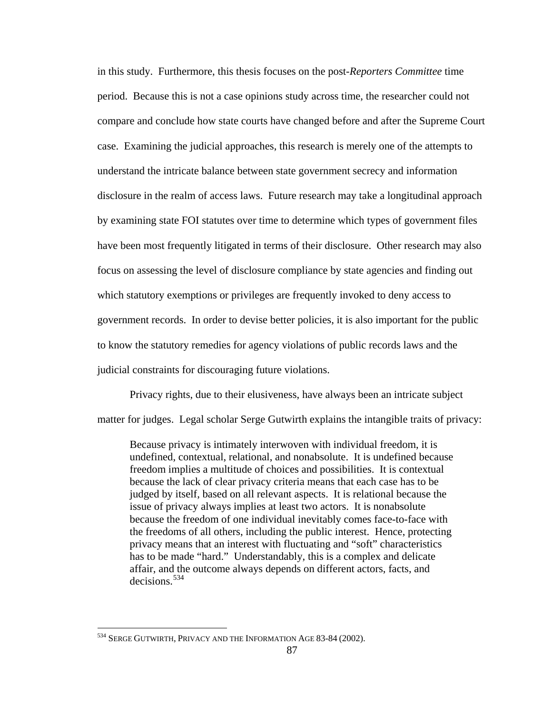in this study. Furthermore, this thesis focuses on the post-*Reporters Committee* time period. Because this is not a case opinions study across time, the researcher could not compare and conclude how state courts have changed before and after the Supreme Court case. Examining the judicial approaches, this research is merely one of the attempts to understand the intricate balance between state government secrecy and information disclosure in the realm of access laws. Future research may take a longitudinal approach by examining state FOI statutes over time to determine which types of government files have been most frequently litigated in terms of their disclosure. Other research may also focus on assessing the level of disclosure compliance by state agencies and finding out which statutory exemptions or privileges are frequently invoked to deny access to government records. In order to devise better policies, it is also important for the public to know the statutory remedies for agency violations of public records laws and the judicial constraints for discouraging future violations.

Privacy rights, due to their elusiveness, have always been an intricate subject matter for judges. Legal scholar Serge Gutwirth explains the intangible traits of privacy:

Because privacy is intimately interwoven with individual freedom, it is undefined, contextual, relational, and nonabsolute. It is undefined because freedom implies a multitude of choices and possibilities. It is contextual because the lack of clear privacy criteria means that each case has to be judged by itself, based on all relevant aspects. It is relational because the issue of privacy always implies at least two actors. It is nonabsolute because the freedom of one individual inevitably comes face-to-face with the freedoms of all others, including the public interest. Hence, protecting privacy means that an interest with fluctuating and "soft" characteristics has to be made "hard." Understandably, this is a complex and delicate affair, and the outcome always depends on different actors, facts, and decisions.[534](#page-96-0)

<span id="page-96-0"></span><sup>534</sup> SERGE GUTWIRTH, PRIVACY AND THE INFORMATION AGE 83-84 (2002).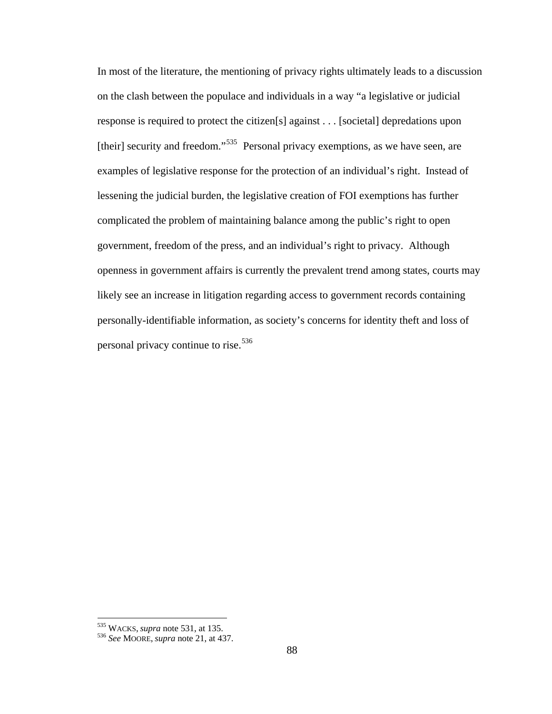In most of the literature, the mentioning of privacy rights ultimately leads to a discussion on the clash between the populace and individuals in a way "a legislative or judicial response is required to protect the citizen[s] against . . . [societal] depredations upon [their] security and freedom."<sup>[535](#page-97-0)</sup> Personal privacy exemptions, as we have seen, are examples of legislative response for the protection of an individual's right. Instead of lessening the judicial burden, the legislative creation of FOI exemptions has further complicated the problem of maintaining balance among the public's right to open government, freedom of the press, and an individual's right to privacy. Although openness in government affairs is currently the prevalent trend among states, courts may likely see an increase in litigation regarding access to government records containing personally-identifiable information, as society's concerns for identity theft and loss of personal privacy continue to rise.<sup>[536](#page-97-1)</sup>

<span id="page-97-1"></span>

<span id="page-97-0"></span><sup>535</sup> WACKS, *supra* note 531, at 135. <sup>536</sup> *See* MOORE, *supra* note 21, at 437.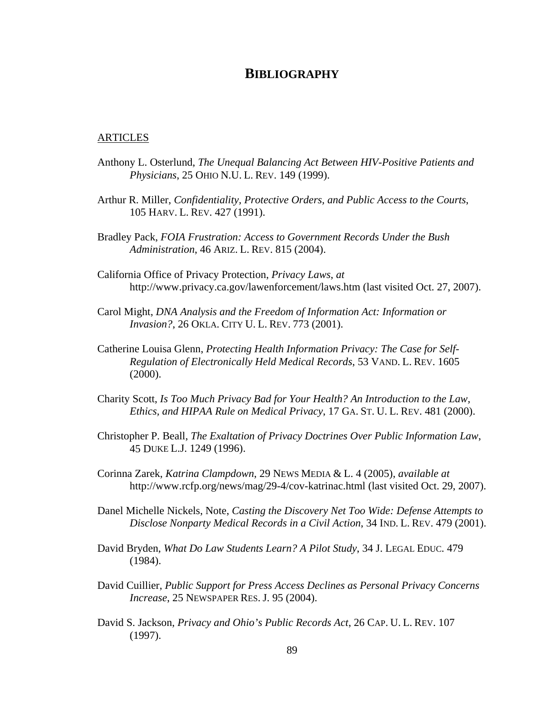# **BIBLIOGRAPHY**

### ARTICLES

- Anthony L. Osterlund, *The Unequal Balancing Act Between HIV-Positive Patients and Physicians*, 25 OHIO N.U. L. REV. 149 (1999).
- Arthur R. Miller, *Confidentiality, Protective Orders, and Public Access to the Courts*, 105 HARV. L. REV. 427 (1991).
- Bradley Pack, *FOIA Frustration: Access to Government Records Under the Bush Administration*, 46 ARIZ. L. REV. 815 (2004).
- California Office of Privacy Protection, *Privacy Laws*, *at*  http://www.privacy.ca.gov/lawenforcement/laws.htm (last visited Oct. 27, 2007).
- Carol Might, *DNA Analysis and the Freedom of Information Act: Information or Invasion?*, 26 OKLA. CITY U. L. REV. 773 (2001).
- Catherine Louisa Glenn, *Protecting Health Information Privacy: The Case for Self-Regulation of Electronically Held Medical Records*, 53 VAND. L. REV. 1605 (2000).
- Charity Scott, *Is Too Much Privacy Bad for Your Health? An Introduction to the Law, Ethics, and HIPAA Rule on Medical Privacy*, 17 GA. ST. U. L. REV. 481 (2000).
- Christopher P. Beall, *The Exaltation of Privacy Doctrines Over Public Information Law*, 45 DUKE L.J. 1249 (1996).
- Corinna Zarek, *Katrina Clampdown*, 29 NEWS MEDIA & L. 4 (2005), *available at*  http://www.rcfp.org/news/mag/29-4/cov-katrinac.html (last visited Oct. 29, 2007).
- Danel Michelle Nickels, Note, *Casting the Discovery Net Too Wide: Defense Attempts to Disclose Nonparty Medical Records in a Civil Action*, 34 IND. L. REV. 479 (2001).
- David Bryden, *What Do Law Students Learn? A Pilot Study*, 34 J. LEGAL EDUC. 479 (1984).
- David Cuillier, *Public Support for Press Access Declines as Personal Privacy Concerns Increase*, 25 NEWSPAPER RES. J. 95 (2004).
- David S. Jackson, *Privacy and Ohio's Public Records Act*, 26 CAP. U. L. REV. 107 (1997).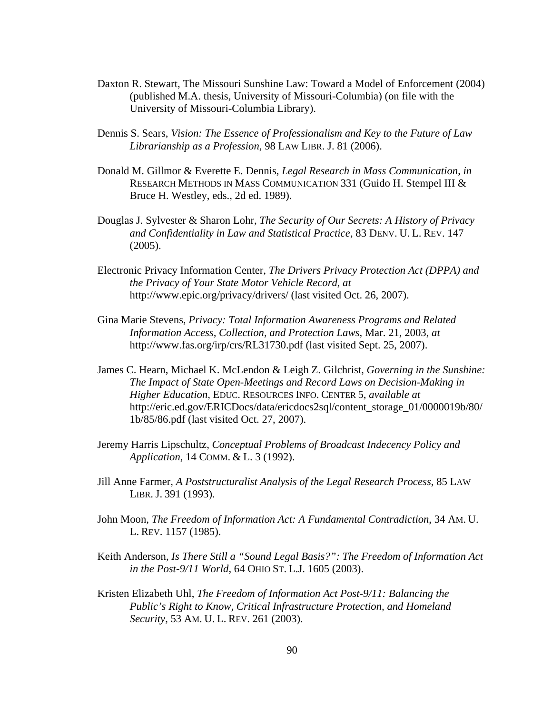- Daxton R. Stewart, The Missouri Sunshine Law: Toward a Model of Enforcement (2004) (published M.A. thesis, University of Missouri-Columbia) (on file with the University of Missouri-Columbia Library).
- Dennis S. Sears, *Vision: The Essence of Professionalism and Key to the Future of Law Librarianship as a Profession*, 98 LAW LIBR. J. 81 (2006).
- Donald M. Gillmor & Everette E. Dennis, *Legal Research in Mass Communication*, *in*  RESEARCH METHODS IN MASS COMMUNICATION 331 (Guido H. Stempel III & Bruce H. Westley, eds., 2d ed. 1989).
- Douglas J. Sylvester & Sharon Lohr, *The Security of Our Secrets: A History of Privacy and Confidentiality in Law and Statistical Practice*, 83 DENV. U. L. REV. 147 (2005).
- Electronic Privacy Information Center, *The Drivers Privacy Protection Act (DPPA) and the Privacy of Your State Motor Vehicle Record*, *at*  http://www.epic.org/privacy/drivers/ (last visited Oct. 26, 2007).
- Gina Marie Stevens, *Privacy: Total Information Awareness Programs and Related Information Access, Collection, and Protection Laws*, Mar. 21, 2003, *at*  http://www.fas.org/irp/crs/RL31730.pdf (last visited Sept. 25, 2007).
- James C. Hearn, Michael K. McLendon & Leigh Z. Gilchrist, *Governing in the Sunshine: The Impact of State Open-Meetings and Record Laws on Decision-Making in Higher Education*, EDUC. RESOURCES INFO. CENTER 5, *available at* http://eric.ed.gov/ERICDocs/data/ericdocs2sql/content\_storage\_01/0000019b/80/ 1b/85/86.pdf (last visited Oct. 27, 2007).
- Jeremy Harris Lipschultz, *Conceptual Problems of Broadcast Indecency Policy and Application*, 14 COMM. & L. 3 (1992).
- Jill Anne Farmer, *A Poststructuralist Analysis of the Legal Research Process*, 85 LAW LIBR. J. 391 (1993).
- John Moon, *The Freedom of Information Act: A Fundamental Contradiction*, 34 AM. U. L. REV. 1157 (1985).
- Keith Anderson, *Is There Still a "Sound Legal Basis?": The Freedom of Information Act in the Post-9/11 World*, 64 OHIO ST. L.J. 1605 (2003).
- Kristen Elizabeth Uhl, *The Freedom of Information Act Post-9/11: Balancing the Public's Right to Know, Critical Infrastructure Protection, and Homeland Security*, 53 AM. U. L. REV. 261 (2003).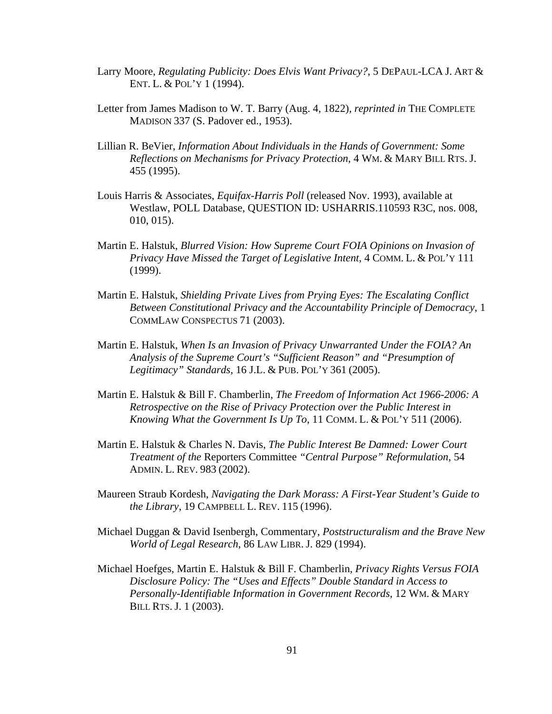- Larry Moore, *Regulating Publicity: Does Elvis Want Privacy?*, 5 DEPAUL-LCA J. ART & ENT. L. & POL'Y 1 (1994).
- Letter from James Madison to W. T. Barry (Aug. 4, 1822), *reprinted in* THE COMPLETE MADISON 337 (S. Padover ed., 1953).
- Lillian R. BeVier, *Information About Individuals in the Hands of Government: Some Reflections on Mechanisms for Privacy Protection*, 4 WM. & MARY BILL RTS. J. 455 (1995).
- Louis Harris & Associates, *Equifax-Harris Poll* (released Nov. 1993), available at Westlaw, POLL Database, QUESTION ID: USHARRIS.110593 R3C, nos. 008, 010, 015).
- Martin E. Halstuk, *Blurred Vision: How Supreme Court FOIA Opinions on Invasion of Privacy Have Missed the Target of Legislative Intent*, 4 COMM. L. & POL'Y 111 (1999).
- Martin E. Halstuk, *Shielding Private Lives from Prying Eyes: The Escalating Conflict Between Constitutional Privacy and the Accountability Principle of Democracy*, 1 COMMLAW CONSPECTUS 71 (2003).
- Martin E. Halstuk, *When Is an Invasion of Privacy Unwarranted Under the FOIA? An Analysis of the Supreme Court's "Sufficient Reason" and "Presumption of Legitimacy" Standards*, 16 J.L. & PUB. POL'Y 361 (2005).
- Martin E. Halstuk & Bill F. Chamberlin, *The Freedom of Information Act 1966-2006: A Retrospective on the Rise of Privacy Protection over the Public Interest in Knowing What the Government Is Up To*, 11 COMM. L. & POL'Y 511 (2006).
- Martin E. Halstuk & Charles N. Davis, *The Public Interest Be Damned: Lower Court Treatment of the* Reporters Committee *"Central Purpose" Reformulation*, 54 ADMIN. L. REV. 983 (2002).
- Maureen Straub Kordesh, *Navigating the Dark Morass: A First-Year Student's Guide to the Library*, 19 CAMPBELL L. REV. 115 (1996).
- Michael Duggan & David Isenbergh, Commentary, *Poststructuralism and the Brave New World of Legal Research*, 86 LAW LIBR. J. 829 (1994).
- Michael Hoefges, Martin E. Halstuk & Bill F. Chamberlin, *Privacy Rights Versus FOIA Disclosure Policy: The "Uses and Effects" Double Standard in Access to Personally-Identifiable Information in Government Records*, 12 WM. & MARY BILL RTS. J. 1 (2003).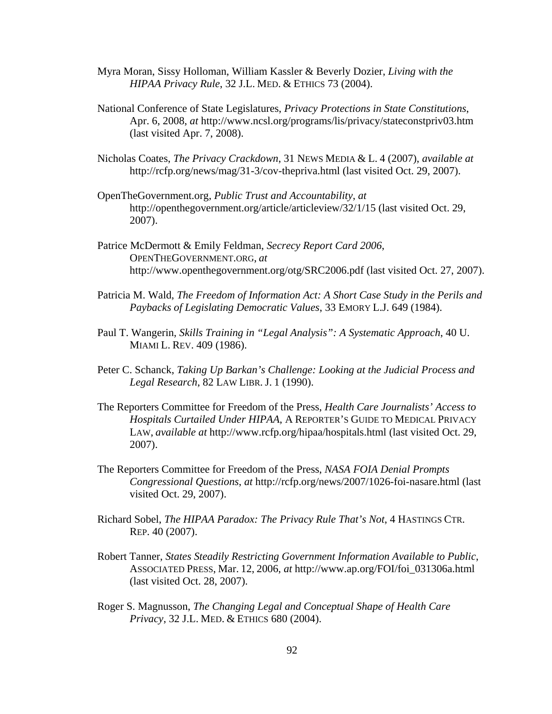- Myra Moran, Sissy Holloman, William Kassler & Beverly Dozier, *Living with the HIPAA Privacy Rule*, 32 J.L. MED. & ETHICS 73 (2004).
- National Conference of State Legislatures, *Privacy Protections in State Constitutions*, Apr. 6, 2008, *at* http://www.ncsl.org/programs/lis/privacy/stateconstpriv03.htm (last visited Apr. 7, 2008).
- Nicholas Coates, *The Privacy Crackdown*, 31 NEWS MEDIA & L. 4 (2007), *available at*  http://rcfp.org/news/mag/31-3/cov-thepriva.html (last visited Oct. 29, 2007).
- OpenTheGovernment.org, *Public Trust and Accountability*, *at*  http://openthegovernment.org/article/articleview/32/1/15 (last visited Oct. 29, 2007).
- Patrice McDermott & Emily Feldman, *Secrecy Report Card 2006*, OPENTHEGOVERNMENT.ORG, *at*  http://www.openthegovernment.org/otg/SRC2006.pdf (last visited Oct. 27, 2007).
- Patricia M. Wald, *The Freedom of Information Act: A Short Case Study in the Perils and Paybacks of Legislating Democratic Values*, 33 EMORY L.J. 649 (1984).
- Paul T. Wangerin, *Skills Training in "Legal Analysis": A Systematic Approach*, 40 U. MIAMI L. REV. 409 (1986).
- Peter C. Schanck, *Taking Up Barkan's Challenge: Looking at the Judicial Process and Legal Research*, 82 LAW LIBR. J. 1 (1990).
- The Reporters Committee for Freedom of the Press, *Health Care Journalists' Access to Hospitals Curtailed Under HIPAA*, A REPORTER'S GUIDE TO MEDICAL PRIVACY LAW, *available at* http://www.rcfp.org/hipaa/hospitals.html (last visited Oct. 29, 2007).
- The Reporters Committee for Freedom of the Press, *NASA FOIA Denial Prompts Congressional Questions*, *at* http://rcfp.org/news/2007/1026-foi-nasare.html (last visited Oct. 29, 2007).
- Richard Sobel, *The HIPAA Paradox: The Privacy Rule That's Not*, 4 HASTINGS CTR. REP. 40 (2007).
- Robert Tanner, *States Steadily Restricting Government Information Available to Public*, ASSOCIATED PRESS, Mar. 12, 2006, *at* http://www.ap.org/FOI/foi\_031306a.html (last visited Oct. 28, 2007).
- Roger S. Magnusson, *The Changing Legal and Conceptual Shape of Health Care Privacy*, 32 J.L. MED. & ETHICS 680 (2004).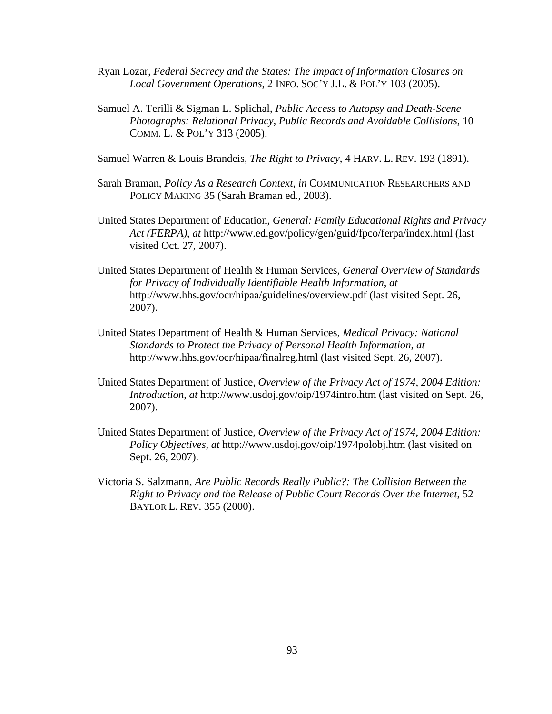- Ryan Lozar, *Federal Secrecy and the States: The Impact of Information Closures on Local Government Operations*, 2 INFO. SOC'Y J.L. & POL'Y 103 (2005).
- Samuel A. Terilli & Sigman L. Splichal, *Public Access to Autopsy and Death-Scene Photographs: Relational Privacy, Public Records and Avoidable Collisions*, 10 COMM. L. & POL'Y 313 (2005).
- Samuel Warren & Louis Brandeis, *The Right to Privacy*, 4 HARV. L. REV. 193 (1891).
- Sarah Braman, *Policy As a Research Context*, *in* COMMUNICATION RESEARCHERS AND POLICY MAKING 35 (Sarah Braman ed., 2003).
- United States Department of Education, *General: Family Educational Rights and Privacy Act (FERPA)*, *at* http://www.ed.gov/policy/gen/guid/fpco/ferpa/index.html (last visited Oct. 27, 2007).
- United States Department of Health & Human Services, *General Overview of Standards for Privacy of Individually Identifiable Health Information*, *at*  http://www.hhs.gov/ocr/hipaa/guidelines/overview.pdf (last visited Sept. 26, 2007).
- United States Department of Health & Human Services, *Medical Privacy: National Standards to Protect the Privacy of Personal Health Information*, *at*  http://www.hhs.gov/ocr/hipaa/finalreg.html (last visited Sept. 26, 2007).
- United States Department of Justice, *Overview of the Privacy Act of 1974, 2004 Edition: Introduction*, *at* http://www.usdoj.gov/oip/1974intro.htm (last visited on Sept. 26, 2007).
- United States Department of Justice, *Overview of the Privacy Act of 1974, 2004 Edition: Policy Objectives*, *at* http://www.usdoj.gov/oip/1974polobj.htm (last visited on Sept. 26, 2007).
- Victoria S. Salzmann, *Are Public Records Really Public?: The Collision Between the Right to Privacy and the Release of Public Court Records Over the Internet*, 52 BAYLOR L. REV. 355 (2000).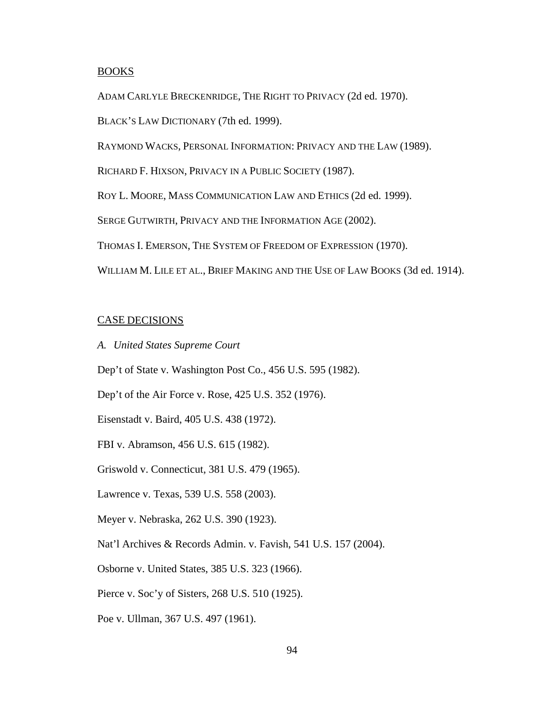#### BOOKS

ADAM CARLYLE BRECKENRIDGE, THE RIGHT TO PRIVACY (2d ed. 1970).

BLACK'S LAW DICTIONARY (7th ed. 1999).

RAYMOND WACKS, PERSONAL INFORMATION: PRIVACY AND THE LAW (1989).

RICHARD F. HIXSON, PRIVACY IN A PUBLIC SOCIETY (1987).

ROY L. MOORE, MASS COMMUNICATION LAW AND ETHICS (2d ed. 1999).

SERGE GUTWIRTH, PRIVACY AND THE INFORMATION AGE (2002).

THOMAS I. EMERSON, THE SYSTEM OF FREEDOM OF EXPRESSION (1970).

WILLIAM M. LILE ET AL., BRIEF MAKING AND THE USE OF LAW BOOKS (3d ed. 1914).

### CASE DECISIONS

*A. United States Supreme Court* 

Dep't of State v. Washington Post Co., 456 U.S. 595 (1982).

Dep't of the Air Force v. Rose, 425 U.S. 352 (1976).

Eisenstadt v. Baird, 405 U.S. 438 (1972).

FBI v. Abramson, 456 U.S. 615 (1982).

Griswold v. Connecticut, 381 U.S. 479 (1965).

Lawrence v. Texas, 539 U.S. 558 (2003).

Meyer v. Nebraska, 262 U.S. 390 (1923).

Nat'l Archives & Records Admin. v. Favish, 541 U.S. 157 (2004).

Osborne v. United States, 385 U.S. 323 (1966).

Pierce v. Soc'y of Sisters, 268 U.S. 510 (1925).

Poe v. Ullman, 367 U.S. 497 (1961).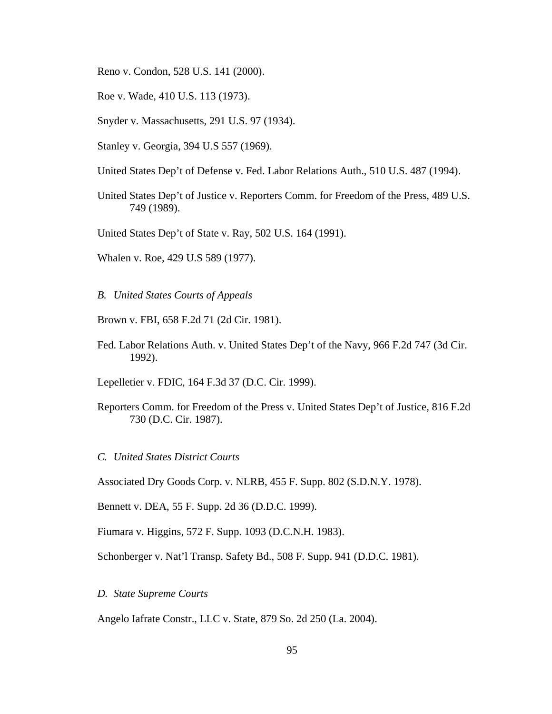- Reno v. Condon, 528 U.S. 141 (2000).
- Roe v. Wade, 410 U.S. 113 (1973).
- Snyder v. Massachusetts, 291 U.S. 97 (1934).
- Stanley v. Georgia, 394 U.S 557 (1969).
- United States Dep't of Defense v. Fed. Labor Relations Auth., 510 U.S. 487 (1994).
- United States Dep't of Justice v. Reporters Comm. for Freedom of the Press, 489 U.S. 749 (1989).
- United States Dep't of State v. Ray, 502 U.S. 164 (1991).
- Whalen v. Roe, 429 U.S 589 (1977).
- *B. United States Courts of Appeals*
- Brown v. FBI, 658 F.2d 71 (2d Cir. 1981).
- Fed. Labor Relations Auth. v. United States Dep't of the Navy, 966 F.2d 747 (3d Cir. 1992).

Lepelletier v. FDIC, 164 F.3d 37 (D.C. Cir. 1999).

- Reporters Comm. for Freedom of the Press v. United States Dep't of Justice, 816 F.2d 730 (D.C. Cir. 1987).
- *C. United States District Courts*

Associated Dry Goods Corp. v. NLRB, 455 F. Supp. 802 (S.D.N.Y. 1978).

Bennett v. DEA, 55 F. Supp. 2d 36 (D.D.C. 1999).

Fiumara v. Higgins, 572 F. Supp. 1093 (D.C.N.H. 1983).

Schonberger v. Nat'l Transp. Safety Bd., 508 F. Supp. 941 (D.D.C. 1981).

*D. State Supreme Courts* 

Angelo Iafrate Constr., LLC v. State, 879 So. 2d 250 (La. 2004).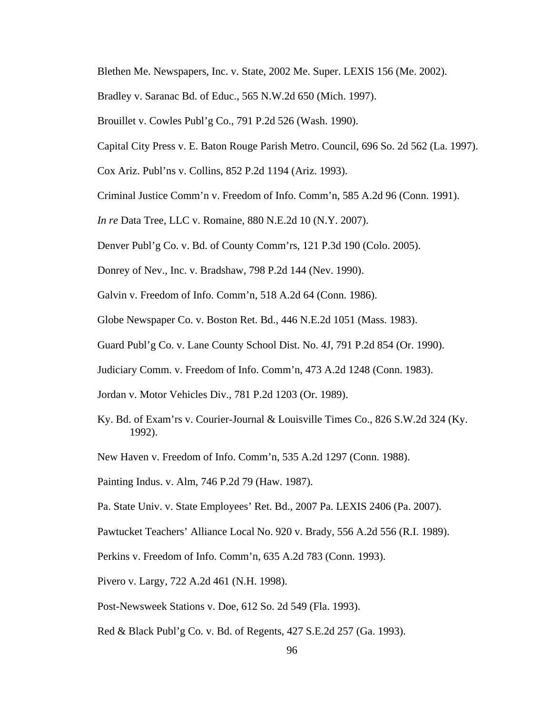Blethen Me. Newspapers, Inc. v. State, 2002 Me. Super. LEXIS 156 (Me. 2002).

- Bradley v. Saranac Bd. of Educ., 565 N.W.2d 650 (Mich. 1997).
- Brouillet v. Cowles Publ'g Co., 791 P.2d 526 (Wash. 1990).
- Capital City Press v. E. Baton Rouge Parish Metro. Council, 696 So. 2d 562 (La. 1997).
- Cox Ariz. Publ'ns v. Collins, 852 P.2d 1194 (Ariz. 1993).
- Criminal Justice Comm'n v. Freedom of Info. Comm'n, 585 A.2d 96 (Conn. 1991).
- *In re* Data Tree, LLC v. Romaine, 880 N.E.2d 10 (N.Y. 2007).
- Denver Publ'g Co. v. Bd. of County Comm'rs, 121 P.3d 190 (Colo. 2005).
- Donrey of Nev., Inc. v. Bradshaw, 798 P.2d 144 (Nev. 1990).
- Galvin v. Freedom of Info. Comm'n, 518 A.2d 64 (Conn. 1986).
- Globe Newspaper Co. v. Boston Ret. Bd., 446 N.E.2d 1051 (Mass. 1983).
- Guard Publ'g Co. v. Lane County School Dist. No. 4J, 791 P.2d 854 (Or. 1990).
- Judiciary Comm. v. Freedom of Info. Comm'n, 473 A.2d 1248 (Conn. 1983).
- Jordan v. Motor Vehicles Div., 781 P.2d 1203 (Or. 1989).
- Ky. Bd. of Exam'rs v. Courier-Journal & Louisville Times Co., 826 S.W.2d 324 (Ky. 1992).
- New Haven v. Freedom of Info. Comm'n, 535 A.2d 1297 (Conn. 1988).
- Painting Indus. v. Alm, 746 P.2d 79 (Haw. 1987).
- Pa. State Univ. v. State Employees' Ret. Bd., 2007 Pa. LEXIS 2406 (Pa. 2007).
- Pawtucket Teachers' Alliance Local No. 920 v. Brady, 556 A.2d 556 (R.I. 1989).
- Perkins v. Freedom of Info. Comm'n, 635 A.2d 783 (Conn. 1993).
- Pivero v. Largy, 722 A.2d 461 (N.H. 1998).
- Post-Newsweek Stations v. Doe, 612 So. 2d 549 (Fla. 1993).
- Red & Black Publ'g Co. v. Bd. of Regents, 427 S.E.2d 257 (Ga. 1993).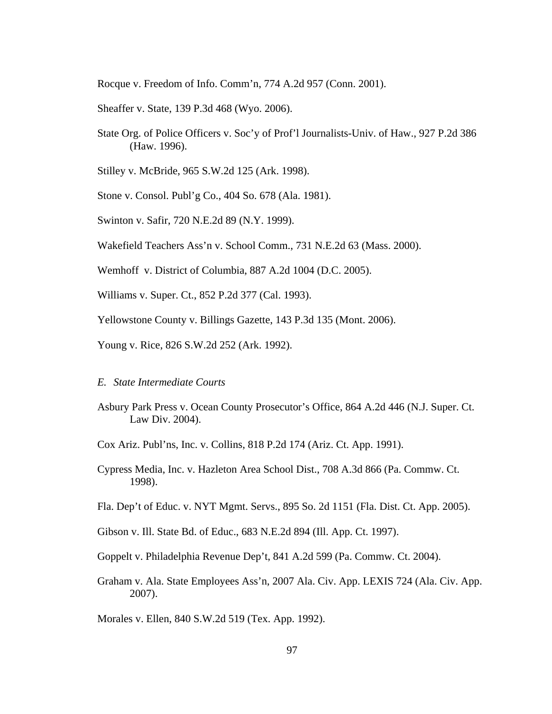Rocque v. Freedom of Info. Comm'n, 774 A.2d 957 (Conn. 2001).

- Sheaffer v. State, 139 P.3d 468 (Wyo. 2006).
- State Org. of Police Officers v. Soc'y of Prof'l Journalists-Univ. of Haw., 927 P.2d 386 (Haw. 1996).
- Stilley v. McBride, 965 S.W.2d 125 (Ark. 1998).
- Stone v. Consol. Publ'g Co., 404 So. 678 (Ala. 1981).
- Swinton v. Safir, 720 N.E.2d 89 (N.Y. 1999).
- Wakefield Teachers Ass'n v. School Comm., 731 N.E.2d 63 (Mass. 2000).
- Wemhoff v. District of Columbia, 887 A.2d 1004 (D.C. 2005).
- Williams v. Super. Ct., 852 P.2d 377 (Cal. 1993).
- Yellowstone County v. Billings Gazette, 143 P.3d 135 (Mont. 2006).
- Young v. Rice, 826 S.W.2d 252 (Ark. 1992).
- *E. State Intermediate Courts*
- Asbury Park Press v. Ocean County Prosecutor's Office, 864 A.2d 446 (N.J. Super. Ct. Law Div. 2004).
- Cox Ariz. Publ'ns, Inc. v. Collins, 818 P.2d 174 (Ariz. Ct. App. 1991).
- Cypress Media, Inc. v. Hazleton Area School Dist., 708 A.3d 866 (Pa. Commw. Ct. 1998).
- Fla. Dep't of Educ. v. NYT Mgmt. Servs., 895 So. 2d 1151 (Fla. Dist. Ct. App. 2005).
- Gibson v. Ill. State Bd. of Educ., 683 N.E.2d 894 (Ill. App. Ct. 1997).
- Goppelt v. Philadelphia Revenue Dep't, 841 A.2d 599 (Pa. Commw. Ct. 2004).
- Graham v. Ala. State Employees Ass'n, 2007 Ala. Civ. App. LEXIS 724 (Ala. Civ. App. 2007).

Morales v. Ellen, 840 S.W.2d 519 (Tex. App. 1992).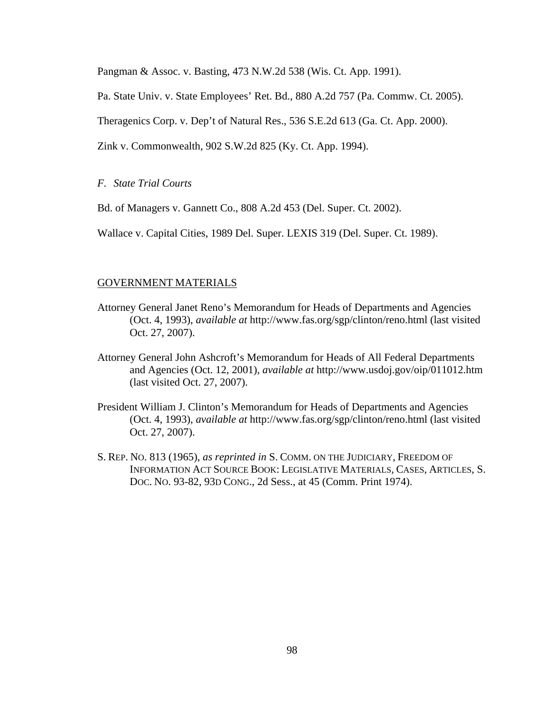Pangman & Assoc. v. Basting, 473 N.W.2d 538 (Wis. Ct. App. 1991).

Pa. State Univ. v. State Employees' Ret. Bd., 880 A.2d 757 (Pa. Commw. Ct. 2005).

Theragenics Corp. v. Dep't of Natural Res., 536 S.E.2d 613 (Ga. Ct. App. 2000).

Zink v. Commonwealth, 902 S.W.2d 825 (Ky. Ct. App. 1994).

## *F. State Trial Courts*

Bd. of Managers v. Gannett Co., 808 A.2d 453 (Del. Super. Ct. 2002).

Wallace v. Capital Cities, 1989 Del. Super. LEXIS 319 (Del. Super. Ct. 1989).

## GOVERNMENT MATERIALS

- Attorney General Janet Reno's Memorandum for Heads of Departments and Agencies (Oct. 4, 1993), *available at* http://www.fas.org/sgp/clinton/reno.html (last visited Oct. 27, 2007).
- Attorney General John Ashcroft's Memorandum for Heads of All Federal Departments and Agencies (Oct. 12, 2001), *available at* http://www.usdoj.gov/oip/011012.htm (last visited Oct. 27, 2007).
- President William J. Clinton's Memorandum for Heads of Departments and Agencies (Oct. 4, 1993), *available at* http://www.fas.org/sgp/clinton/reno.html (last visited Oct. 27, 2007).
- S. REP. NO. 813 (1965), *as reprinted in* S. COMM. ON THE JUDICIARY, FREEDOM OF INFORMATION ACT SOURCE BOOK: LEGISLATIVE MATERIALS, CASES, ARTICLES, S. DOC. NO. 93-82, 93D CONG., 2d Sess., at 45 (Comm. Print 1974).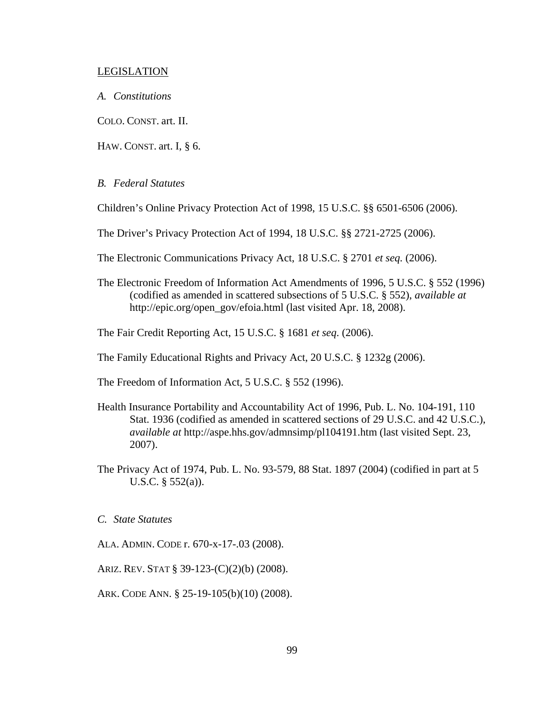## LEGISLATION

*A. Constitutions* 

COLO. CONST. art. II.

HAW. CONST. art. I, § 6.

## *B. Federal Statutes*

Children's Online Privacy Protection Act of 1998, 15 U.S.C. §§ 6501-6506 (2006).

The Driver's Privacy Protection Act of 1994, 18 U.S.C. §§ 2721-2725 (2006).

The Electronic Communications Privacy Act, 18 U.S.C. § 2701 *et seq.* (2006).

The Electronic Freedom of Information Act Amendments of 1996, 5 U.S.C. § 552 (1996) (codified as amended in scattered subsections of 5 U.S.C. § 552), *available at* http://epic.org/open\_gov/efoia.html (last visited Apr. 18, 2008).

The Fair Credit Reporting Act, 15 U.S.C. § 1681 *et seq*. (2006).

The Family Educational Rights and Privacy Act, 20 U.S.C. § 1232g (2006).

The Freedom of Information Act, 5 U.S.C. § 552 (1996).

- Health Insurance Portability and Accountability Act of 1996, Pub. L. No. 104-191, 110 Stat. 1936 (codified as amended in scattered sections of 29 U.S.C. and 42 U.S.C.), *available at* http://aspe.hhs.gov/admnsimp/pl104191.htm (last visited Sept. 23, 2007).
- The Privacy Act of 1974, Pub. L. No. 93-579, 88 Stat. 1897 (2004) (codified in part at 5 U.S.C. § 552(a)).

*C. State Statutes* 

- ALA. ADMIN. CODE r. 670-x-17-.03 (2008).
- ARIZ. REV. STAT § 39-123-(C)(2)(b) (2008).

ARK. CODE ANN. § 25-19-105(b)(10) (2008).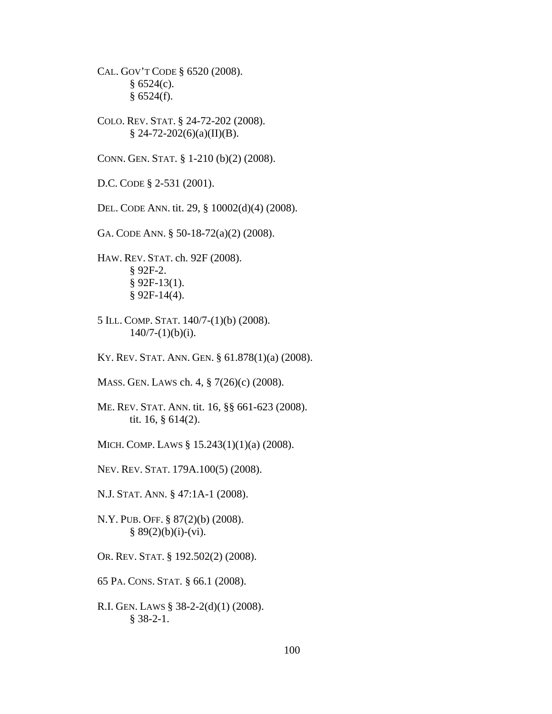CAL. GOV'T CODE § 6520 (2008).  $§ 6524(c).$  $§ 6524(f).$ 

COLO. REV. STAT. § 24-72-202 (2008).  $$ 24-72-202(6)(a)(II)(B).$ 

CONN. GEN. STAT. § 1-210 (b)(2) (2008).

D.C. CODE § 2-531 (2001).

DEL. CODE ANN. tit. 29, § 10002(d)(4) (2008).

GA. CODE ANN. § 50-18-72(a)(2) (2008).

HAW. REV. STAT. ch. 92F (2008). § 92F-2.  $§$  92F-13(1).  $§$  92F-14(4).

5 ILL. COMP. STAT. 140/7-(1)(b) (2008).  $140/7-(1)(b)(i)$ .

KY. REV. STAT. ANN. GEN. § 61.878(1)(a) (2008).

MASS. GEN. LAWS ch. 4, § 7(26)(c) (2008).

ME. REV. STAT. ANN. tit. 16, §§ 661-623 (2008). tit. 16, § 614(2).

MICH. COMP. LAWS § 15.243(1)(1)(a) (2008).

NEV. REV. STAT. 179A.100(5) (2008).

N.J. STAT. ANN. § 47:1A-1 (2008).

N.Y. PUB. OFF. § 87(2)(b) (2008).  $§ 89(2)(b)(i)-(vi).$ 

OR. REV. STAT. § 192.502(2) (2008).

65 PA. CONS. STAT. § 66.1 (2008).

R.I. GEN. LAWS § 38-2-2(d)(1) (2008). § 38-2-1.